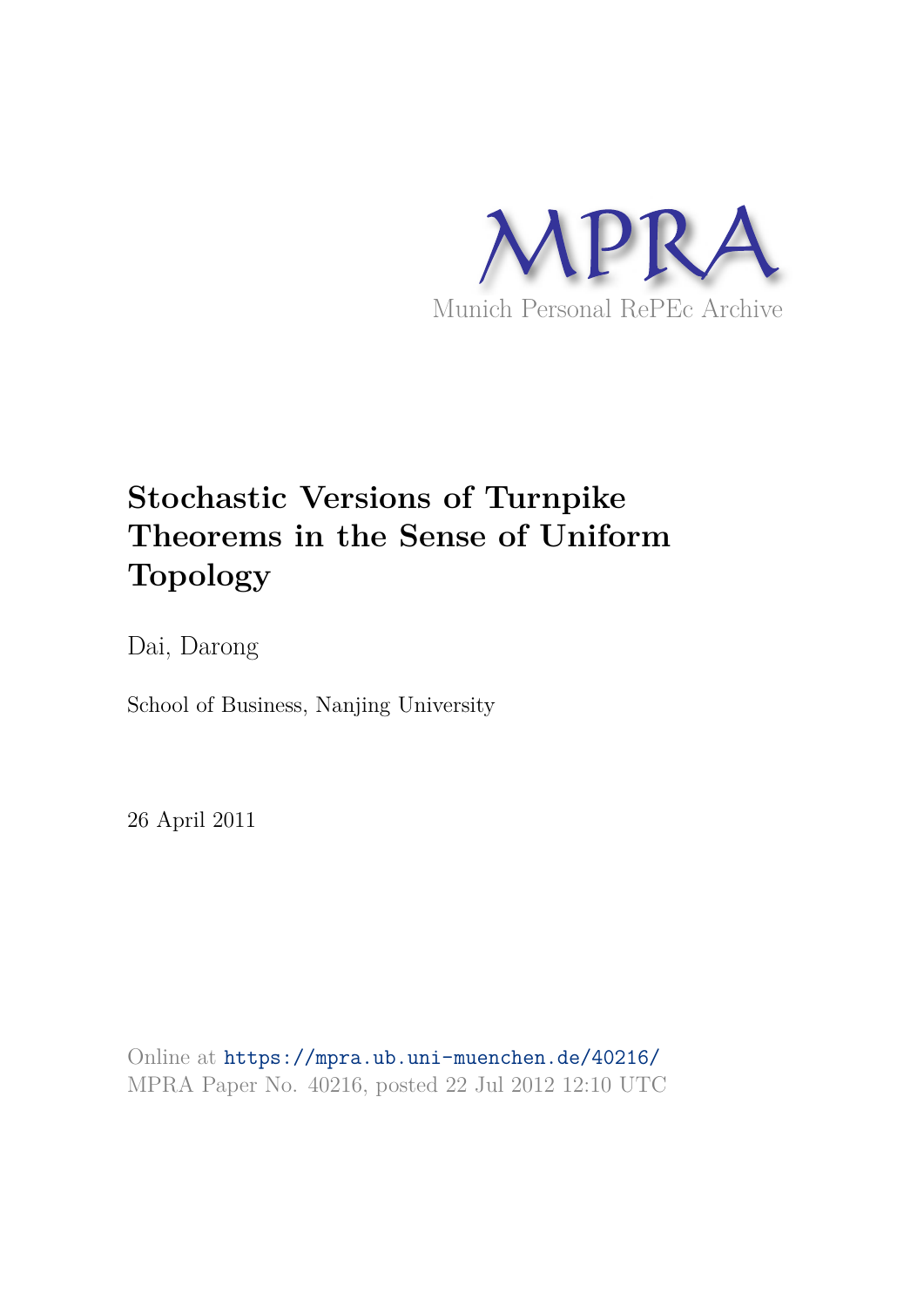

# **Stochastic Versions of Turnpike Theorems in the Sense of Uniform Topology**

Dai, Darong

School of Business, Nanjing University

26 April 2011

Online at https://mpra.ub.uni-muenchen.de/40216/ MPRA Paper No. 40216, posted 22 Jul 2012 12:10 UTC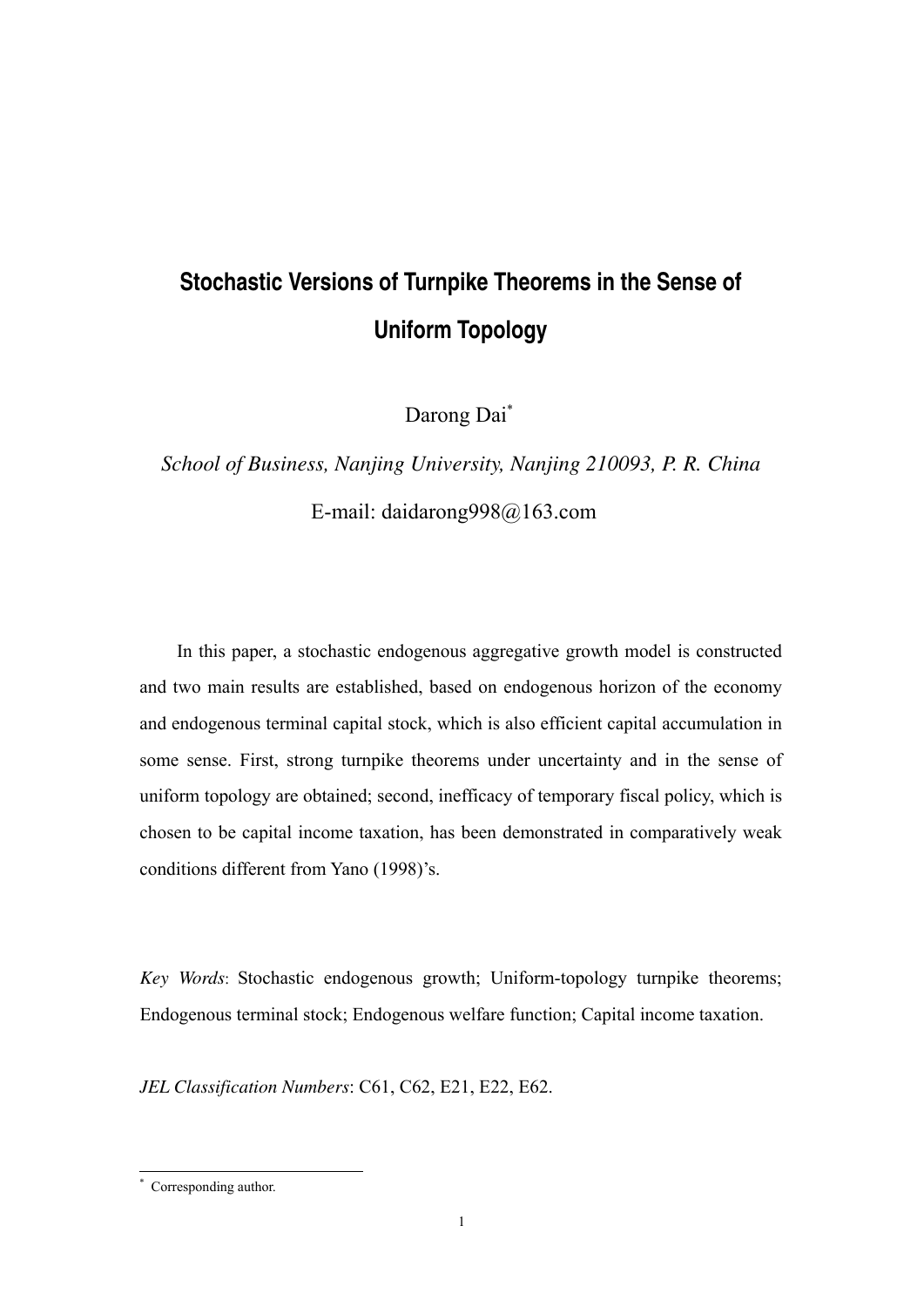# **Stochastic Versions of Turnpike Theorems in the Sense of Uniform Topology**

Darong Dai\*

*School of Business, Nanjing University, Nanjing 210093, P. R. China*  E-mail: daidarong998@163.com

In this paper, a stochastic endogenous aggregative growth model is constructed and two main results are established, based on endogenous horizon of the economy and endogenous terminal capital stock, which is also efficient capital accumulation in some sense. First, strong turnpike theorems under uncertainty and in the sense of uniform topology are obtained; second, inefficacy of temporary fiscal policy, which is chosen to be capital income taxation, has been demonstrated in comparatively weak conditions different from Yano (1998)'s.

*Key Words*: Stochastic endogenous growth; Uniform-topology turnpike theorems; Endogenous terminal stock; Endogenous welfare function; Capital income taxation.

*JEL Classification Numbers*: C61, C62, E21, E22, E62.

 \* Corresponding author.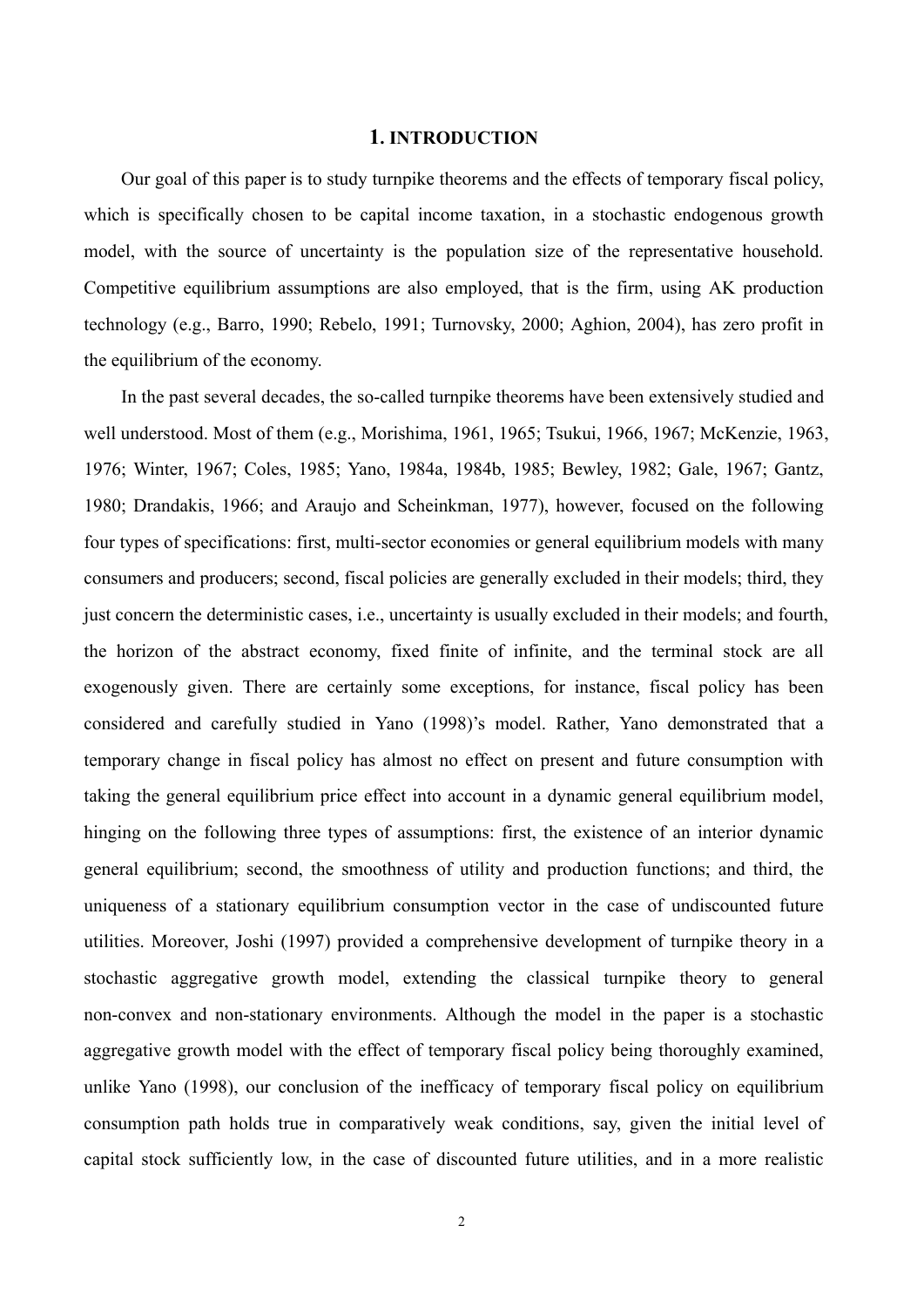#### **1. INTRODUCTION**

Our goal of this paper is to study turnpike theorems and the effects of temporary fiscal policy, which is specifically chosen to be capital income taxation, in a stochastic endogenous growth model, with the source of uncertainty is the population size of the representative household. Competitive equilibrium assumptions are also employed, that is the firm, using AK production technology (e.g., Barro, 1990; Rebelo, 1991; Turnovsky, 2000; Aghion, 2004), has zero profit in the equilibrium of the economy.

In the past several decades, the so-called turnpike theorems have been extensively studied and well understood. Most of them (e.g., Morishima, 1961, 1965; Tsukui, 1966, 1967; McKenzie, 1963, 1976; Winter, 1967; Coles, 1985; Yano, 1984a, 1984b, 1985; Bewley, 1982; Gale, 1967; Gantz, 1980; Drandakis, 1966; and Araujo and Scheinkman, 1977), however, focused on the following four types of specifications: first, multi-sector economies or general equilibrium models with many consumers and producers; second, fiscal policies are generally excluded in their models; third, they just concern the deterministic cases, i.e., uncertainty is usually excluded in their models; and fourth, the horizon of the abstract economy, fixed finite of infinite, and the terminal stock are all exogenously given. There are certainly some exceptions, for instance, fiscal policy has been considered and carefully studied in Yano (1998)'s model. Rather, Yano demonstrated that a temporary change in fiscal policy has almost no effect on present and future consumption with taking the general equilibrium price effect into account in a dynamic general equilibrium model, hinging on the following three types of assumptions: first, the existence of an interior dynamic general equilibrium; second, the smoothness of utility and production functions; and third, the uniqueness of a stationary equilibrium consumption vector in the case of undiscounted future utilities. Moreover, Joshi (1997) provided a comprehensive development of turnpike theory in a stochastic aggregative growth model, extending the classical turnpike theory to general non-convex and non-stationary environments. Although the model in the paper is a stochastic aggregative growth model with the effect of temporary fiscal policy being thoroughly examined, unlike Yano (1998), our conclusion of the inefficacy of temporary fiscal policy on equilibrium consumption path holds true in comparatively weak conditions, say, given the initial level of capital stock sufficiently low, in the case of discounted future utilities, and in a more realistic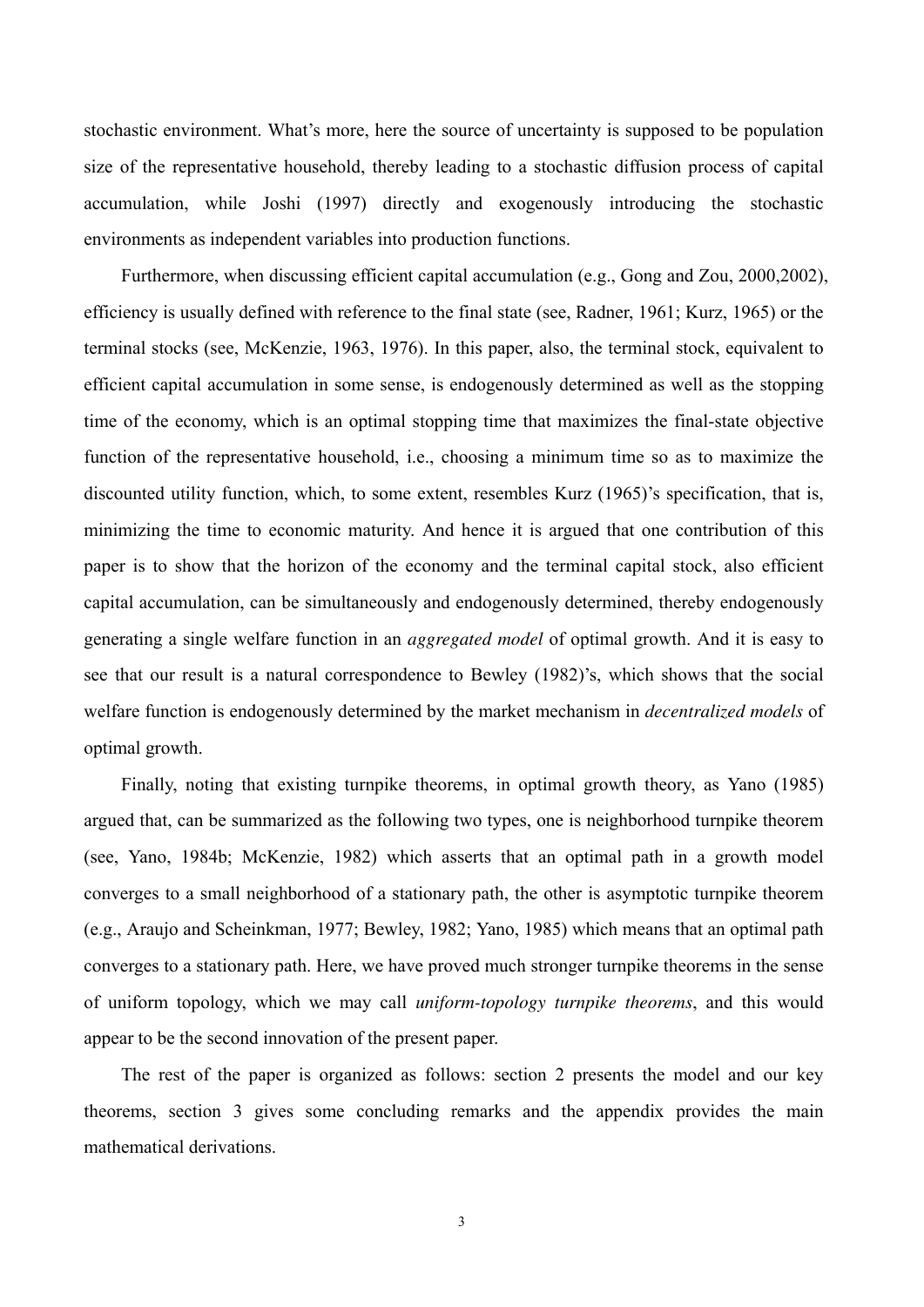stochastic environment. What's more, here the source of uncertainty is supposed to be population size of the representative household, thereby leading to a stochastic diffusion process of capital accumulation, while Joshi (1997) directly and exogenously introducing the stochastic environments as independent variables into production functions.

Furthermore, when discussing efficient capital accumulation (e.g., Gong and Zou, 2000,2002), efficiency is usually defined with reference to the final state (see, Radner, 1961; Kurz, 1965) or the terminal stocks (see, McKenzie, 1963, 1976). In this paper, also, the terminal stock, equivalent to efficient capital accumulation in some sense, is endogenously determined as well as the stopping time of the economy, which is an optimal stopping time that maximizes the final-state objective function of the representative household, i.e., choosing a minimum time so as to maximize the discounted utility function, which, to some extent, resembles Kurz (1965)'s specification, that is, minimizing the time to economic maturity. And hence it is argued that one contribution of this paper is to show that the horizon of the economy and the terminal capital stock, also efficient capital accumulation, can be simultaneously and endogenously determined, thereby endogenously generating a single welfare function in an *aggregated model* of optimal growth. And it is easy to see that our result is a natural correspondence to Bewley (1982)'s, which shows that the social welfare function is endogenously determined by the market mechanism in *decentralized models* of optimal growth.

Finally, noting that existing turnpike theorems, in optimal growth theory, as Yano (1985) argued that, can be summarized as the following two types, one is neighborhood turnpike theorem (see, Yano, 1984b; McKenzie, 1982) which asserts that an optimal path in a growth model converges to a small neighborhood of a stationary path, the other is asymptotic turnpike theorem (e.g., Araujo and Scheinkman, 1977; Bewley, 1982; Yano, 1985) which means that an optimal path converges to a stationary path. Here, we have proved much stronger turnpike theorems in the sense of uniform topology, which we may call *uniform-topology turnpike theorems*, and this would appear to be the second innovation of the present paper.

The rest of the paper is organized as follows: section 2 presents the model and our key theorems, section 3 gives some concluding remarks and the appendix provides the main mathematical derivations.

3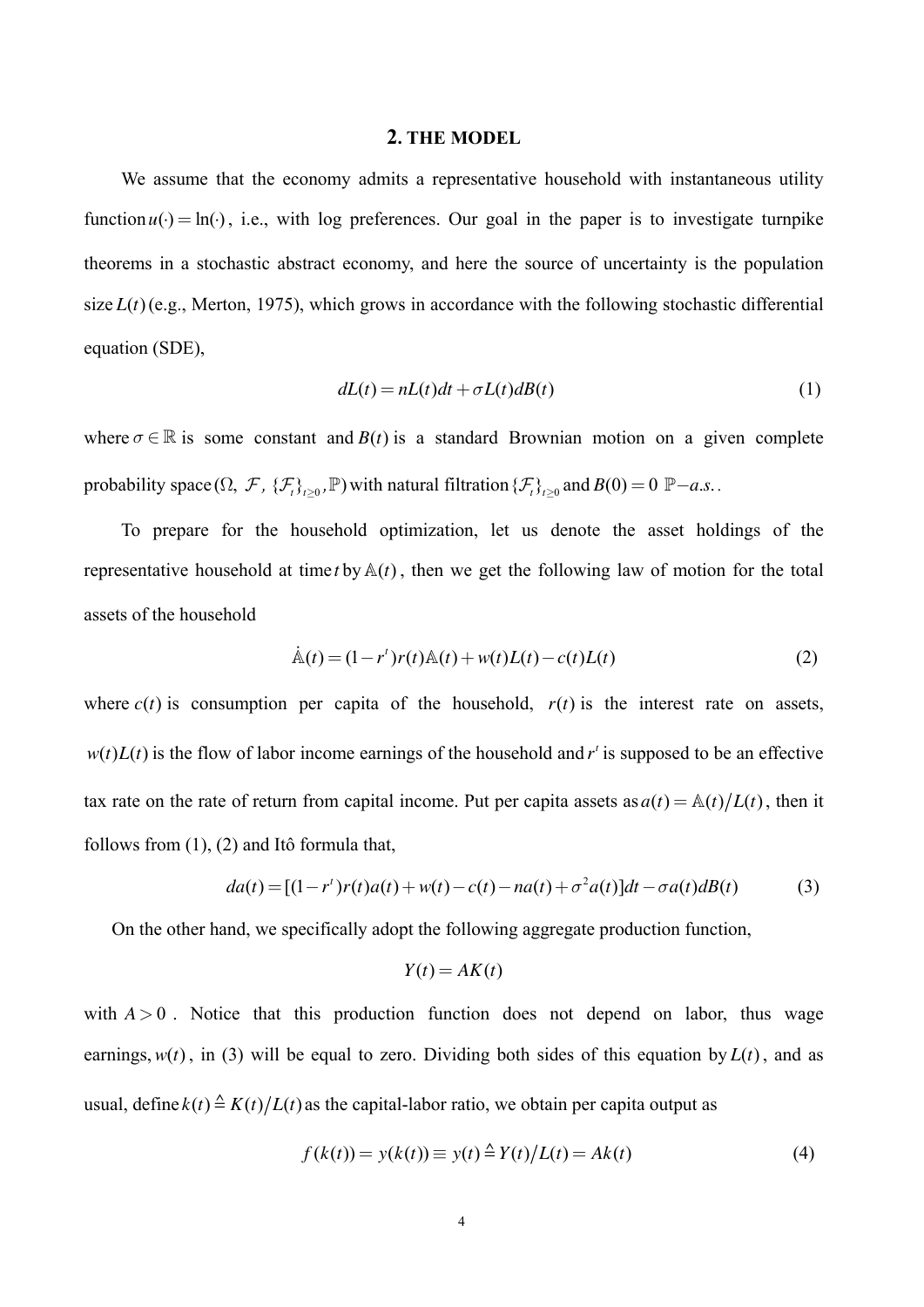#### **2. THE MODEL**

We assume that the economy admits a representative household with instantaneous utility function  $u(\cdot) = \ln(\cdot)$ , i.e., with log preferences. Our goal in the paper is to investigate turnpike theorems in a stochastic abstract economy, and here the source of uncertainty is the population size  $L(t)$  (e.g., Merton, 1975), which grows in accordance with the following stochastic differential equation (SDE),

$$
dL(t) = nL(t)dt + \sigma L(t)dB(t)
$$
\n(1)

where  $\sigma \in \mathbb{R}$  is some constant and  $B(t)$  is a standard Brownian motion on a given complete probability space  $(\Omega, \mathcal{F}, \{\mathcal{F}_t\}_{t\geq 0}, \mathbb{P})$  with natural filtration  $\{\mathcal{F}_t\}_{t\geq 0}$  and  $B(0) = 0$   $\mathbb{P}-a.s.$ .

To prepare for the household optimization, let us denote the asset holdings of the representative household at time *t* by  $A(t)$ , then we get the following law of motion for the total assets of the household

$$
\dot{\mathbb{A}}(t) = (1 - r^{t})r(t)\mathbb{A}(t) + w(t)L(t) - c(t)L(t)
$$
\n(2)

where  $c(t)$  is consumption per capita of the household,  $r(t)$  is the interest rate on assets,  $w(t)L(t)$  is the flow of labor income earnings of the household and  $r<sup>t</sup>$  is supposed to be an effective tax rate on the rate of return from capital income. Put per capita assets as  $a(t) = \mathbb{A}(t)/L(t)$ , then it follows from (1), (2) and Itô formula that,

$$
da(t) = [(1 - r^{t})r(t)a(t) + w(t) - c(t) - na(t) + \sigma^{2}a(t)]dt - \sigma a(t)dB(t)
$$
\n(3)

On the other hand, we specifically adopt the following aggregate production function,

$$
Y(t) = AK(t)
$$

with  $A > 0$ . Notice that this production function does not depend on labor, thus wage earnings,  $w(t)$ , in (3) will be equal to zero. Dividing both sides of this equation by  $L(t)$ , and as usual, define  $k(t) \triangleq K(t)/L(t)$  as the capital-labor ratio, we obtain per capita output as

$$
f(k(t)) = y(k(t)) \equiv y(t) \triangleq Y(t)/L(t) = Ak(t)
$$
\n<sup>(4)</sup>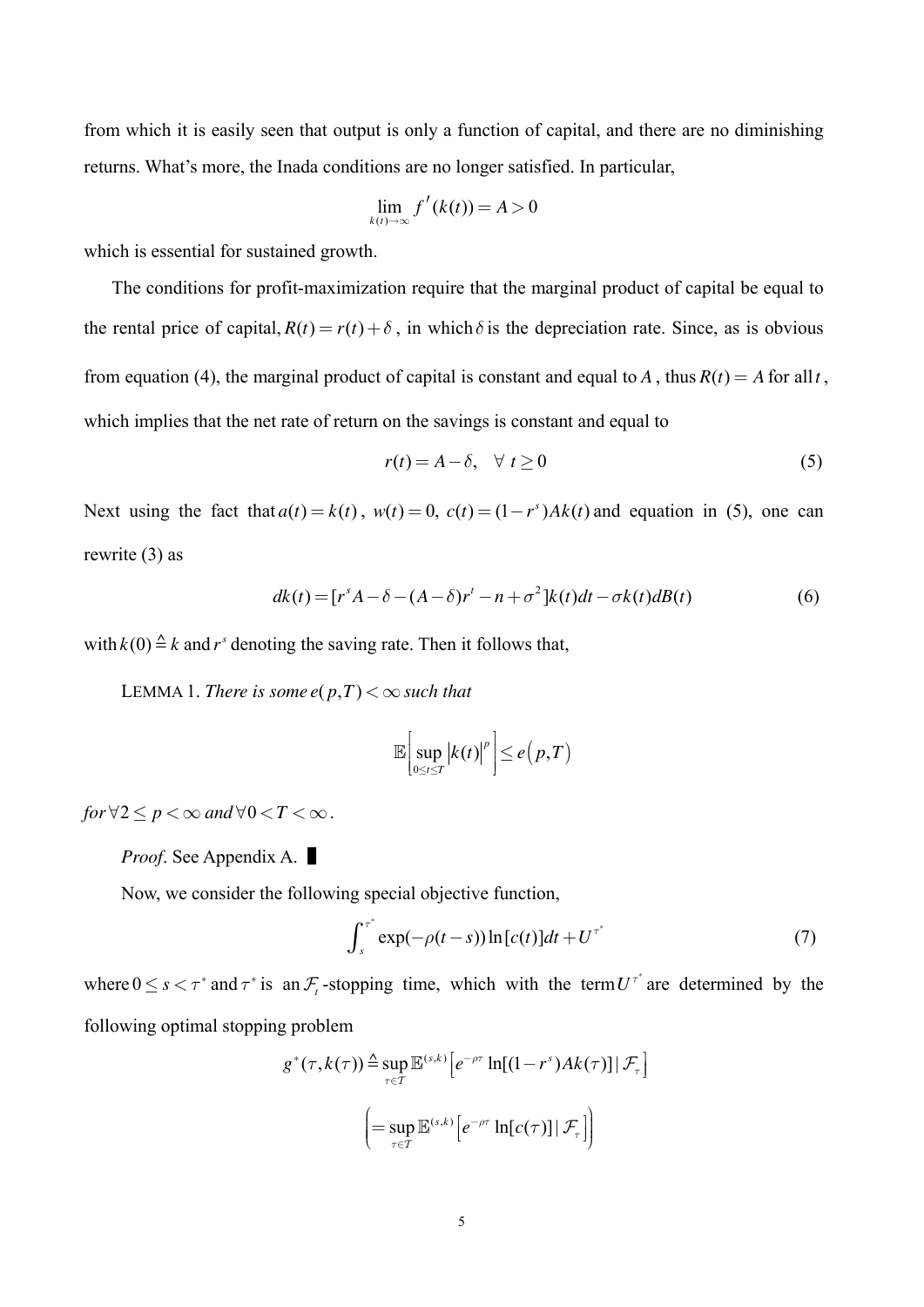from which it is easily seen that output is only a function of capital, and there are no diminishing returns. What's more, the Inada conditions are no longer satisfied. In particular,

$$
\lim_{k(t)\to\infty} f'(k(t)) = A > 0
$$

which is essential for sustained growth.

The conditions for profit-maximization require that the marginal product of capital be equal to the rental price of capital,  $R(t) = r(t) + \delta$ , in which  $\delta$  is the depreciation rate. Since, as is obvious from equation (4), the marginal product of capital is constant and equal to A, thus  $R(t) = A$  for all t, which implies that the net rate of return on the savings is constant and equal to

$$
r(t) = A - \delta, \quad \forall \ t \ge 0 \tag{5}
$$

Next using the fact that  $a(t) = k(t)$ ,  $w(t) = 0$ ,  $c(t) = (1 - r<sup>s</sup>)Ak(t)$  and equation in (5), one can rewrite  $(3)$  as

$$
dk(t) = [rsA - \delta - (A - \delta)r' - n + \sigma2]k(t)dt - \sigma k(t)dB(t)
$$
\n(6)

with  $k(0) \triangleq k$  and r<sup>s</sup> denoting the saving rate. Then it follows that,

LEMMA 1. There is some  $e(p,T) < \infty$  such that

$$
\mathbb{E}\bigg[\sup_{0\leq t\leq T}\big|k(t)\big|^p\bigg]\leq e\big(p,T\big)
$$

for  $\forall 2 \leq p < \infty$  and  $\forall 0 < T < \infty$ .

*Proof.* See Appendix A.

Now, we consider the following special objective function,

$$
\int_{s}^{\tau^*} \exp(-\rho(t-s)) \ln[c(t)]dt + U^{\tau^*}
$$
 (7)

where  $0 \le s < \tau^*$  and  $\tau^*$  is an  $\mathcal{F}_t$ -stopping time, which with the term  $U^{\tau^*}$  are determined by the following optimal stopping problem

$$
g^*(\tau, k(\tau)) \stackrel{\Delta}{=} \sup_{\tau \in \mathcal{T}} \mathbb{E}^{(s,k)} \Big[ e^{-\rho \tau} \ln[(1 - r^s) Ak(\tau)] \, | \, \mathcal{F}_\tau \Big]
$$

$$
\left( = \sup_{\tau \in \mathcal{T}} \mathbb{E}^{(s,k)} \Big[ e^{-\rho \tau} \ln[c(\tau)] \, | \, \mathcal{F}_\tau \Big] \right)
$$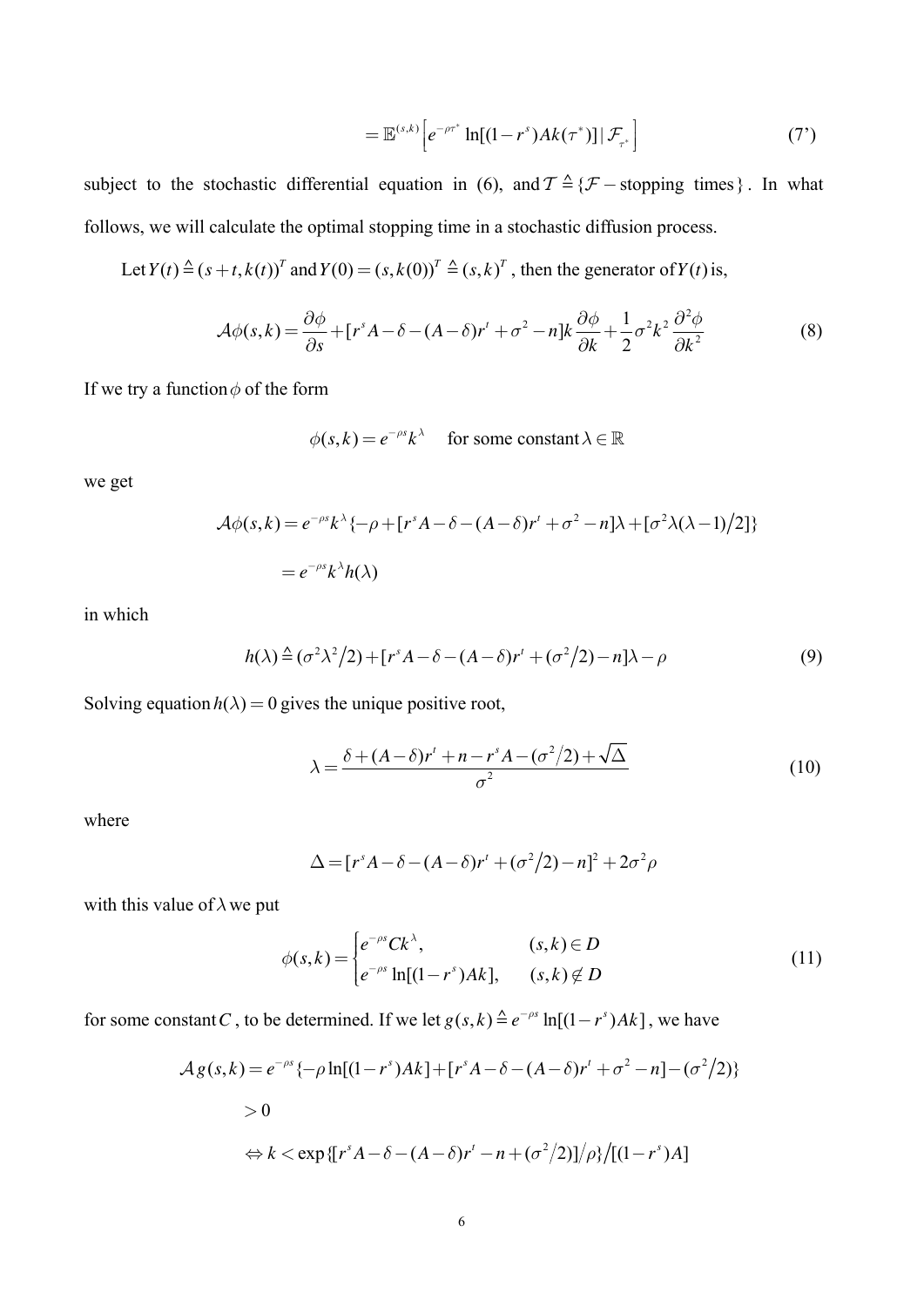$$
= \mathbb{E}^{(s,k)} \left[ e^{-\rho \tau^*} \ln[(1-r^s) Ak(\tau^*)] | \mathcal{F}_{\tau^*} \right] \tag{7'}
$$

subject to the stochastic differential equation in (6), and  $T \triangleq \{F -$ stopping times}. In what follows, we will calculate the optimal stopping time in a stochastic diffusion process.

Let  $Y(t) \triangleq (s + t, k(t))^T$  and  $Y(0) = (s, k(0))^T \triangleq (s, k)^T$ , then the generator of  $Y(t)$  is,

$$
\mathcal{A}\phi(s,k) = \frac{\partial\phi}{\partial s} + [r^s A - \delta - (A-\delta)r^t + \sigma^2 - n]k\frac{\partial\phi}{\partial k} + \frac{1}{2}\sigma^2 k^2\frac{\partial^2\phi}{\partial k^2}
$$
(8)

If we try a function  $\phi$  of the form

$$
\phi(s,k) = e^{-\rho s} k^{\lambda} \quad \text{ for some constant } \lambda \in \mathbb{R}
$$

we get

$$
\mathcal{A}\phi(s,k) = e^{-\rho s}k^{\lambda}\{-\rho + [r^sA - \delta - (A-\delta)r^t + \sigma^2 - n]\lambda + [\sigma^2\lambda(\lambda - 1)/2]\}
$$
  
=  $e^{-\rho s}k^{\lambda}h(\lambda)$ 

in which

$$
h(\lambda) \triangleq (\sigma^2 \lambda^2 / 2) + [r^s A - \delta - (A - \delta)r^t + (\sigma^2 / 2) - n]\lambda - \rho
$$
\n(9)

Solving equation  $h(\lambda) = 0$  gives the unique positive root,

$$
\lambda = \frac{\delta + (A - \delta)r' + n - r^s A - (\sigma^2/2) + \sqrt{\Delta}}{\sigma^2} \tag{10}
$$

where

$$
\Delta = [r^s A - \delta - (A - \delta)r' + (\sigma^2/2) - n]^2 + 2\sigma^2 \rho
$$

with this value of  $\lambda$  we put

$$
\phi(s,k) = \begin{cases} e^{-\rho s} C k^{\lambda}, & (s,k) \in D \\ e^{-\rho s} \ln[(1-r^s)Ak], & (s,k) \notin D \end{cases}
$$
(11)

for some constant *C*, to be determined. If we let  $g(s, k) \triangleq e^{-\rho s} \ln[(1 - r^s)Ak]$ , we have

$$
\mathcal{A}g(s,k) = e^{-\rho s} \{-\rho \ln[(1-r^s)Ak] + [r^s A - \delta - (A-\delta)r^t + \sigma^2 - n] - (\sigma^2/2) \}
$$
  
> 0  

$$
\Leftrightarrow k < \exp\{[r^s A - \delta - (A-\delta)r^t - n + (\sigma^2/2)]/\rho\} / [(1-r^s)A]
$$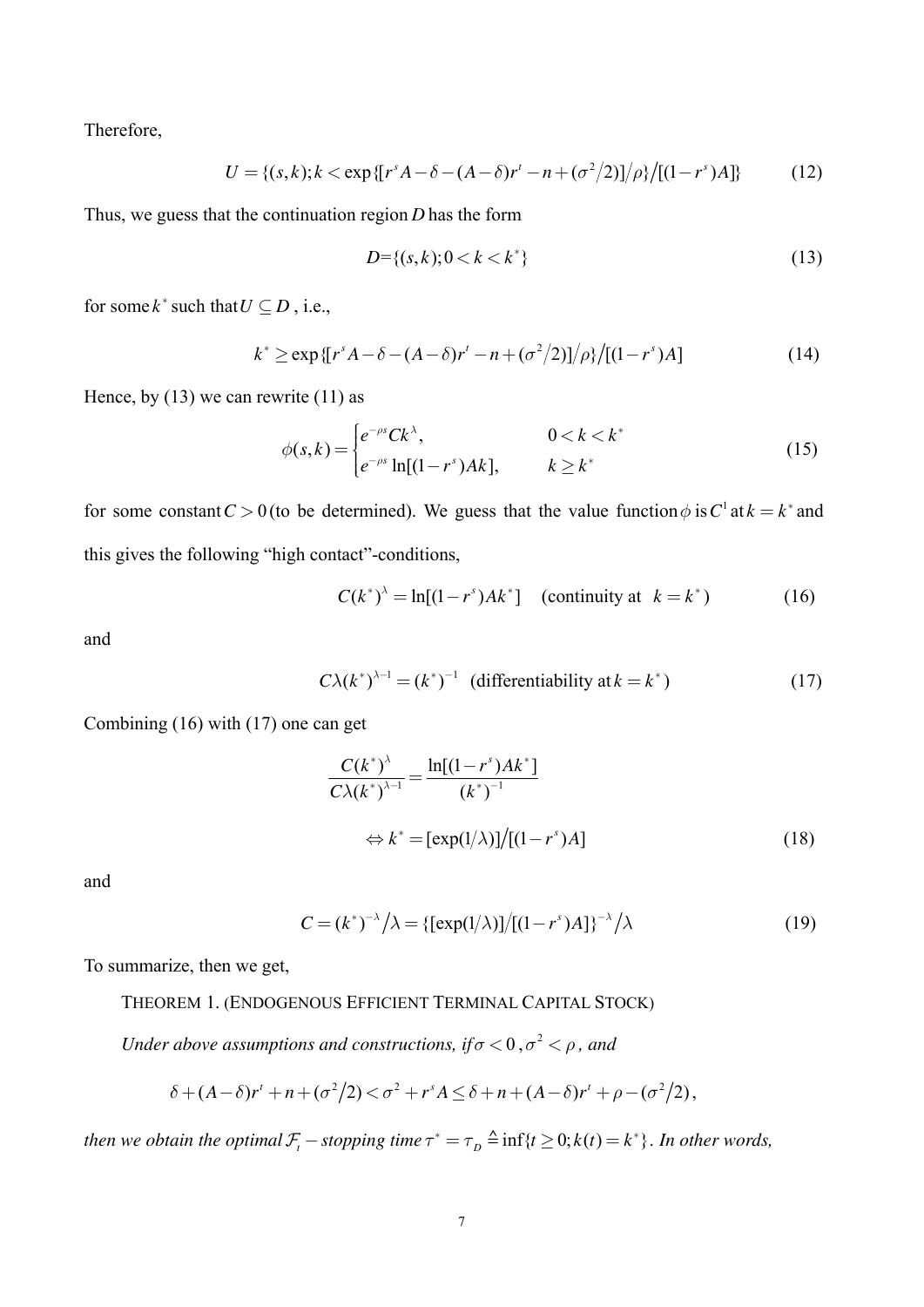Therefore,

$$
U = \{(s,k); k < \exp\{\left[r^s A - \delta - (A - \delta)r^t - n + (\sigma^2/2)\right]/\rho\} / \left[(1 - r^s)A\right]\} \tag{12}
$$

Thus, we guess that the continuation region *D* has the form

$$
D = \{(s, k); 0 < k < k^*\} \tag{13}
$$

for some  $k^*$  such that  $U \subseteq D$ , i.e.,

$$
k^* \ge \exp\{[r^s A - \delta - (A - \delta)r^t - n + (\sigma^2/2)]/\rho\}/[(1 - r^s)A] \tag{14}
$$

Hence, by  $(13)$  we can rewrite  $(11)$  as

$$
\phi(s,k) = \begin{cases} e^{-\rho s} C k^{\lambda}, & 0 < k < k^* \\ e^{-\rho s} \ln[(1-r^s)Ak], & k \ge k^* \end{cases} \tag{15}
$$

for some constant  $C > 0$  (to be determined). We guess that the value function  $\phi$  is  $C^1$  at  $k = k^*$  and this gives the following "high contact"-conditions,

$$
C(k^*)^{\lambda} = \ln[(1 - r^s)Ak^*]
$$
 (continuity at  $k = k^*$ ) (16)

and

$$
C\lambda(k^*)^{\lambda-1} = (k^*)^{-1} \quad \text{(differentiability at } k = k^*)
$$
 (17)

Combining (16) with (17) one can get

$$
\frac{C(k^*)^{\lambda}}{C\lambda(k^*)^{\lambda-1}} = \frac{\ln[(1-r^s)Ak^*]}{(k^*)^{-1}}
$$

$$
\Leftrightarrow k^* = [\exp(1/\lambda)]/[(1-r^s)A]
$$
(18)

and

$$
C = (k^*)^{-\lambda} / \lambda = \{ [\exp(1/\lambda)] / [(1 - r^s)A] \}^{-\lambda} / \lambda
$$
 (19)

To summarize, then we get,

THEOREM 1. (ENDOGENOUS EFFICIENT TERMINAL CAPITAL STOCK)

*Under above assumptions and constructions, if*  $\sigma$  < 0, $\sigma$ <sup>2</sup> <  $\rho$ , and

$$
\delta + (A - \delta)r' + n + (\sigma^2/2) < \sigma^2 + r^s A \leq \delta + n + (A - \delta)r' + \rho - (\sigma^2/2),
$$

*then we obtain the optimal*  $\mathcal{F}_t$  – *stopping time*  $\tau^* = \tau_D \stackrel{\Delta}{=} \inf\{t \geq 0; k(t) = k^*\}$ . In other words,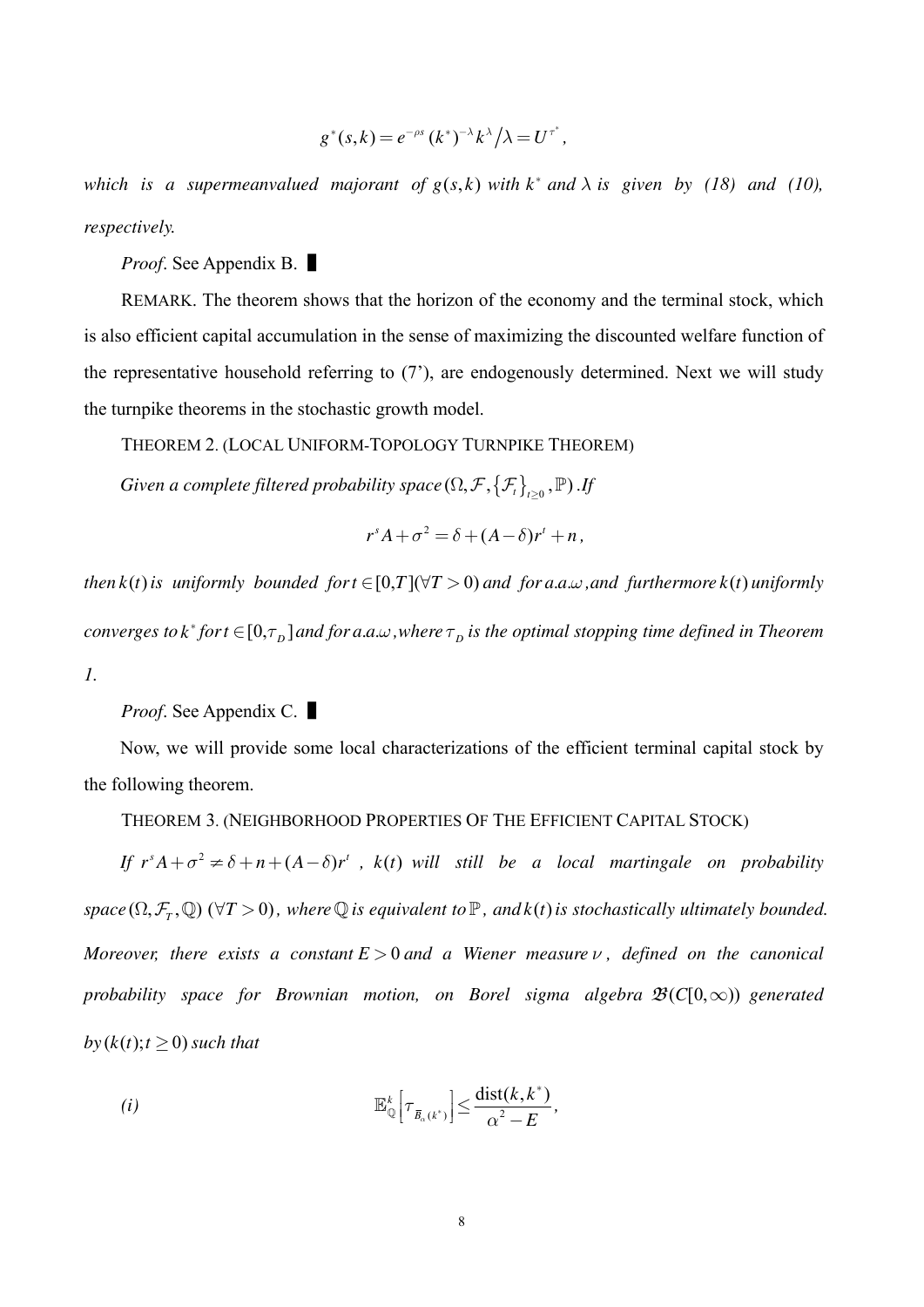$$
g^*(s,k) = e^{-\rho s} (k^*)^{-\lambda} k^{\lambda} / \lambda = U^{\tau^*},
$$

which is a supermeanvalued majorant of  $g(s, k)$  with  $k^*$  and  $\lambda$  is given by (18) and (10), *respectively.*

*Proof.* See Appendix B. ■

REMARK. The theorem shows that the horizon of the economy and the terminal stock, which is also efficient capital accumulation in the sense of maximizing the discounted welfare function of the representative household referring to (7'), are endogenously determined. Next we will study the turnpike theorems in the stochastic growth model.

THEOREM 2. (LOCAL UNIFORM-TOPOLOGY TURNPIKE THEOREM)

*Given a complete filtered probability space* ( $\Omega, \mathcal{F}, {\{\mathcal{F}_t\}}_{t\geq0}$  ,  $\mathbb{P})$  .If

$$
r^{s}A+\sigma^{2}=\delta+(A-\delta)r^{t}+n,
$$

*then*  $k(t)$  *is uniformly bounded for*  $t \in [0, T](\forall T > 0)$  *and for a.a.w, and furthermore*  $k(t)$  *uniformly converges to*  $k^*$  *for*  $t \in [0, \tau_D]$  *and for a.a.* ..., *where*  $\tau_D$  *is the optimal stopping time defined in Theorem 1.*

*Proof*. See Appendix C. ▌

Now, we will provide some local characterizations of the efficient terminal capital stock by the following theorem.

THEOREM 3. (NEIGHBORHOOD PROPERTIES OF THE EFFICIENT CAPITAL STOCK)

If  $r^s A + \sigma^2 \neq \delta + n + (A - \delta)r^t$ ,  $k(t)$  will still be a local martingale on probability *space*  $(\Omega, \mathcal{F}_T, \mathbb{Q})$  ( $\forall T > 0$ ), where  $\mathbb{Q}$  *is equivalent to*  $\mathbb{P}$ , and  $k(t)$  *is stochastically ultimately bounded. Moreover, there exists a constant*  $E > 0$  *and a Wiener measure*  $\nu$ , *defined on the canonical probability space for Brownian motion, on Borel sigma algebra*  $\mathcal{B}(C[0,\infty))$  *generated*  $b\mathbf{y}(k(t); t \geq 0)$  *such that* 

(i) 
$$
\mathbb{E}_{\mathbb{Q}}^k \left[ \tau_{\overline{B}_{\alpha}(k^*)} \right] \leq \frac{\text{dist}(k, k^*)}{\alpha^2 - E},
$$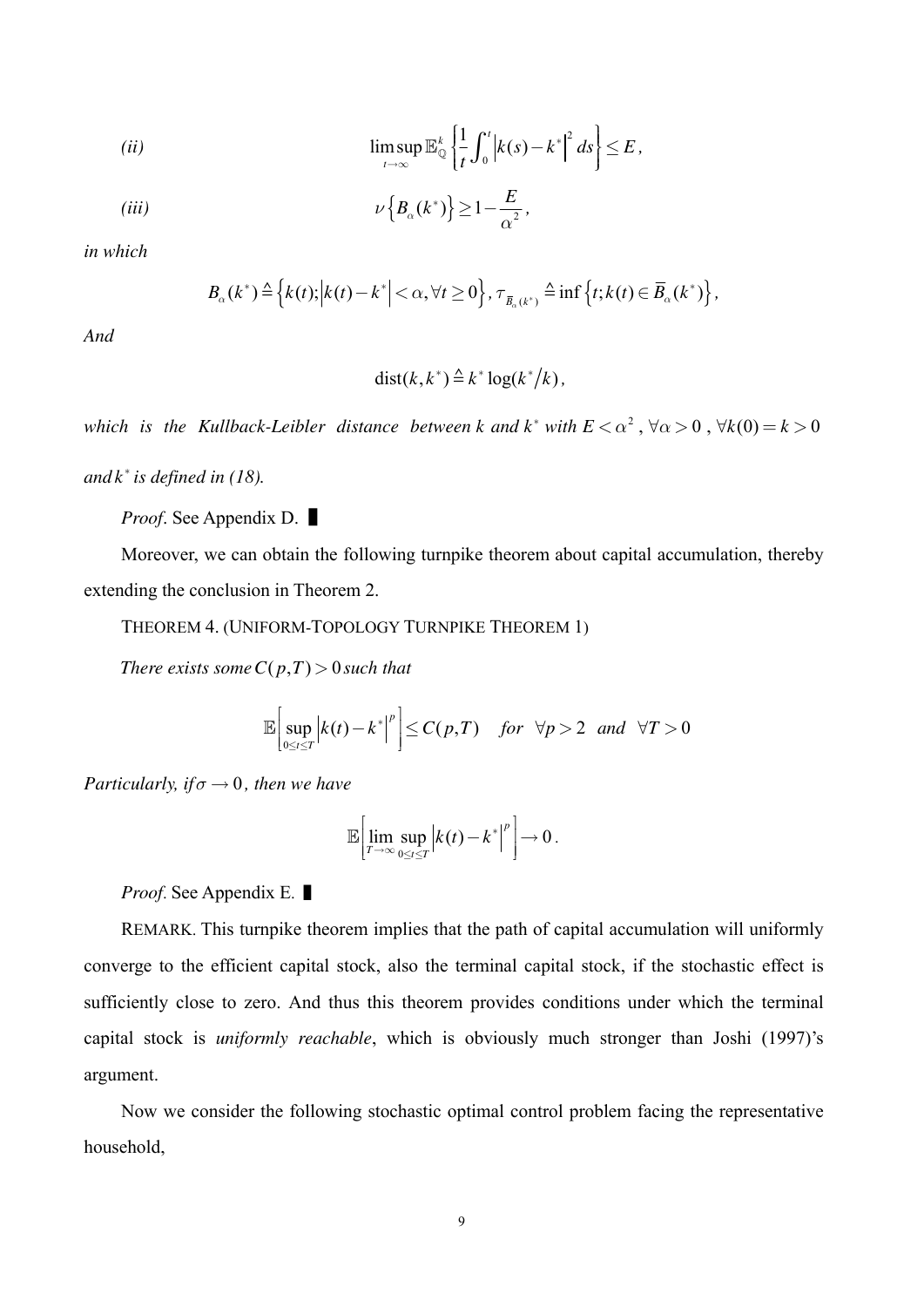$$
\limsup_{t \to \infty} \mathbb{E}_{\mathbb{Q}}^k \left\{ \frac{1}{t} \int_0^t \left| k(s) - k^* \right|^2 ds \right\} \le E
$$

$$
(iii) \t\t\t \nu\left\{B_{\alpha}(k^*)\right\} \ge 1 - \frac{E}{\alpha^2}
$$

in which

$$
B_{\alpha}(k^*) \triangleq \left\{k(t); \left|k(t) - k^*\right| < \alpha, \forall t \geq 0\right\}, \tau_{\overline{B}_{\alpha}(k^*)} \triangleq \inf\left\{t; k(t) \in \overline{B}_{\alpha}(k^*)\right\},\
$$

And

$$
dist(k, k^*) \stackrel{\Delta}{=} k^* \log(k^*/k),
$$

which is the Kullback-Leibler distance between k and k\* with  $E < \alpha^2$ ,  $\forall \alpha > 0$ ,  $\forall k(0) = k > 0$ 

and  $k^*$  is defined in (18).

*Proof.* See Appendix D.

Moreover, we can obtain the following turnpike theorem about capital accumulation, thereby extending the conclusion in Theorem 2.

THEOREM 4. (UNIFORM-TOPOLOGY TURNPIKE THEOREM 1)

There exists some  $C(p,T) > 0$  such that

$$
\mathbb{E}\bigg[\sup_{0\leq t\leq T}\bigg|k(t)-k^*\bigg|^p\bigg]\leq C(p,T)\quad \text{for } \forall p>2 \text{ and } \forall T>0
$$

Particularly, if  $\sigma \rightarrow 0$ , then we have

$$
\mathbb{E}\left[\lim_{T\to\infty}\sup_{0\leq t\leq T}\left|k(t)-k^*\right|^p\right]\to 0.
$$

*Proof.* See Appendix E.

REMARK. This turnpike theorem implies that the path of capital accumulation will uniformly converge to the efficient capital stock, also the terminal capital stock, if the stochastic effect is sufficiently close to zero. And thus this theorem provides conditions under which the terminal capital stock is *uniformly reachable*, which is obviously much stronger than Joshi (1997)'s argument.

Now we consider the following stochastic optimal control problem facing the representative household.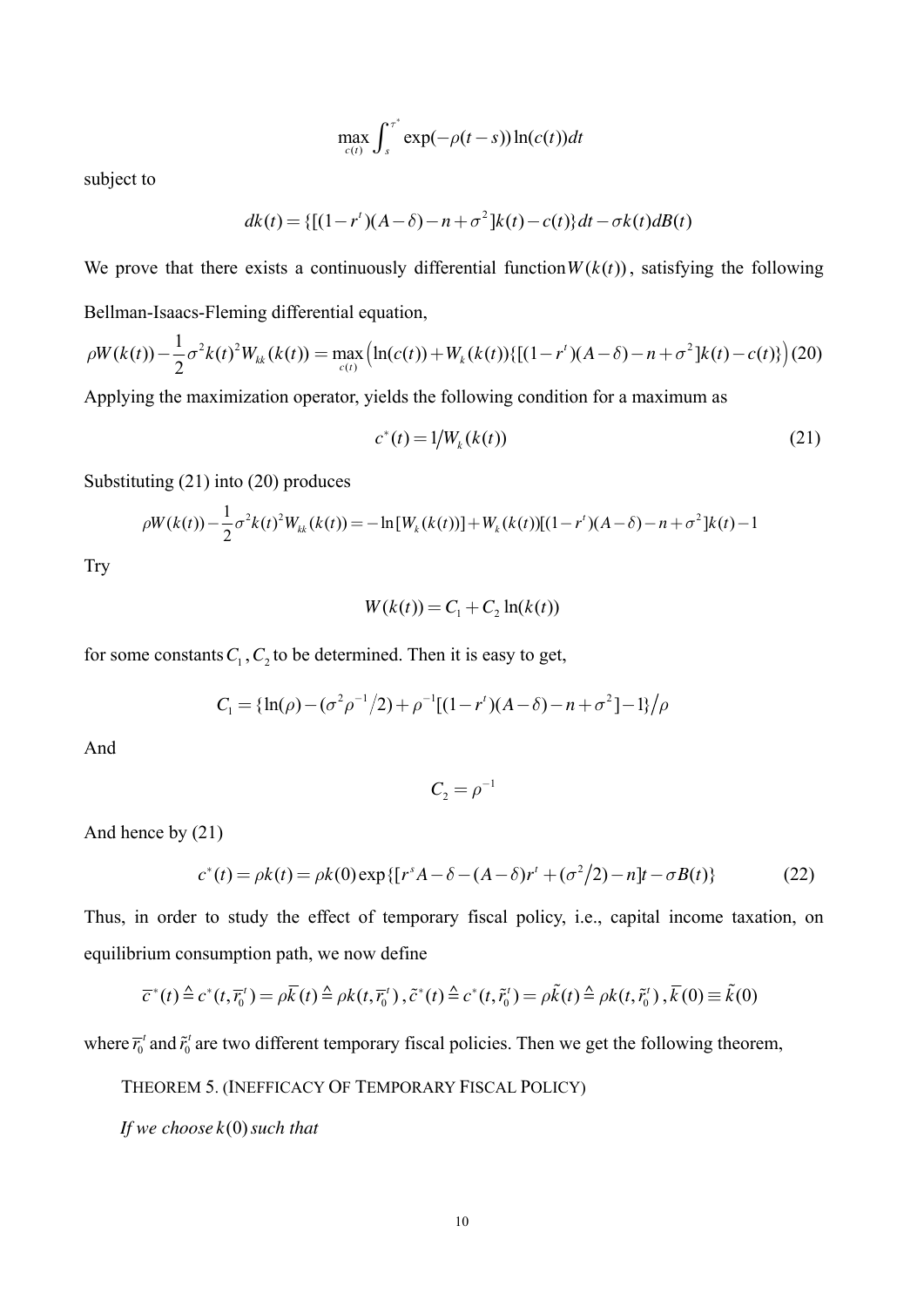$$
\max_{c(t)} \int_{s}^{\tau^*} \exp(-\rho(t-s)) \ln(c(t)) dt
$$

subject to

$$
dk(t) = \{ [(1 - r^{t})(A - \delta) - n + \sigma^{2}]k(t) - c(t) \}dt - \sigma k(t)dB(t)
$$

We prove that there exists a continuously differential function  $W(k(t))$ , satisfying the following Bellman-Isaacs-Fleming differential equation,

$$
\rho W(k(t)) - \frac{1}{2}\sigma^2 k(t)^2 W_{kk}(k(t)) = \max_{c(t)} \left( \ln(c(t)) + W_k(k(t)) \{ [(1 - r^t)(A - \delta) - n + \sigma^2] k(t) - c(t) \} \right) (20)
$$

Applying the maximization operator, yields the following condition for a maximum as

$$
c^*(t) = 1/W_k(k(t))
$$
\n(21)

Substituting (21) into (20) produces

$$
\rho W(k(t)) - \frac{1}{2}\sigma^2 k(t)^2 W_{kk}(k(t)) = -\ln[W_k(k(t))] + W_k(k(t))[(1-r^t)(A-\delta) - n + \sigma^2]k(t) - 1
$$

**Try** 

$$
W(k(t)) = C1 + C2 ln(k(t))
$$

for some constants  $C_1$ ,  $C_2$  to be determined. Then it is easy to get,

$$
C_1 = \{\ln(\rho) - (\sigma^2 \rho^{-1}/2) + \rho^{-1}[(1 - r^t)(A - \delta) - n + \sigma^2] - 1\}/\rho
$$

And

$$
C_2 = \rho^{-1}
$$

And hence by (21)

$$
c^*(t) = \rho k(t) = \rho k(0) \exp\{ [r^s A - \delta - (A - \delta)r^t + (\sigma^2/2) - n]t - \sigma B(t) \}
$$
(22)

Thus, in order to study the effect of temporary fiscal policy, i.e., capital income taxation, on equilibrium consumption path, we now define

$$
\overline{c}^*(t) \triangleq c^*(t, \overline{r_0}^t) = \rho \overline{k}(t) \triangleq \rho k(t, \overline{r_0}^t), \tilde{c}^*(t) \triangleq c^*(t, \tilde{r_0}^t) = \rho \tilde{k}(t) \triangleq \rho k(t, \tilde{r_0}^t), \overline{k}(0) \equiv \tilde{k}(0)
$$

where  $\overline{r}_0^t$  and  $\tilde{r}_0^t$  are two different temporary fiscal policies. Then we get the following theorem,

THEOREM 5. (INEFFICACY OF TEMPORARY FISCAL POLICY)

*If* we choose  $k(0)$  such that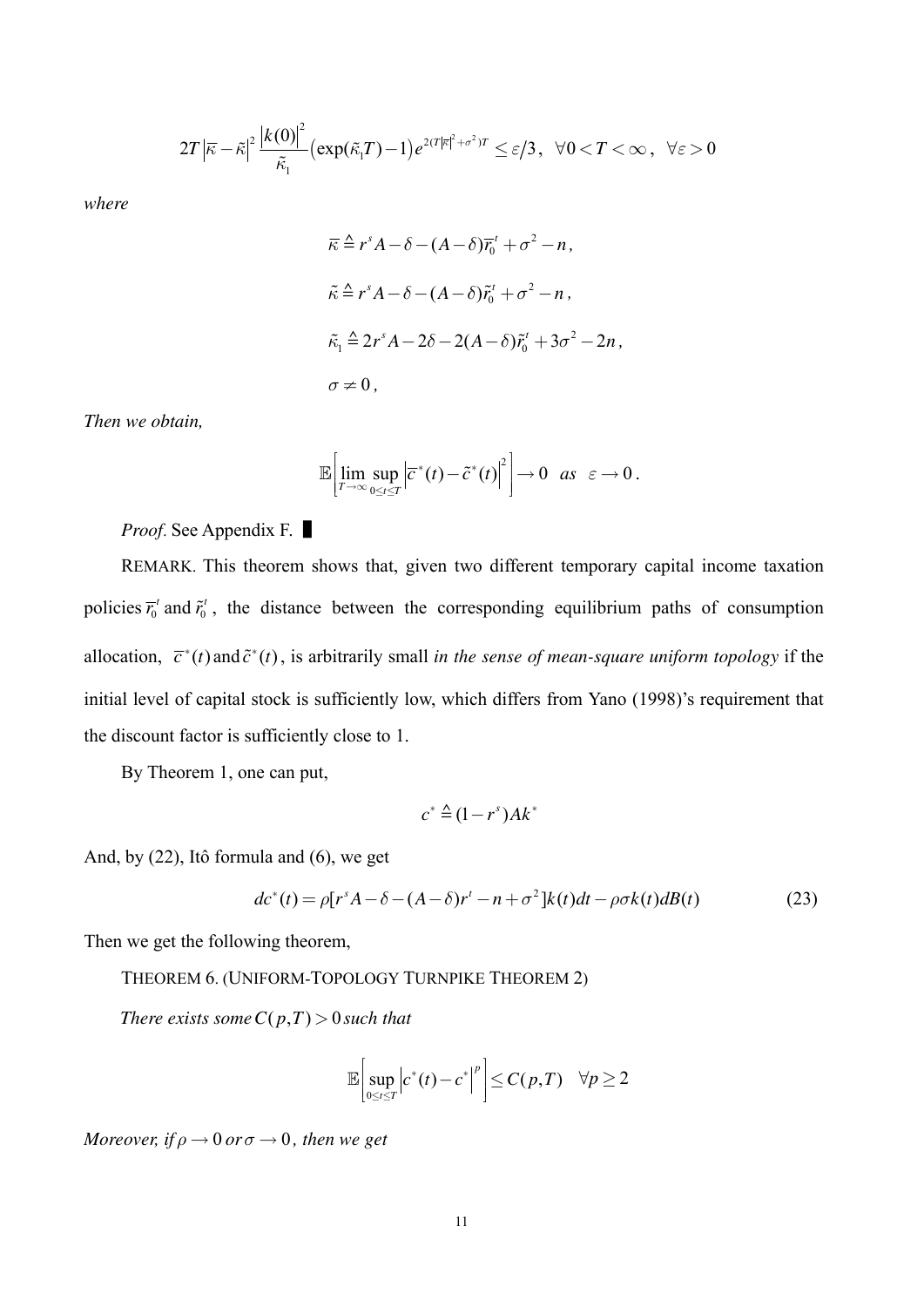$$
2T\left|\bar{\kappa}-\tilde{\kappa}\right|^2\frac{\left|k(0)\right|^2}{\tilde{\kappa}_1}\left(\exp(\tilde{\kappa}_1T)-1\right)e^{2(T|\bar{\kappa}|^2+\sigma^2)T}\leq \varepsilon/3\,,\ \ \forall 00
$$

where

$$
\overline{\kappa} \stackrel{\Delta}{=} r^s A - \delta - (A - \delta) \overline{r}_0^t + \sigma^2 - n,
$$
  
\n
$$
\tilde{\kappa} \stackrel{\Delta}{=} r^s A - \delta - (A - \delta) \tilde{r}_0^t + \sigma^2 - n,
$$
  
\n
$$
\tilde{\kappa}_1 \stackrel{\Delta}{=} 2r^s A - 2\delta - 2(A - \delta) \tilde{r}_0^t + 3\sigma^2 - 2n,
$$
  
\n
$$
\sigma \neq 0,
$$

Then we obtain,

$$
\mathbb{E}\bigg[\lim_{T\to\infty}\sup_{0\leq t\leq T}\big|\overline{c}^*(t)-\tilde{c}^*(t)\big|^2\bigg]\to 0 \text{ as } \varepsilon\to 0.
$$

*Proof.* See Appendix F.

REMARK. This theorem shows that, given two different temporary capital income taxation policies  $\overline{r}_0^t$  and  $\widetilde{r}_0^t$ , the distance between the corresponding equilibrium paths of consumption allocation,  $\overline{c}^*(t)$  and  $\overline{c}^*(t)$ , is arbitrarily small in the sense of mean-square uniform topology if the initial level of capital stock is sufficiently low, which differs from Yano (1998)'s requirement that the discount factor is sufficiently close to 1.

By Theorem 1, one can put,

$$
c^* \triangleq (1 - r^s) Ak^*
$$

And, by  $(22)$ , Itô formula and  $(6)$ , we get

$$
dc^*(t) = \rho[r^s A - \delta - (A - \delta)r^t - n + \sigma^2]k(t)dt - \rho \sigma k(t)dB(t)
$$
\n(23)

Then we get the following theorem,

THEOREM 6. (UNIFORM-TOPOLOGY TURNPIKE THEOREM 2)

There exists some  $C(p,T) > 0$  such that

$$
\mathbb{E}\bigg[\sup_{0\leq t\leq T}\bigg|c^*(t)-c^*\bigg|^p\bigg]\leq C(p,T)\quad \forall p\geq 2
$$

Moreover, if  $\rho \rightarrow 0$  or  $\sigma \rightarrow 0$ , then we get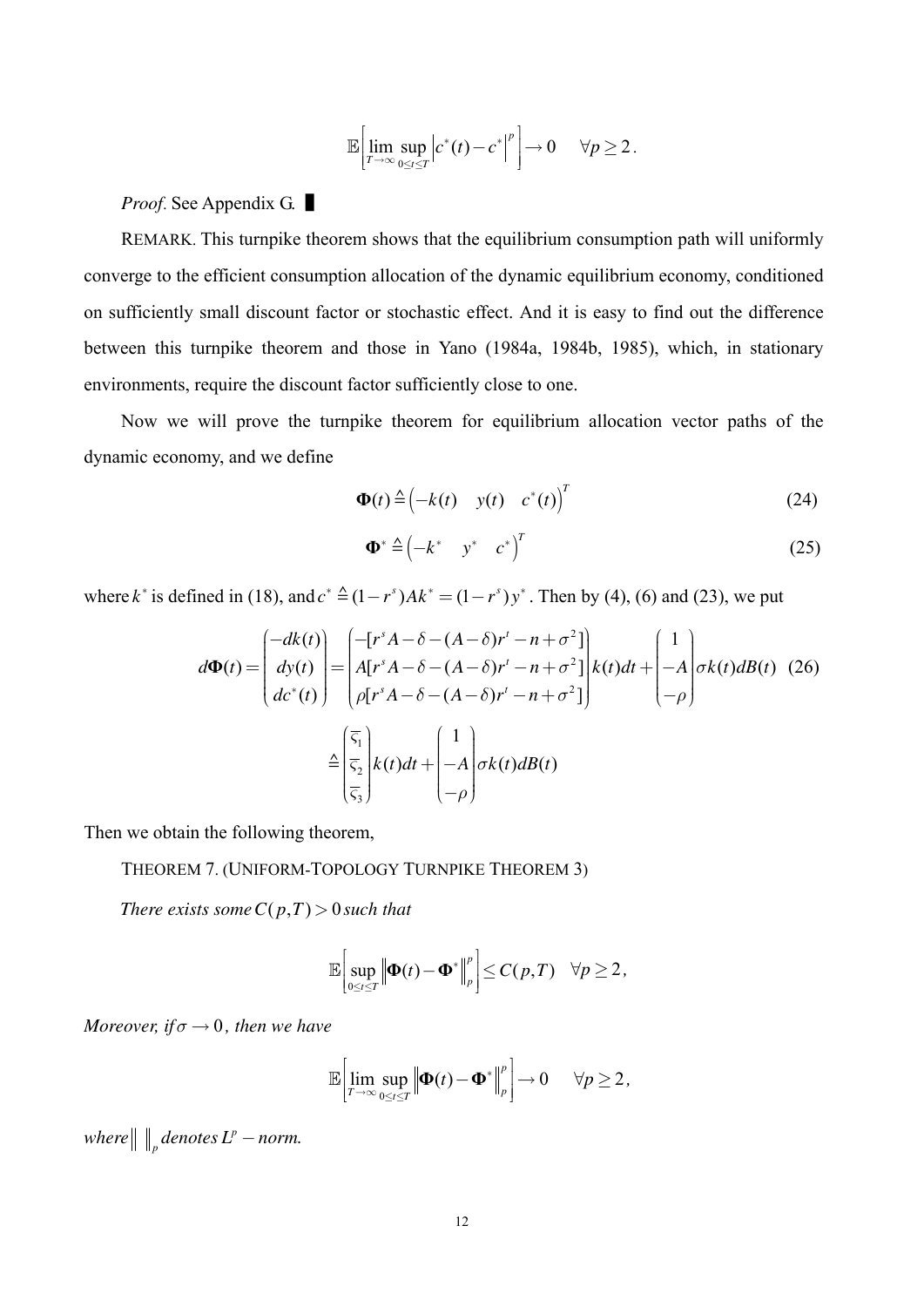$$
\mathbb{E}\bigg[\lim_{T\to\infty}\sup_{0\leq t\leq T}\Big|c^*(t)-c^*\Big|^p\bigg]\to 0\qquad\forall p\geq 2\,.
$$

#### *Proof.* See Appendix G.

REMARK. This turnpike theorem shows that the equilibrium consumption path will uniformly converge to the efficient consumption allocation of the dynamic equilibrium economy, conditioned on sufficiently small discount factor or stochastic effect. And it is easy to find out the difference between this turnpike theorem and those in Yano (1984a, 1984b, 1985), which, in stationary environments, require the discount factor sufficiently close to one.

Now we will prove the turnpike theorem for equilibrium allocation vector paths of the dynamic economy, and we define

$$
\mathbf{\Phi}(t) \triangleq \begin{pmatrix} -k(t) & y(t) & c^*(t) \end{pmatrix}^T
$$
 (24)

$$
\Phi^* \triangleq \begin{pmatrix} -k^* & y^* & c^* \end{pmatrix}^T \tag{25}
$$

where k<sup>\*</sup> is defined in (18), and  $c^* \triangleq (1 - r^s)Ak^* = (1 - r^s)y^*$ . Then by (4), (6) and (23), we put

$$
d\Phi(t) = \begin{pmatrix} -dk(t) \\ dy(t) \\ dz^*(t) \end{pmatrix} = \begin{pmatrix} -[r^s A - \delta - (A - \delta)r^t - n + \sigma^2] \\ A[r^s A - \delta - (A - \delta)r^t - n + \sigma^2] \\ \rho[r^s A - \delta - (A - \delta)r^t - n + \sigma^2] \end{pmatrix} k(t)dt + \begin{pmatrix} 1 \\ -A \\ -\rho \end{pmatrix} \sigma k(t)dB(t) \tag{26}
$$

$$
\triangleq \begin{pmatrix} \overline{\varsigma}_1 \\ \overline{\varsigma}_2 \\ \overline{\varsigma}_3 \end{pmatrix} k(t)dt + \begin{pmatrix} 1 \\ -A \\ -\rho \end{pmatrix} \sigma k(t)dB(t)
$$

Then we obtain the following theorem,

THEOREM 7. (UNIFORM-TOPOLOGY TURNPIKE THEOREM 3)

There exists some  $C(p,T) > 0$  such that

$$
\mathbb{E}\bigg[\sup_{0\leq t\leq T}\big\|\boldsymbol{\Phi}(t)-\boldsymbol{\Phi}^*\big\|_p^p\bigg]\leq C(p,T)\quad \forall p\geq 2,
$$

Moreover, if  $\sigma \rightarrow 0$ , then we have

$$
\mathbb{E}\bigg[\lim_{T\to\infty}\sup_{0\leq t\leq T}\bigg|\bigg|\mathbf{\Phi}(t)-\mathbf{\Phi}^*\bigg|_p^p\bigg]\to 0 \qquad \forall p\geq 2\,,
$$

where  $\|\,\|_p$  denotes  $L^p$  – norm.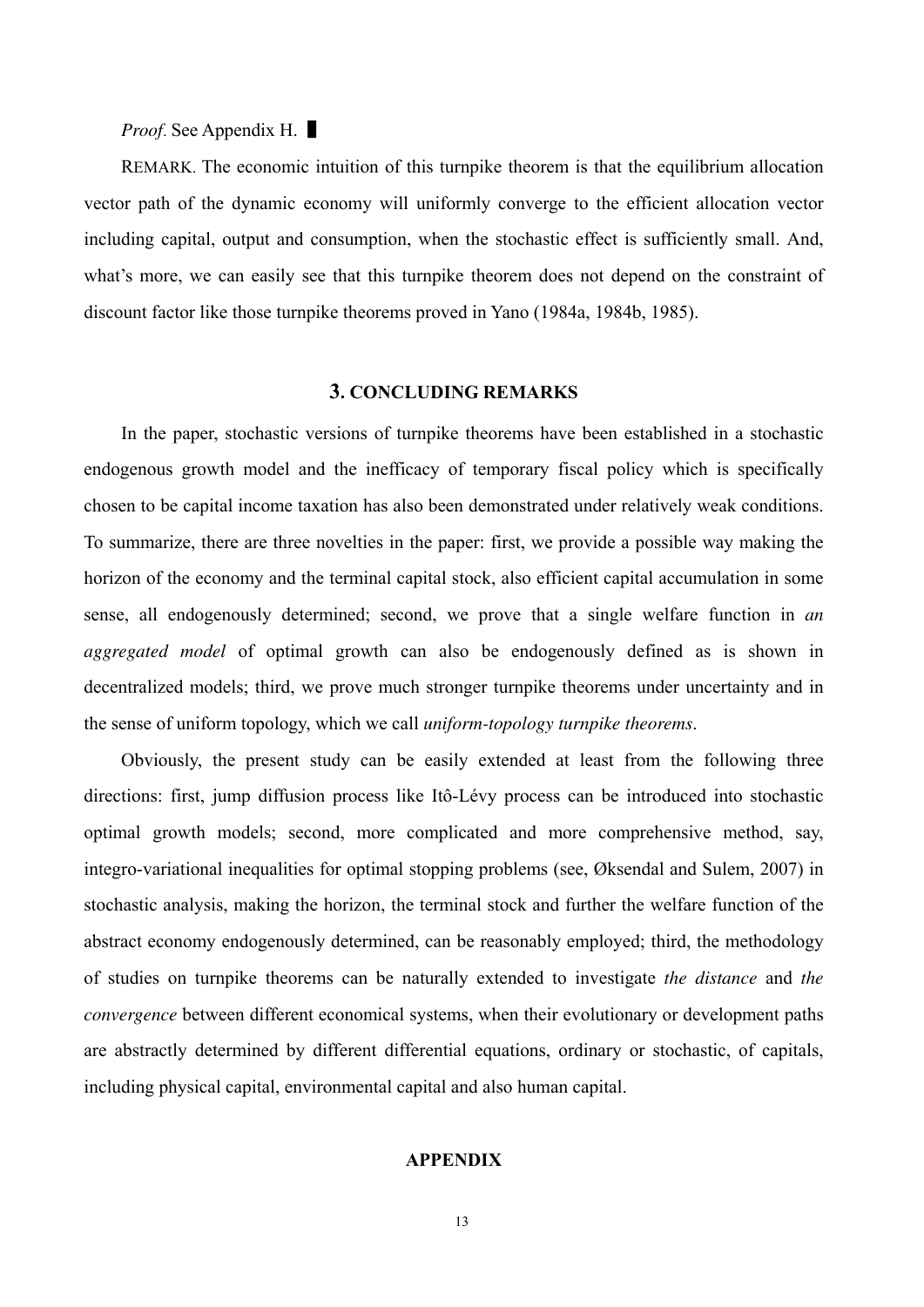*Proof.* See Appendix H. ■

REMARK. The economic intuition of this turnpike theorem is that the equilibrium allocation vector path of the dynamic economy will uniformly converge to the efficient allocation vector including capital, output and consumption, when the stochastic effect is sufficiently small. And, what's more, we can easily see that this turnpike theorem does not depend on the constraint of discount factor like those turnpike theorems proved in Yano (1984a, 1984b, 1985).

#### **3. CONCLUDING REMARKS**

In the paper, stochastic versions of turnpike theorems have been established in a stochastic endogenous growth model and the inefficacy of temporary fiscal policy which is specifically chosen to be capital income taxation has also been demonstrated under relatively weak conditions. To summarize, there are three novelties in the paper: first, we provide a possible way making the horizon of the economy and the terminal capital stock, also efficient capital accumulation in some sense, all endogenously determined; second, we prove that a single welfare function in *an aggregated model* of optimal growth can also be endogenously defined as is shown in decentralized models; third, we prove much stronger turnpike theorems under uncertainty and in the sense of uniform topology, which we call *uniform-topology turnpike theorems*.

Obviously, the present study can be easily extended at least from the following three directions: first, jump diffusion process like Itô-Lévy process can be introduced into stochastic optimal growth models; second, more complicated and more comprehensive method, say, integro-variational inequalities for optimal stopping problems (see, Øksendal and Sulem, 2007) in stochastic analysis, making the horizon, the terminal stock and further the welfare function of the abstract economy endogenously determined, can be reasonably employed; third, the methodology of studies on turnpike theorems can be naturally extended to investigate *the distance* and *the convergence* between different economical systems, when their evolutionary or development paths are abstractly determined by different differential equations, ordinary or stochastic, of capitals, including physical capital, environmental capital and also human capital.

#### **APPENDIX**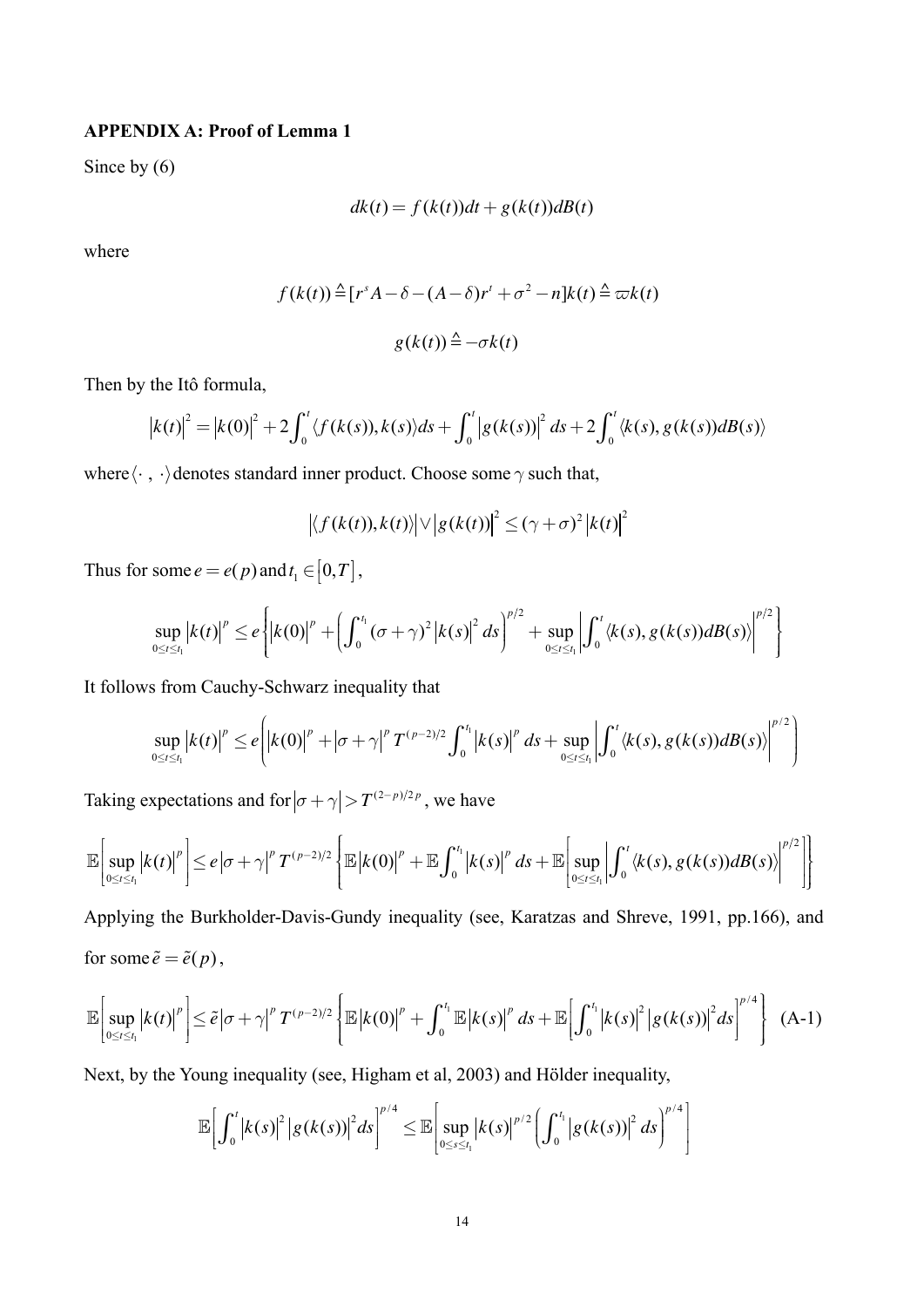#### **APPENDIX A: Proof of Lemma 1**

Since by  $(6)$ 

$$
dk(t) = f(k(t))dt + g(k(t))dB(t)
$$

where

$$
f(k(t)) \triangleq [r^{s} A - \delta - (A - \delta)r^{t} + \sigma^{2} - n]k(t) \triangleq \varpi k(t)
$$

$$
g(k(t)) \triangleq -\sigma k(t)
$$

Then by the Itô formula,

$$
|k(t)|^{2} = |k(0)|^{2} + 2 \int_{0}^{t} \langle f(k(s)), k(s) \rangle ds + \int_{0}^{t} |g(k(s))|^{2} ds + 2 \int_{0}^{t} \langle k(s), g(k(s))dB(s) \rangle
$$

where  $\langle\cdot\ ,\ \cdot\rangle$  denotes standard inner product. Choose some  $\gamma$  such that,

$$
\left| \langle f(k(t)), k(t) \rangle \right| \vee \left| g(k(t)) \right|^2 \leq (\gamma + \sigma)^2 \left| k(t) \right|^2
$$

Thus for some  $e = e(p)$  and  $t_1 \in [0, T]$ ,

$$
\sup_{0\leq t\leq t_1} |k(t)|^p \leq e \left\{ \left| k(0) \right|^p + \left( \int_0^{t_1} (\sigma + \gamma)^2 \left| k(s) \right|^2 ds \right)^{p/2} + \sup_{0\leq t \leq t_1} \left| \int_0^t \langle k(s), g(k(s))dB(s) \rangle \right|^{p/2} \right\}
$$

It follows from Cauchy-Schwarz inequality that

$$
\sup_{0 \leq t \leq t_1} |k(t)|^p \leq e \left( \left| k(0) \right|^p + \left| \sigma + \gamma \right|^p T^{(p-2)/2} \int_0^{t_1} \left| k(s) \right|^p ds + \sup_{0 \leq t \leq t_1} \left| \int_0^t \langle k(s), g(k(s)) dB(s) \rangle \right|^{p/2} \right)
$$

Taking expectations and for  $|\sigma + \gamma| > T^{(2-p)/2p}$ , we have

$$
\mathbb{E}\bigg[\sup_{0\leq t\leq t_1}\big|k(t)\big|^p\bigg]\leq e\big|\sigma+\gamma\big|^p\,T^{(p-2)/2}\left\{\mathbb{E}\big|k(0)\big|^p+\mathbb{E}\int_0^{t_1}\big|k(s)\big|^p\,ds+\mathbb{E}\bigg[\sup_{0\leq t\leq t_1}\big| \int_0^t\big\langle k(s),g(k(s))dB(s)\big\rangle\big|^{p/2}\big|\right\}
$$

Applying the Burkholder-Davis-Gundy inequality (see, Karatzas and Shreve, 1991, pp.166), and for some  $\tilde{e} = \tilde{e}(p)$ ,

$$
\mathbb{E}\bigg[\sup_{0\leq t\leq t_1}\big|k(t)\big|^p\bigg]\leq \tilde{e}\big|\sigma+\gamma\big|^p\,T^{(p-2)/2}\left\{\mathbb{E}\big|k(0)\big|^p+\int_0^{t_1}\mathbb{E}\big|k(s)\big|^p\,ds+\mathbb{E}\bigg[\int_0^{t_1}\big|k(s)\big|^2\big|g(k(s))\big|^2ds\bigg\|^{p/4}\right\}\quad(A-1)
$$

Next, by the Young inequality (see, Higham et al, 2003) and Hölder inequality,

$$
\mathbb{E}\bigg[\int_0^t \big|k(s)\big|^2 \big|g(k(s))\big|^2 ds\bigg|^{p/4}\leq \mathbb{E}\bigg[\sup_{0\leq s\leq t_1}\big|k(s)\big|^{p/2}\bigg(\int_0^{t_1}\big|g(k(s))\big|^2 ds\bigg)^{p/4}\bigg]
$$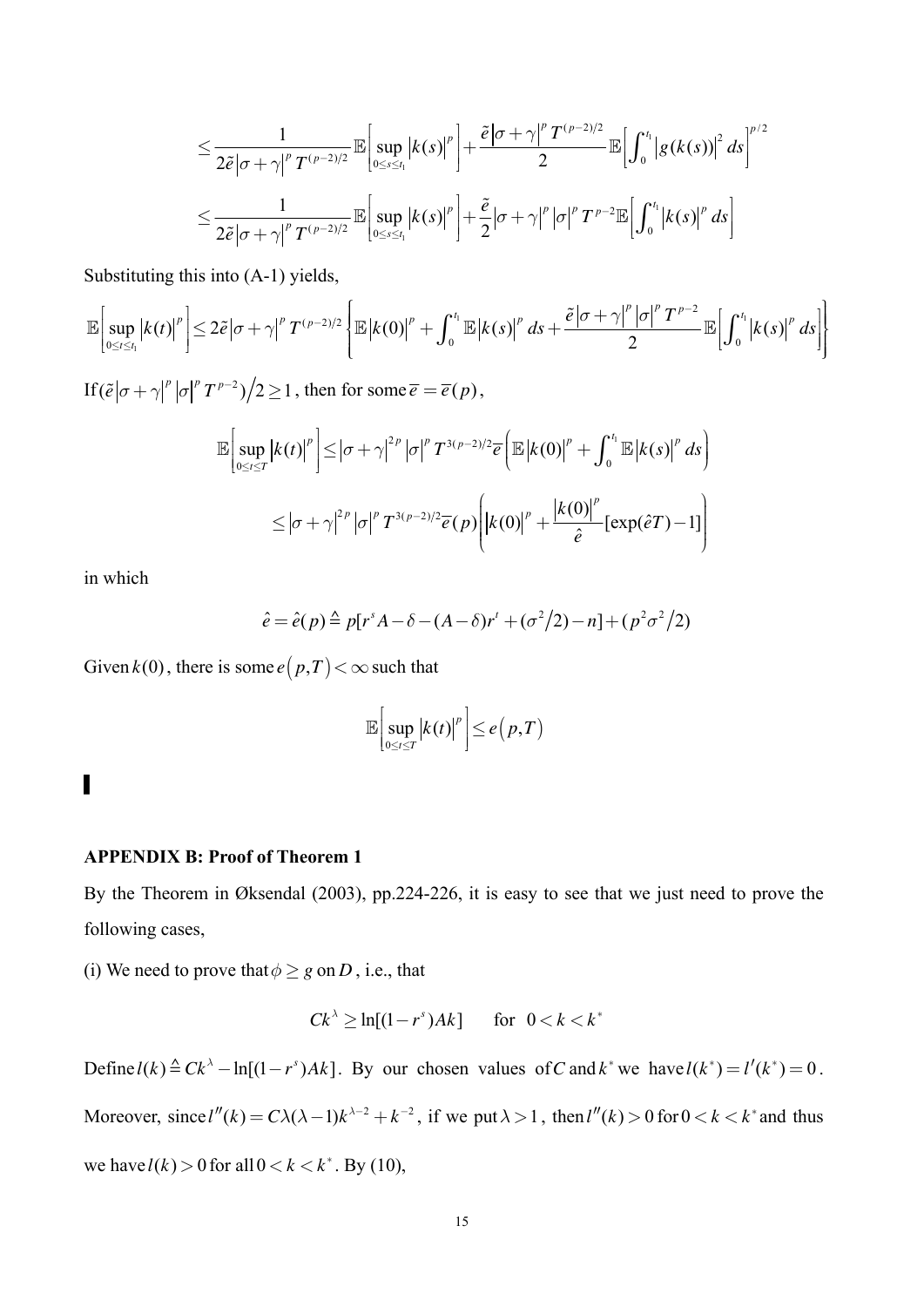$$
\leq \frac{1}{2\tilde{\epsilon}|\sigma+\gamma|^p T^{(p-2)/2}} \mathbb{E}\bigg[\sup_{0\leq s\leq t_1} |k(s)|^p\bigg]+\frac{\tilde{\epsilon}|\sigma+\gamma|^p T^{(p-2)/2}}{2} \mathbb{E}\bigg[\int_0^{t_1} |g(k(s))|^2 ds\bigg]^{p/2}
$$
  

$$
\leq \frac{1}{2\tilde{\epsilon}|\sigma+\gamma|^p T^{(p-2)/2}} \mathbb{E}\bigg[\sup_{0\leq s\leq t_1} |k(s)|^p\bigg]+\frac{\tilde{\epsilon}}{2}|\sigma+\gamma|^p |\sigma|^p T^{p-2} \mathbb{E}\bigg[\int_0^{t_1} |k(s)|^p ds\bigg]
$$

Substituting this into (A-1) yields,

$$
\mathbb{E}\left[\sup_{0\leq t\leq t_{1}}\left|k(t)\right|^{p}\right]\leq 2\tilde{e}\left|\sigma+\gamma\right|^{p}T^{(p-2)/2}\left\{\mathbb{E}\left|k(0)\right|^{p}+\int_{0}^{t_{1}}\mathbb{E}\left|k(s)\right|^{p}ds+\frac{\tilde{e}\left|\sigma+\gamma\right|^{p}\left|\sigma\right|^{p}T^{p-2}}{2}\mathbb{E}\left[\int_{0}^{t_{1}}\left|k(s)\right|^{p}ds\right]\right\}
$$
\n
$$
\text{If } (\tilde{e}\left|\sigma+\gamma\right|^{p}\left|\sigma\right|^{p}T^{p-2})\big/2\geq 1 \text{, then for some } \overline{e}=\overline{e}(p),
$$
\n
$$
\mathbb{E}\left[\sup_{0\leq t\leq T}\left|k(t)\right|^{p}\right]\leq\left|\sigma+\gamma\right|^{2p}\left|\sigma\right|^{p}T^{3(p-2)/2}\overline{e}\left(\mathbb{E}\left|k(0)\right|^{p}+\int_{0}^{t_{1}}\mathbb{E}\left|k(s)\right|^{p}ds\right)
$$

$$
\begin{aligned} \left[ \int_{0 \leq t \leq T} |f(x)|^{p-1} \right] & \left( \int_{0}^{t} |f(x)|^{p-1} \right) \\ &\leq \left| \sigma + \gamma \right|^{2p} \left| \sigma \right|^{p} T^{3(p-2)/2} \overline{e}(p) \left( \left| k(0) \right|^{p} + \frac{\left| k(0) \right|^{p}}{\hat{e}} \left[ \exp(\hat{e}T) - 1 \right] \right) \end{aligned}
$$

in which

$$
\hat{e} = \hat{e}(p) \triangleq p[r^{s}A - \delta - (A - \delta)r^{t} + (\sigma^{2}/2) - n] + (p^{2}\sigma^{2}/2)
$$

Given  $k(0)$ , there is some  $e(p,T) < \infty$  such that

$$
\mathbb{E}\bigg[\sup_{0\leq t\leq T}\big|k(t)\big|^p\bigg]\leq e\big(p,T\big)
$$

# ▌

#### **APPENDIX B: Proof of Theorem 1**

By the Theorem in Øksendal (2003), pp.224-226, it is easy to see that we just need to prove the following cases,

(i) We need to prove that  $\phi \geq g$  on *D*, i.e., that

$$
Ck^{\lambda} \ge \ln[(1-r^s)Ak] \quad \text{for} \quad 0 < k < k^*
$$

Define  $l(k) \triangleq Ck^{\lambda} - \ln[(1 - r^s)Ak]$ . By our chosen values of *C* and  $k^*$  we have  $l(k^*) = l'(k^*) = 0$ .

Moreover, since  $l''(k) = C\lambda(\lambda - 1)k^{\lambda - 2} + k^{-2}$ , if we put  $\lambda > 1$ , then  $l''(k) > 0$  for  $0 < k < k^*$  and thus we have  $l(k) > 0$  for all  $0 < k < k^*$ . By (10),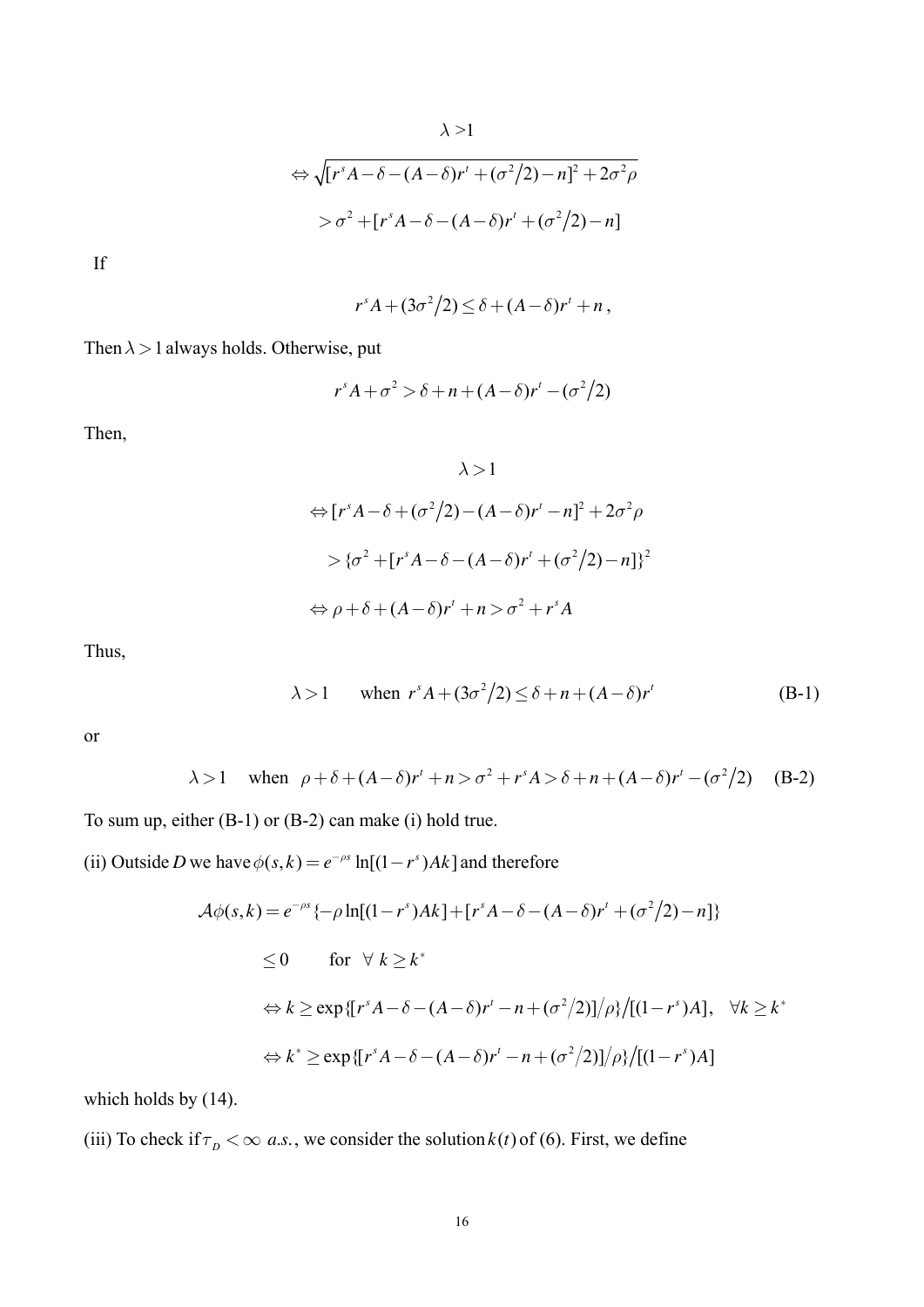$$
\Leftrightarrow \sqrt{[r^s A - \delta - (A - \delta)r' + (\sigma^2/2) - n]^2 + 2\sigma^2 \rho}
$$
  
> 
$$
\sigma^2 + [r^s A - \delta - (A - \delta)r' + (\sigma^2/2) - n]
$$

If

$$
r^{s}A+(3\sigma^{2}/2)\leq \delta+(A-\delta)r^{t}+n,
$$

Then  $\lambda > 1$  always holds. Otherwise, put

$$
r^{s}A + \sigma^{2} > \delta + n + (A - \delta)r^{t} - (\sigma^{2}/2)
$$

Then,

$$
\lambda > 1
$$
  
\n
$$
\Leftrightarrow [r^{s}A - \delta + (\sigma^{2}/2) - (A - \delta)r^{t} - n]^{2} + 2\sigma^{2}\rho
$$
  
\n
$$
> \{\sigma^{2} + [r^{s}A - \delta - (A - \delta)r^{t} + (\sigma^{2}/2) - n]\}^{2}
$$
  
\n
$$
\Leftrightarrow \rho + \delta + (A - \delta)r^{t} + n > \sigma^{2} + r^{s}A
$$

Thus,

$$
\lambda > 1 \qquad \text{when } r^s A + (3\sigma^2/2) \le \delta + n + (A - \delta)r^t \tag{B-1}
$$

or

$$
\lambda > 1
$$
 when  $\rho + \delta + (A - \delta)r' + n > \sigma^2 + r^s A > \delta + n + (A - \delta)r' - (\sigma^2/2)$  (B-2)

To sum up, either (B-1) or (B-2) can make (i) hold true.

(ii) Outside *D* we have  $\phi(s, k) = e^{-\rho s} \ln[(1 - r^s)Ak]$  and therefore

$$
\mathcal{A}\phi(s,k) = e^{-\rho s} \{-\rho \ln[(1-r^s)Ak] + [r^sA - \delta - (A-\delta)r^t + (\sigma^2/2) - n] \}
$$
  
\n
$$
\leq 0 \qquad \text{for } \forall k \geq k^*
$$
  
\n
$$
\Leftrightarrow k \geq \exp\{[r^sA - \delta - (A-\delta)r^t - n + (\sigma^2/2)]/\rho\} / [(1-r^s)A], \quad \forall k \geq k^*
$$
  
\n
$$
\Leftrightarrow k^* \geq \exp\{[r^sA - \delta - (A-\delta)r^t - n + (\sigma^2/2)]/\rho\} / [(1-r^s)A]
$$

which holds by  $(14)$ .

(iii) To check if  $\tau_p < \infty$  *a.s.*, we consider the solution *k*(*t*) of (6). First, we define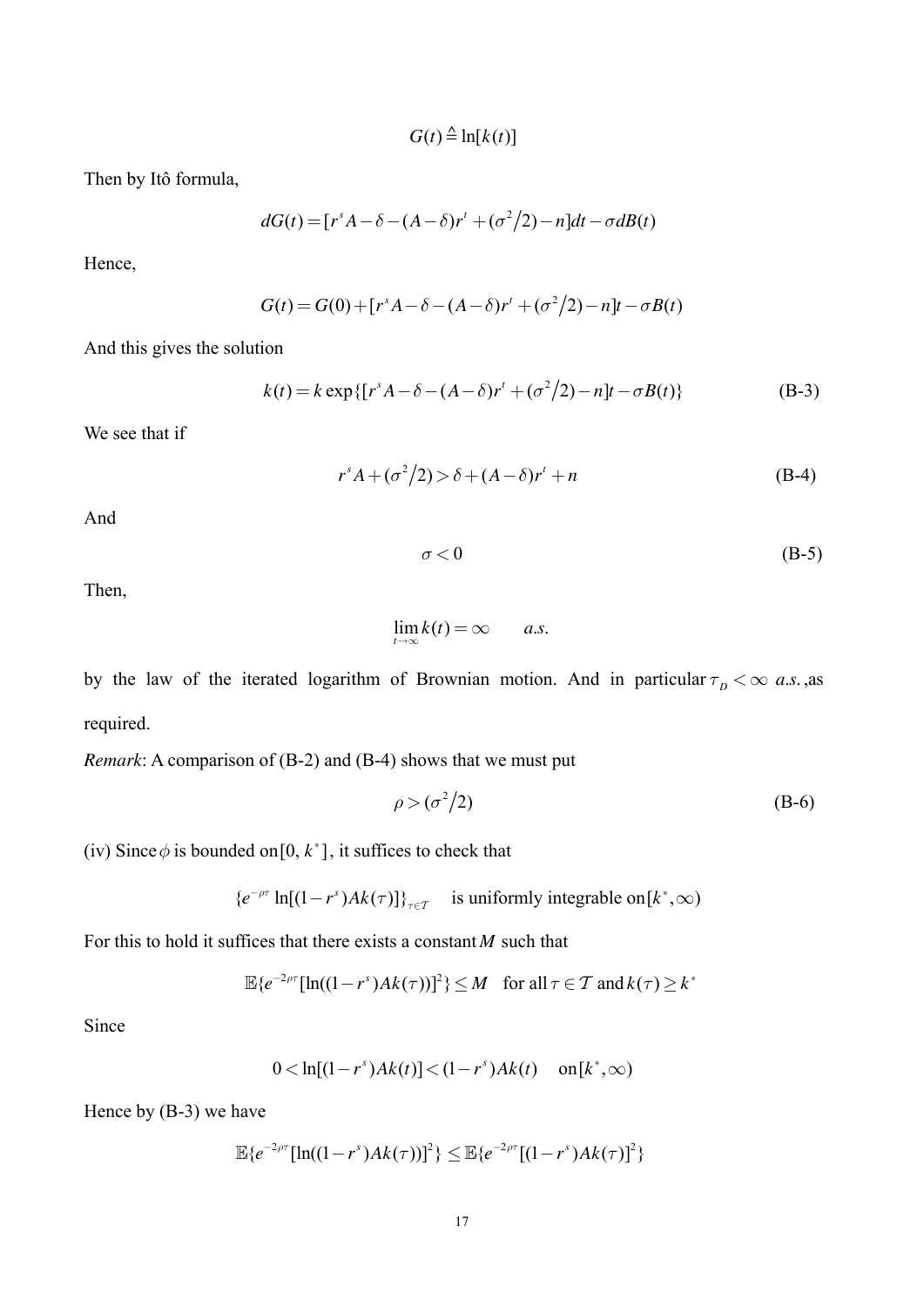$G(t) \triangleq \ln [k(t)]$ 

Then by Itô formula,

$$
dG(t) = [rs A - \delta - (A - \delta)rt + (\sigma2/2) - n]dt - \sigma dB(t)
$$

Hence,

$$
G(t) = G(0) + [r^{s} A - \delta - (A - \delta)r^{t} + (\sigma^{2}/2) - n]t - \sigma B(t)
$$

And this gives the solution

$$
k(t) = k \exp\{ [r^{s} A - \delta - (A - \delta)r^{t} + (\sigma^{2}/2) - n]t - \sigma B(t) \}
$$
 (B-3)

We see that if

$$
r^{s}A + (\sigma^{2}/2) > \delta + (A - \delta)r^{t} + n
$$
 (B-4)

And

 $\sigma$  < 0 (B-5)

Then,

$$
\lim_{t\to\infty}k(t)=\infty \qquad a.s.
$$

by the law of the iterated logarithm of Brownian motion. And in particular  $\tau_p < \infty$  *a.s.*, as required.

*Remark*: A comparison of (B-2) and (B-4) shows that we must put

$$
\rho > (\sigma^2/2) \tag{B-6}
$$

(iv) Since  $\phi$  is bounded on [0,  $k^*$ ], it suffices to check that

 ${e^{-\rho\tau} \ln[(1 - r^s)Ak(\tau)]}$ <sup> $t$ </sup>  $\ln[(1 - r^s)Ak(\tau)]\}_{\tau \in \mathcal{T}}$  is uniformly integrable on  $[k^*, \infty)$ 

For this to hold it suffices that there exists a constant *M* such that

$$
\mathbb{E}\{e^{-2\rho\tau}[\ln((1-r^s)Ak(\tau))]^2\} \leq M \quad \text{for all } \tau \in \mathcal{T} \text{ and } k(\tau) \geq k^*
$$

Since

$$
0 < \ln[(1 - r^s)Ak(t)] < (1 - r^s)Ak(t) \quad \text{on}[k^*, \infty)
$$

Hence by (B-3) we have

$$
\mathbb{E}\{e^{-2\rho\tau}[\ln((1-r^s)Ak(\tau))]^2\}\leq \mathbb{E}\{e^{-2\rho\tau}[(1-r^s)Ak(\tau)]^2\}
$$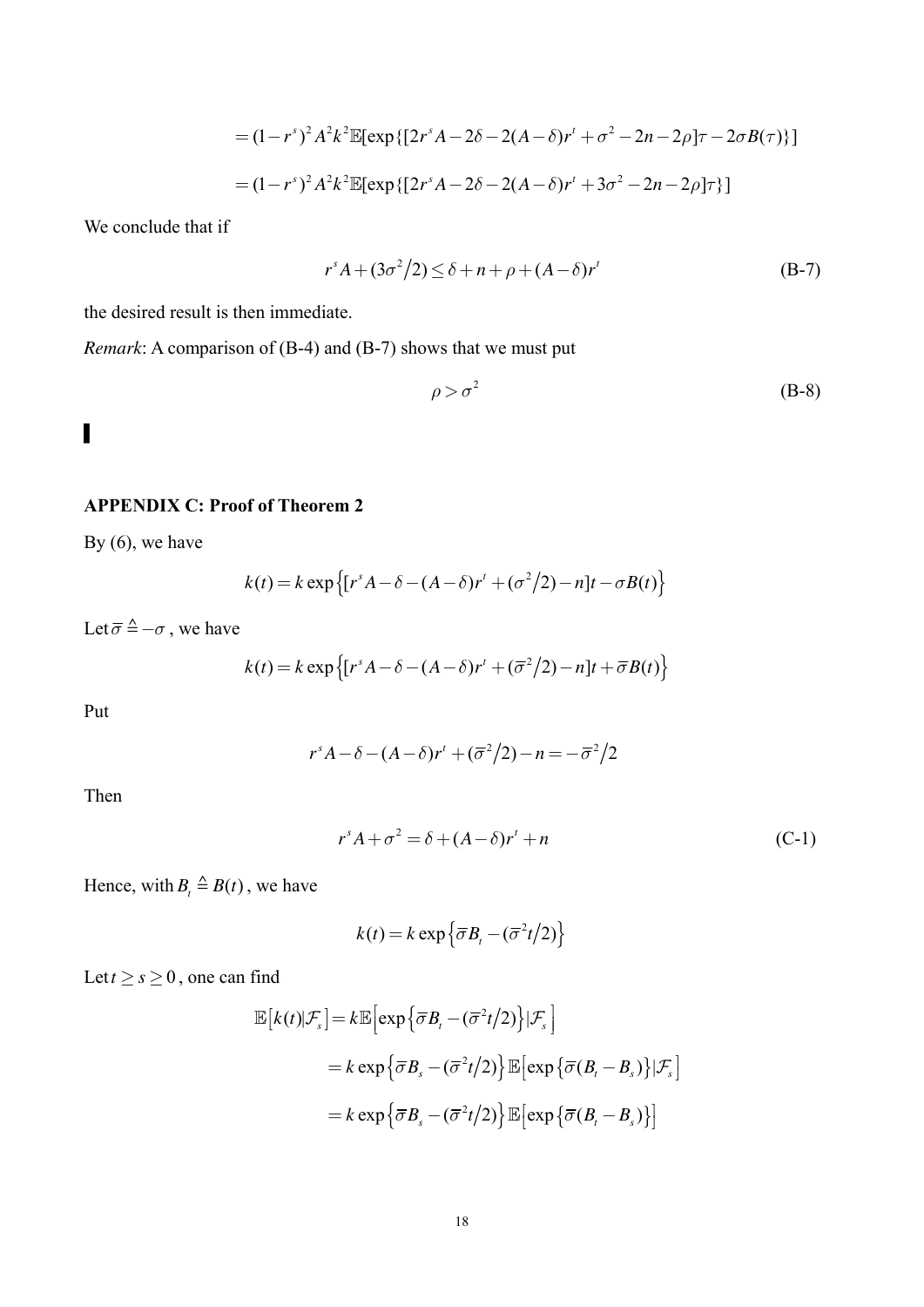$$
= (1 - rs)2 A2 k2 \mathbb{E}[\exp\{[2rs A - 2\delta - 2(A - \delta)r' + \sigma2 - 2n - 2\rho]\tau - 2\sigma B(\tau)\}]
$$
  
=  $(1 - rs)2 A2 k2 \mathbb{E}[\exp\{[2rs A - 2\delta - 2(A - \delta)r' + 3\sigma2 - 2n - 2\rho]\tau\}]$ 

We conclude that if

$$
r^{s}A + (3\sigma^{2}/2) \leq \delta + n + \rho + (A - \delta)r^{t}
$$
 (B-7)

the desired result is then immediate.

*Remark*: A comparison of (B-4) and (B-7) shows that we must put

$$
\rho > \sigma^2 \tag{B-8}
$$

▌

### **APPENDIX C: Proof of Theorem 2**

By  $(6)$ , we have

$$
k(t) = k \exp \{ [r^{s} A - \delta - (A - \delta)r^{t} + (\sigma^{2}/2) - n]t - \sigma B(t) \}
$$

Let  $\overline{\sigma} \triangleq -\sigma$ , we have

$$
k(t) = k \exp \{ [r^s A - \delta - (A - \delta)r^t + (\overline{\sigma}^2/2) - n]t + \overline{\sigma}B(t) \}
$$

Put

$$
r^{s}A-\delta-(A-\delta)r^{t}+(\overline{\sigma}^{2}/2)-n=-\overline{\sigma}^{2}/2
$$

Then

$$
r^{s}A + \sigma^{2} = \delta + (A - \delta)r^{t} + n
$$
\n(C-1)

Hence, with  $B_t \triangleq B(t)$ , we have

$$
k(t) = k \exp\left\{\overline{\sigma}B_t - (\overline{\sigma}^2 t/2)\right\}
$$

Let  $t \ge s \ge 0$ , one can find

$$
\mathbb{E}[k(t)|\mathcal{F}_s] = k \mathbb{E}\Big[\exp\big\{\overline{\sigma}B_t - (\overline{\sigma}^2 t/2)\big\}|\mathcal{F}_s\Big]
$$
  
=  $k \exp\big\{\overline{\sigma}B_s - (\overline{\sigma}^2 t/2)\big\} \mathbb{E}\big[\exp\{\overline{\sigma}(B_t - B_s)\}|\mathcal{F}_s\big]$   
=  $k \exp\big\{\overline{\sigma}B_s - (\overline{\sigma}^2 t/2)\big\} \mathbb{E}\big[\exp\big\{\overline{\sigma}(B_t - B_s)\big\}\big]$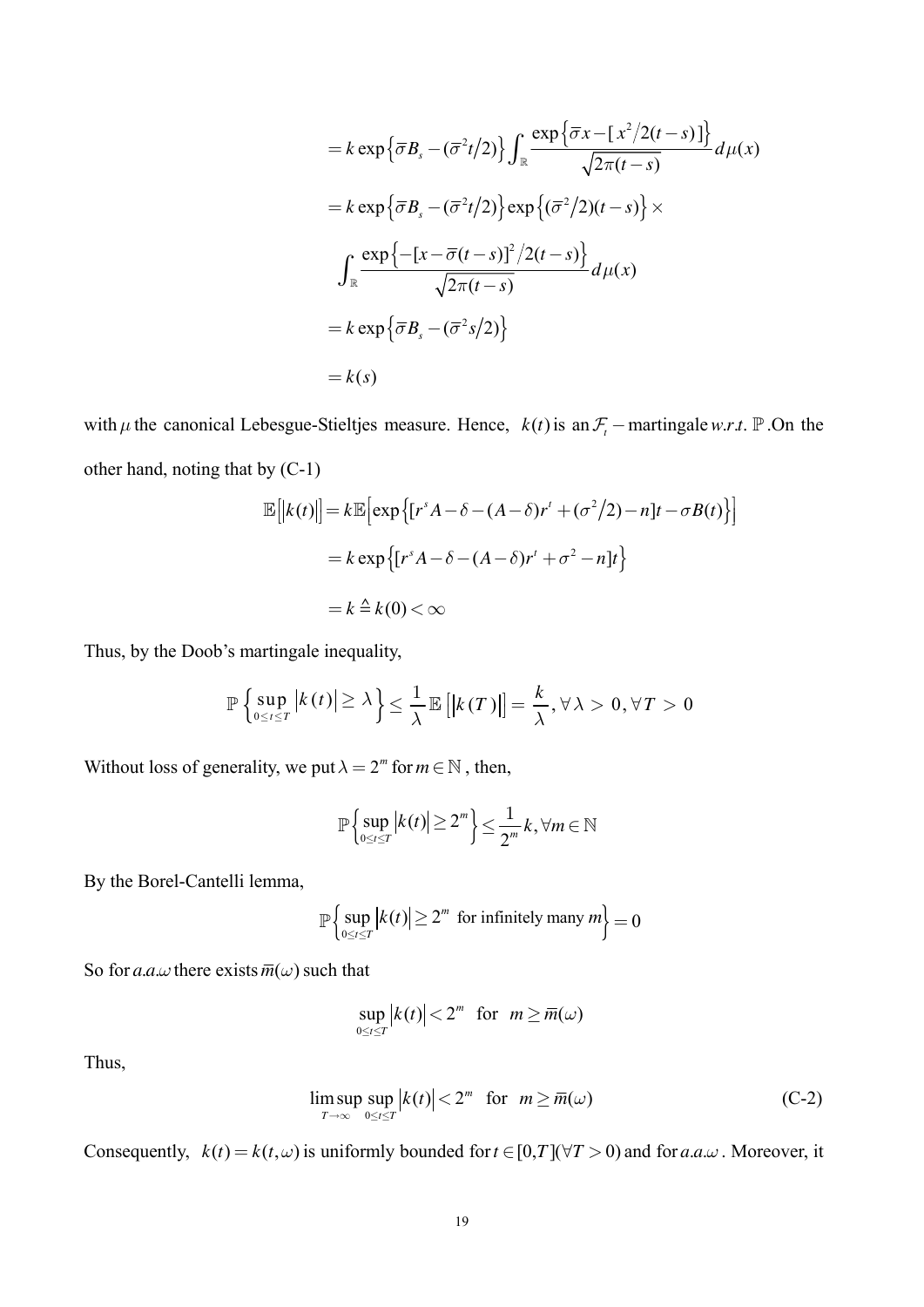$$
= k \exp \left\{\overline{\sigma} B_s - (\overline{\sigma}^2 t/2) \right\} \int_{\mathbb{R}} \frac{\exp \left\{\overline{\sigma} x - \left[x^2/2(t-s)\right]\right\}}{\sqrt{2\pi(t-s)}} d\mu(x)
$$
  
\n
$$
= k \exp \left\{\overline{\sigma} B_s - (\overline{\sigma}^2 t/2) \right\} \exp \left\{(\overline{\sigma}^2/2)(t-s) \right\} \times
$$
  
\n
$$
\int_{\mathbb{R}} \frac{\exp \left\{-\left[x - \overline{\sigma}(t-s)\right]^2/2(t-s) \right\}}{\sqrt{2\pi(t-s)}} d\mu(x)
$$
  
\n
$$
= k \exp \left\{\overline{\sigma} B_s - (\overline{\sigma}^2 s/2) \right\}
$$
  
\n
$$
= k(s)
$$

with  $\mu$  the canonical Lebesgue-Stieltjes measure. Hence,  $k(t)$  is an  $\mathcal{F}_t$  – martingale w.r.t.  $\mathbb P$ . On the other hand, noting that by (C-1)

$$
\mathbb{E}[|k(t)|] = k \mathbb{E}[\exp\{[r^s A - \delta - (A - \delta)r^t + (\sigma^2/2) - n]t - \sigma B(t)\}]
$$
  
=  $k \exp\{[r^s A - \delta - (A - \delta)r^t + \sigma^2 - n]t\}$   
=  $k \stackrel{\Delta}{=} k(0) < \infty$ 

Thus, by the Doob's martingale inequality,

$$
\mathbb{P}\left\{\sup_{0\leq t\leq T} \left|k(t)\right| \geq \lambda\right\} \leq \frac{1}{\lambda} \mathbb{E}\left[\left|k(T)\right|\right] = \frac{k}{\lambda}, \forall \lambda > 0, \forall T > 0
$$

Without loss of generality, we put  $\lambda = 2^m$  for  $m \in \mathbb{N}$ , then,

$$
\mathbb{P}\left\{\sup_{0\leq t\leq T}|k(t)|\geq 2^m\right\}\leq \frac{1}{2^m}k,\forall m\in\mathbb{N}
$$

By the Borel-Cantelli lemma,

$$
\mathbb{P}\left\{\sup_{0\leq t\leq T} |k(t)| \geq 2^m \text{ for infinitely many } m\right\} = 0
$$

So for a.a. $\omega$  there exists  $\overline{m}(\omega)$  such that

$$
\sup_{0\leq t\leq T} |k(t)| < 2^m \text{ for } m \geq \overline{m}(\omega)
$$

Thus,

$$
\limsup_{T \to \infty} \sup_{0 \le t \le T} |k(t)| < 2^m \quad \text{for} \quad m \ge \overline{m}(\omega) \tag{C-2}
$$

Consequently,  $k(t) = k(t, \omega)$  is uniformly bounded for  $t \in [0, T](\forall T > 0)$  and for  $a.a.\omega$ . Moreover, it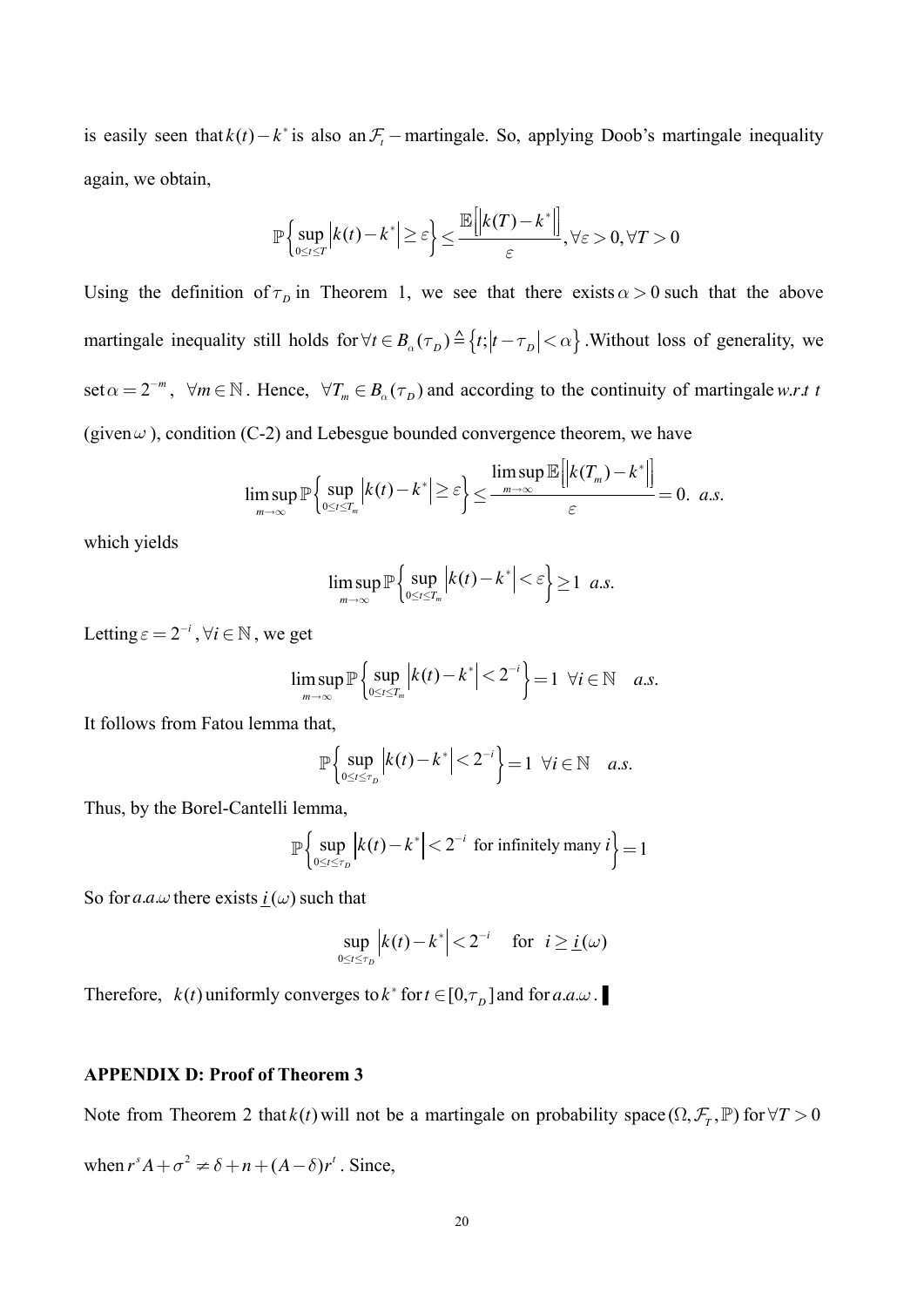is easily seen that  $k(t) - k^*$  is also an  $\mathcal{F}_t$  – martingale. So, applying Doob's martingale inequality again, we obtain,

$$
\mathbb{P}\left\{\sup_{0\leq t\leq T}\left|k(t)-k^*\right|\geq \varepsilon\right\}\leq \frac{\mathbb{E}\left[\left|k(T)-k^*\right|\right]}{\varepsilon},\forall \varepsilon>0,\forall T>0
$$

Using the definition of  $\tau_p$  in Theorem 1, we see that there exists  $\alpha > 0$  such that the above martingale inequality still holds for  $\forall t \in B_{\alpha}(\tau_{D}) \triangleq \{t; |t-\tau_{D}| < \alpha\}$ . Without loss of generality, we set  $\alpha = 2^{-m}$ ,  $\forall m \in \mathbb{N}$ . Hence,  $\forall T_m \in B_\alpha(\tau_D)$  and according to the continuity of martingale w.r.t t (given  $\omega$ ), condition (C-2) and Lebesgue bounded convergence theorem, we have

$$
\limsup_{m\to\infty} \mathbb{P}\left\{\sup_{0\leq t\leq T_m} \left|k(t)-k^*\right|\geq \varepsilon\right\} \leq \frac{\limsup_{m\to\infty} \mathbb{E}\left\|k(T_m)-k^*\right\|}{\varepsilon} = 0. \ \ a.s.
$$

which yields

$$
\limsup_{m\to\infty} \mathbb{P}\left\{\sup_{0\leq t\leq T_m} \left|k(t)-k^*\right|<\varepsilon\right\}\geq 1 \ \ a.s.
$$

Letting  $\varepsilon = 2^{-i}$ ,  $\forall i \in \mathbb{N}$ , we get

$$
\limsup_{m\to\infty} \mathbb{P}\left\{\sup_{0\leq t\leq T_m} \left|k(t)-k^*\right|<2^{-i}\right\}=1 \ \ \forall i\in\mathbb{N} \quad a.s.
$$

It follows from Fatou lemma that,

$$
\mathbb{P}\left\{\sup_{0\leq t\leq\tau_D}\left|k(t)-k^*\right|<2^{-i}\right\}=1\;\;\forall i\in\mathbb{N}\quad a.s.
$$

Thus, by the Borel-Cantelli lemma,

$$
\mathbb{P}\left\{\sup_{0\leq t\leq\tau_D}\left|k(t)-k^*\right|<2^{-i}\text{ for infinitely many }i\right\}=1
$$

So for a.a. $\omega$  there exists  $i(\omega)$  such that

$$
\sup_{0\leq t\leq\tau_D}\left|k(t)-k^*\right|<2^{-i}\quad\text{ for }\ i\geq\underline{i}(\omega)
$$

Therefore,  $k(t)$  uniformly converges to  $k^*$  for  $t \in [0, \tau_D]$  and for  $a.a.\omega$ .

#### **APPENDIX D: Proof of Theorem 3**

Note from Theorem 2 that  $k(t)$  will not be a martingale on probability space  $(\Omega, \mathcal{F}_T, \mathbb{P})$  for  $\forall T > 0$ 

when  $r^s A + \sigma^2 \neq \delta + n + (A - \delta)r^t$ . Since,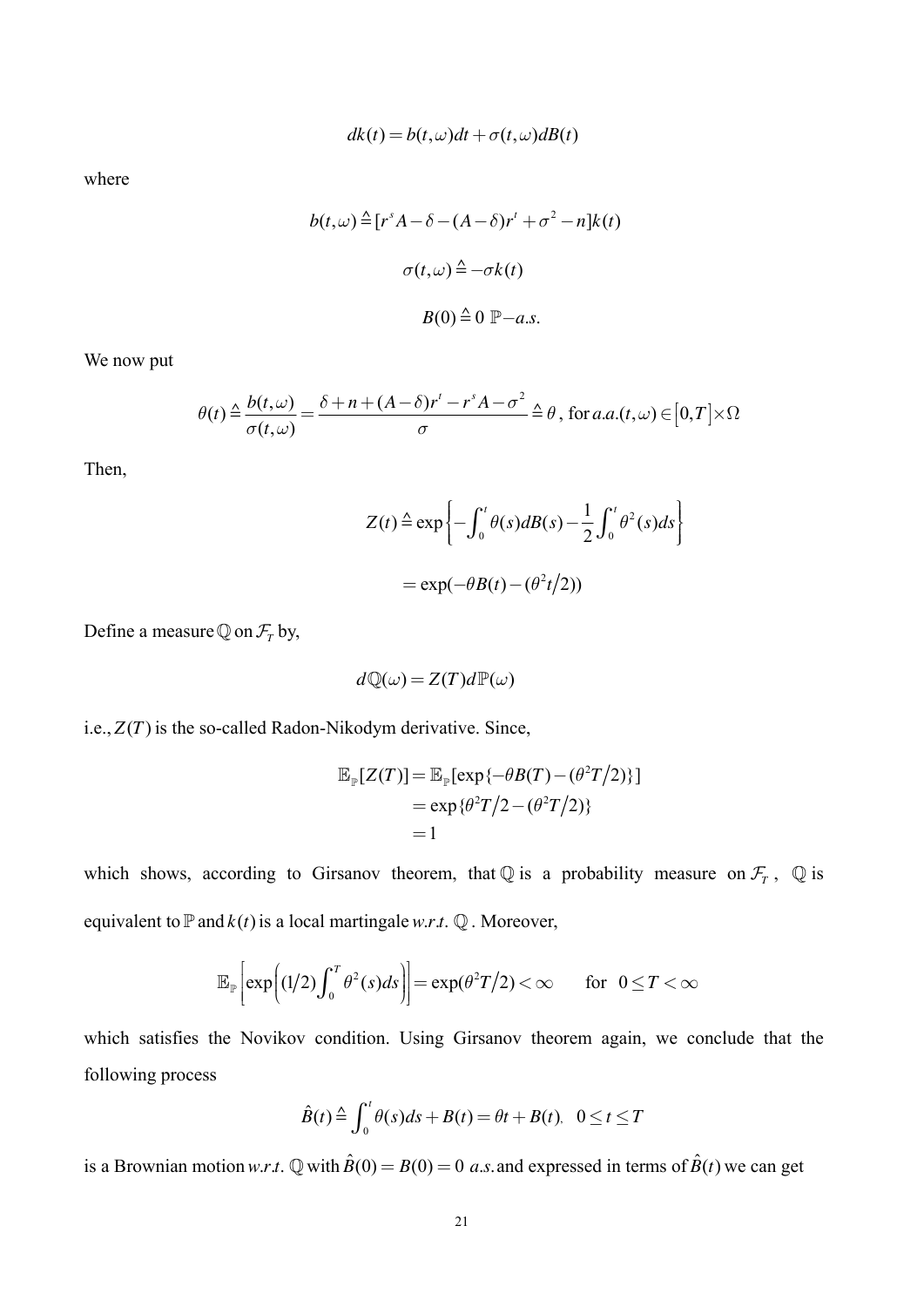$$
dk(t) = b(t, \omega)dt + \sigma(t, \omega)dB(t)
$$

where

$$
b(t,\omega) \triangleq [r^s A - \delta - (A - \delta)r^t + \sigma^2 - n]k(t)
$$

$$
\sigma(t,\omega) \triangleq -\sigma k(t)
$$

$$
B(0) \triangleq 0 \mathbb{P} - a.s.
$$

We now put

$$
\theta(t) \stackrel{\Delta}{=} \frac{b(t,\omega)}{\sigma(t,\omega)} = \frac{\delta + n + (A - \delta)r^t - r^sA - \sigma^2}{\sigma} \stackrel{\Delta}{=} \theta, \text{ for } a.a.(t,\omega) \in [0,T] \times \Omega
$$

Then,

$$
Z(t) \triangleq \exp\left\{-\int_0^t \theta(s)dB(s) - \frac{1}{2}\int_0^t \theta^2(s)ds\right\}
$$

$$
= \exp(-\theta B(t) - (\theta^2 t/2))
$$

Define a measure  $\mathbb Q$  on  $\mathcal F_r$  by,

$$
d\mathbb{Q}(\omega) = Z(T)d\mathbb{P}(\omega)
$$

i.e.,  $Z(T)$  is the so-called Radon-Nikodym derivative. Since,

$$
\mathbb{E}_{\mathbb{P}}[Z(T)] = \mathbb{E}_{\mathbb{P}}[\exp{\lbrace -\theta B(T) - (\theta^2 T/2) \rbrace}]
$$
  
= 
$$
\exp{\lbrace \theta^2 T/2 - (\theta^2 T/2) \rbrace}
$$
  
= 1

which shows, according to Girsanov theorem, that Q is a probability measure on  $\mathcal{F}_T$ , Q is equivalent to  $\mathbb P$  and  $k(t)$  is a local martingale w.r.t.  $\mathbb Q$ . Moreover,

$$
\mathbb{E}_{\mathbb{P}}\bigg[\exp\bigg((1/2)\int_0^T\theta^2(s)ds\bigg)\bigg]=\exp(\theta^2T/2)<\infty\qquad\text{for}\quad 0\leq T<\infty
$$

which satisfies the Novikov condition. Using Girsanov theorem again, we conclude that the following process

$$
\hat{B}(t) \triangleq \int_0^t \theta(s)ds + B(t) = \theta t + B(t), \quad 0 \le t \le T
$$

is a Brownian motion w.r.t.  $\mathbb Q$  with  $\hat{B}(0) = B(0) = 0$  a.s. and expressed in terms of  $\hat{B}(t)$  we can get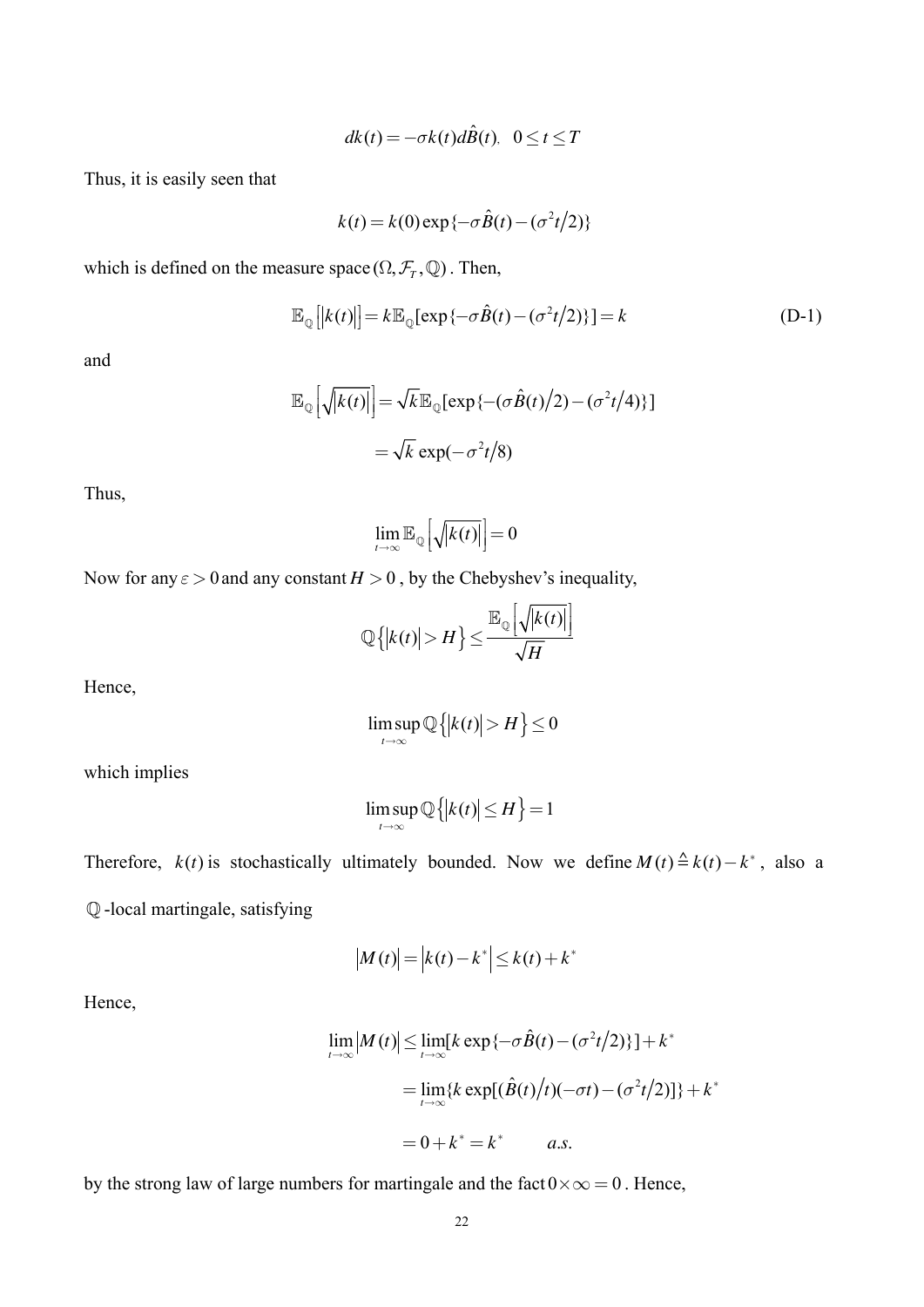$$
dk(t) = -\sigma k(t) d\hat{B}(t), \quad 0 \le t \le T
$$

Thus, it is easily seen that

$$
k(t) = k(0) \exp\{-\sigma \hat{B}(t) - (\sigma^2 t/2)\}
$$

which is defined on the measure space  $(\Omega, \mathcal{F}_{T}, \mathbb{Q})$ . Then,

$$
\mathbb{E}_{\mathbb{Q}}\left[|k(t)|\right] = k \mathbb{E}_{\mathbb{Q}}[\exp\{-\sigma \hat{B}(t) - (\sigma^2 t/2)\}] = k \tag{D-1}
$$

and

$$
\mathbb{E}_{\mathbb{Q}}\left[\sqrt{k(t)}\right] = \sqrt{k} \mathbb{E}_{\mathbb{Q}}[\exp\{-\left(\sigma \hat{B}(t)/2\right) - \left(\sigma^2 t/4\right)\}]
$$

$$
= \sqrt{k} \exp(-\sigma^2 t/8)
$$

Thus,

$$
\lim_{t\to\infty}\mathbb{E}_{\mathbb{Q}}\left[\sqrt{\left|k(t)\right|}\right]=0
$$

Now for any  $\varepsilon > 0$  and any constant  $H > 0$ , by the Chebyshev's inequality,

$$
\mathbb{Q}\left\{|k(t)|>H\right\} \le \frac{\mathbb{E}_{\mathbb{Q}}\left|\sqrt{|k(t)|}\right|}{\sqrt{H}}
$$

Hence,

$$
\limsup_{t\to\infty}\mathbb{Q}\big\{|k(t)|>H\big\}\leq 0
$$

which implies

$$
\limsup_{t\to\infty}\mathbb{Q}\left\{|k(t)|\leq H\right\}=1
$$

Therefore,  $k(t)$  is stochastically ultimately bounded. Now we define  $M(t) \triangleq k(t) - k^*$ , also a Q-local martingale, satisfying

$$
100 \text{ m}
$$

$$
|M(t)| = |k(t) - k^*| \le k(t) + k^*
$$

Hence,

$$
\lim_{t \to \infty} |M(t)| \le \lim_{t \to \infty} [k \exp\{-\sigma \hat{B}(t) - (\sigma^2 t/2)\}] + k^*
$$
  
= 
$$
\lim_{t \to \infty} \{k \exp[(\hat{B}(t)/t)(-\sigma t) - (\sigma^2 t/2)]\} + k^*
$$
  
= 
$$
0 + k^* = k^* \qquad a.s.
$$

by the strong law of large numbers for martingale and the fact  $0 \times \infty = 0$ . Hence,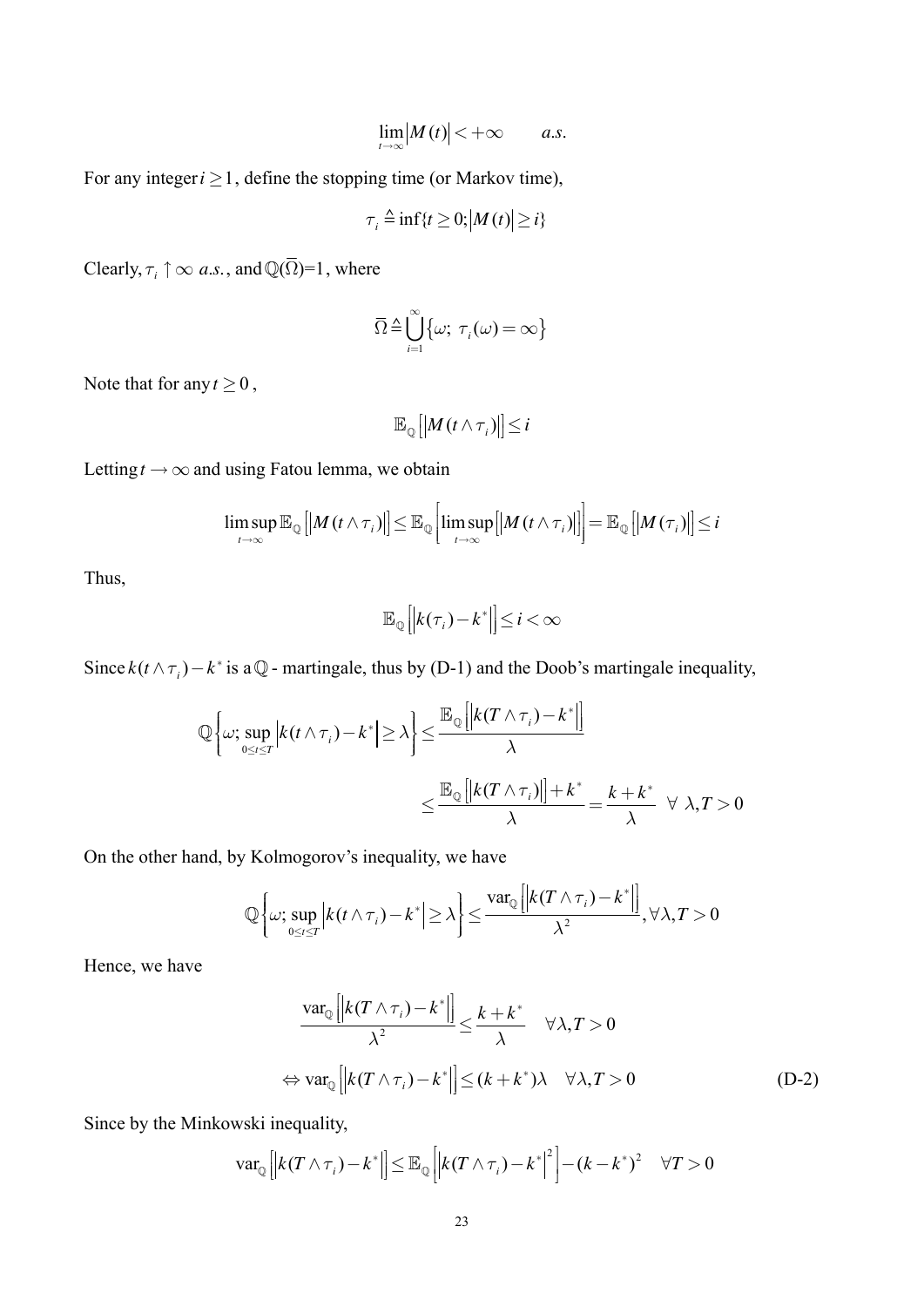$$
\lim_{t\to\infty}|M(t)|<+\infty \qquad a.s.
$$

For any integer  $i \ge 1$ , define the stopping time (or Markov time),

$$
\tau_i \triangleq \inf\{t \ge 0; \left|M(t)\right| \ge i\}
$$

Clearly,  $\tau_i \uparrow \infty$  a.s., and  $\mathbb{Q}(\overline{\Omega})=1$ , where

$$
\overline{\Omega} \triangleq \bigcup_{i=1}^{\infty} \{ \omega; \ \tau_i(\omega) = \infty \}
$$

Note that for any  $t \ge 0$ ,

$$
\mathbb{E}_{\mathbb{Q}}\left[\left|M(t\wedge \tau_i)\right|\right]\leq i
$$

Letting  $t \to \infty$  and using Fatou lemma, we obtain

$$
\limsup_{t\to\infty}\mathbb{E}_{\mathbb{Q}}\left[\left|M\left(t\wedge\tau_{i}\right)\right|\right]\leq\mathbb{E}_{\mathbb{Q}}\left[\limsup_{t\to\infty}\left|\left|M\left(t\wedge\tau_{i}\right)\right|\right]\right]=\mathbb{E}_{\mathbb{Q}}\left[\left|M\left(\tau_{i}\right)\right|\right]\leq i
$$

Thus,

$$
\mathbb{E}_{\mathbb{Q}}\left[\left|k(\tau_{i})-k^{*}\right|\right]\leq i<\infty
$$

Since  $k(t \wedge \tau_i) - k^*$  is a  $\mathbb{Q}$  - martingale, thus by (D-1) and the Doob's martingale inequality,

$$
\mathbb{Q}\left\{\omega; \sup_{0\leq t\leq T} \left|k(t\wedge \tau_i) - k^*\right| \geq \lambda\right\} \leq \frac{\mathbb{E}_{\mathbb{Q}}\left[\left|k(T\wedge \tau_i) - k^*\right|\right]}{\lambda}
$$

$$
\leq \frac{\mathbb{E}_{\mathbb{Q}}\left[\left|k(T\wedge \tau_i)\right|\right] + k^*}{\lambda} = \frac{k + k^*}{\lambda} \quad \forall \lambda, T > 0
$$

On the other hand, by Kolmogorov's inequality, we have

$$
\mathbb{Q}\left\{\omega;\sup_{0\leq t\leq T}\left|k(t\wedge\tau_{i})-k^{*}\right|\geq\lambda\right\}\leq\frac{\mathrm{var}_{\mathbb{Q}}\left[\left|k(T\wedge\tau_{i})-k^{*}\right|\right]}{\lambda^{2}},\forall\lambda,T>0
$$

Hence, we have

$$
\frac{\text{var}_{\mathbb{Q}}\left[\left|k(T \wedge \tau_{i}) - k^{*}\right|\right]}{\lambda^{2}} \leq \frac{k + k^{*}}{\lambda} \quad \forall \lambda, T > 0
$$
\n
$$
\Leftrightarrow \text{var}_{\mathbb{Q}}\left[\left|k(T \wedge \tau_{i}) - k^{*}\right|\right] \leq (k + k^{*})\lambda \quad \forall \lambda, T > 0 \tag{D-2}
$$

Since by the Minkowski inequality,

$$
\text{var}_{\mathbb{Q}}\left[\left|k(T\wedge \tau_i)-k^*\right|\right]\leq \mathbb{E}_{\mathbb{Q}}\left[\left|k(T\wedge \tau_i)-k^*\right|^2\right]-\left(k-k^*\right)^2 \quad \forall T>0
$$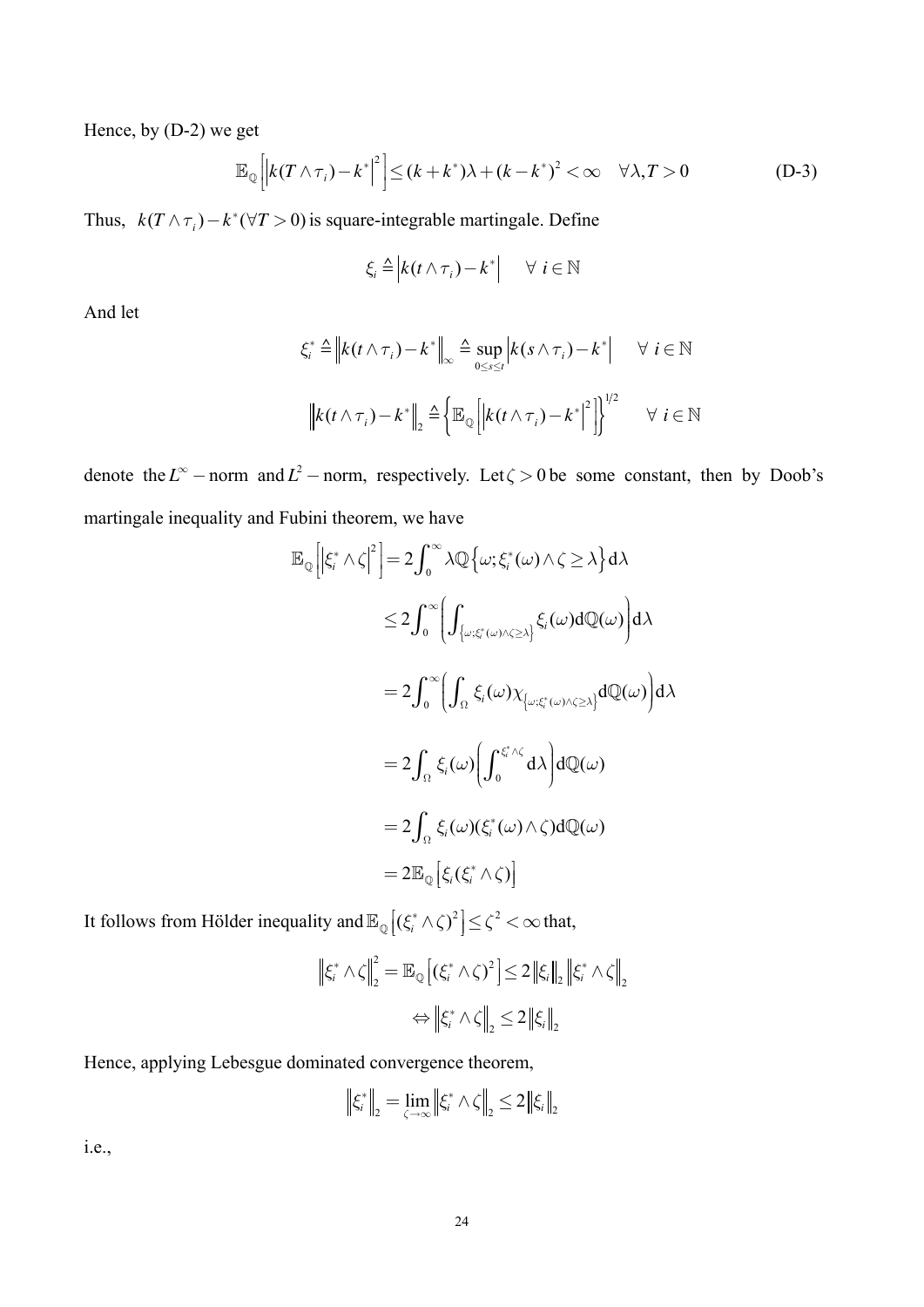Hence, by  $(D-2)$  we get

$$
\mathbb{E}_{\mathbb{Q}}\left[\left|k(T\wedge \tau_{i})-k^{*}\right|^{2}\right] \leq (k+k^{*})\lambda+(k-k^{*})^{2} < \infty \quad \forall \lambda, T>0
$$
\n(D-3)

Thus,  $k(T \wedge \tau_i) - k^*(\forall T > 0)$  is square-integrable martingale. Define

$$
\xi_i \triangleq \left| k(t \wedge \tau_i) - k^* \right| \quad \forall \ i \in \mathbb{N}
$$

And let

$$
\xi_i^* \triangleq \left\| k(t \wedge \tau_i) - k^* \right\|_{\infty} \triangleq \sup_{0 \le s \le t} \left| k(s \wedge \tau_i) - k^* \right| \quad \forall \ i \in \mathbb{N}
$$

$$
\left\| k(t \wedge \tau_i) - k^* \right\|_2 \triangleq \left\{ \mathbb{E}_{\mathbb{Q}} \left[ \left| k(t \wedge \tau_i) - k^* \right|^2 \right] \right\}^{1/2} \quad \forall \ i \in \mathbb{N}
$$

denote the  $L^{\infty}$  – norm and  $L^2$  – norm, respectively. Let  $\zeta > 0$  be some constant, then by Doob's martingale inequality and Fubini theorem, we have

$$
\mathbb{E}_{\mathbb{Q}}\left[\left|\xi_{i}^{*} \wedge \zeta\right|^{2}\right] = 2 \int_{0}^{\infty} \lambda \mathbb{Q}\left\{\omega; \xi_{i}^{*}(\omega) \wedge \zeta \geq \lambda\right\} d\lambda
$$
\n
$$
\leq 2 \int_{0}^{\infty} \left(\int_{\{\omega; \xi_{i}^{*}(\omega) \wedge \zeta \geq \lambda\}} \xi_{i}(\omega) d\mathbb{Q}(\omega)\right) d\lambda
$$
\n
$$
= 2 \int_{0}^{\infty} \left(\int_{\Omega} \xi_{i}(\omega) \chi_{\{\omega; \xi_{i}^{*}(\omega) \wedge \zeta \geq \lambda\}} d\mathbb{Q}(\omega)\right) d\lambda
$$
\n
$$
= 2 \int_{\Omega} \xi_{i}(\omega) \left(\int_{0}^{\xi_{i}^{*} \wedge \zeta} d\lambda\right) d\mathbb{Q}(\omega)
$$
\n
$$
= 2 \int_{\Omega} \xi_{i}(\omega) (\xi_{i}^{*}(\omega) \wedge \zeta) d\mathbb{Q}(\omega)
$$
\n
$$
= 2 \mathbb{E}_{\mathbb{Q}}\left[\xi_{i}(\xi_{i}^{*} \wedge \zeta)\right]
$$

It follows from Hölder inequality and  $\mathbb{E}_{\mathbb{Q}}[(\xi_i^* \wedge \zeta)^2] \leq \zeta^2 < \infty$  that,

$$
\left\|\xi_i^* \wedge \zeta\right\|_2^2 = \mathbb{E}_{\mathbb{Q}}\left[\left(\xi_i^* \wedge \zeta\right)^2\right] \le 2 \left\|\xi_i\right\|_2 \left\|\xi_i^* \wedge \zeta\right\|_2
$$

$$
\Leftrightarrow \left\|\xi_i^* \wedge \zeta\right\|_2 \le 2 \left\|\xi_i\right\|_2
$$

Hence, applying Lebesgue dominated convergence theorem,

$$
\left\| \xi_i^* \right\|_2 = \lim_{\zeta \to \infty} \left\| \xi_i^* \wedge \zeta \right\|_2 \le 2 \left\| \xi_i \right\|_2
$$

*i.e.*,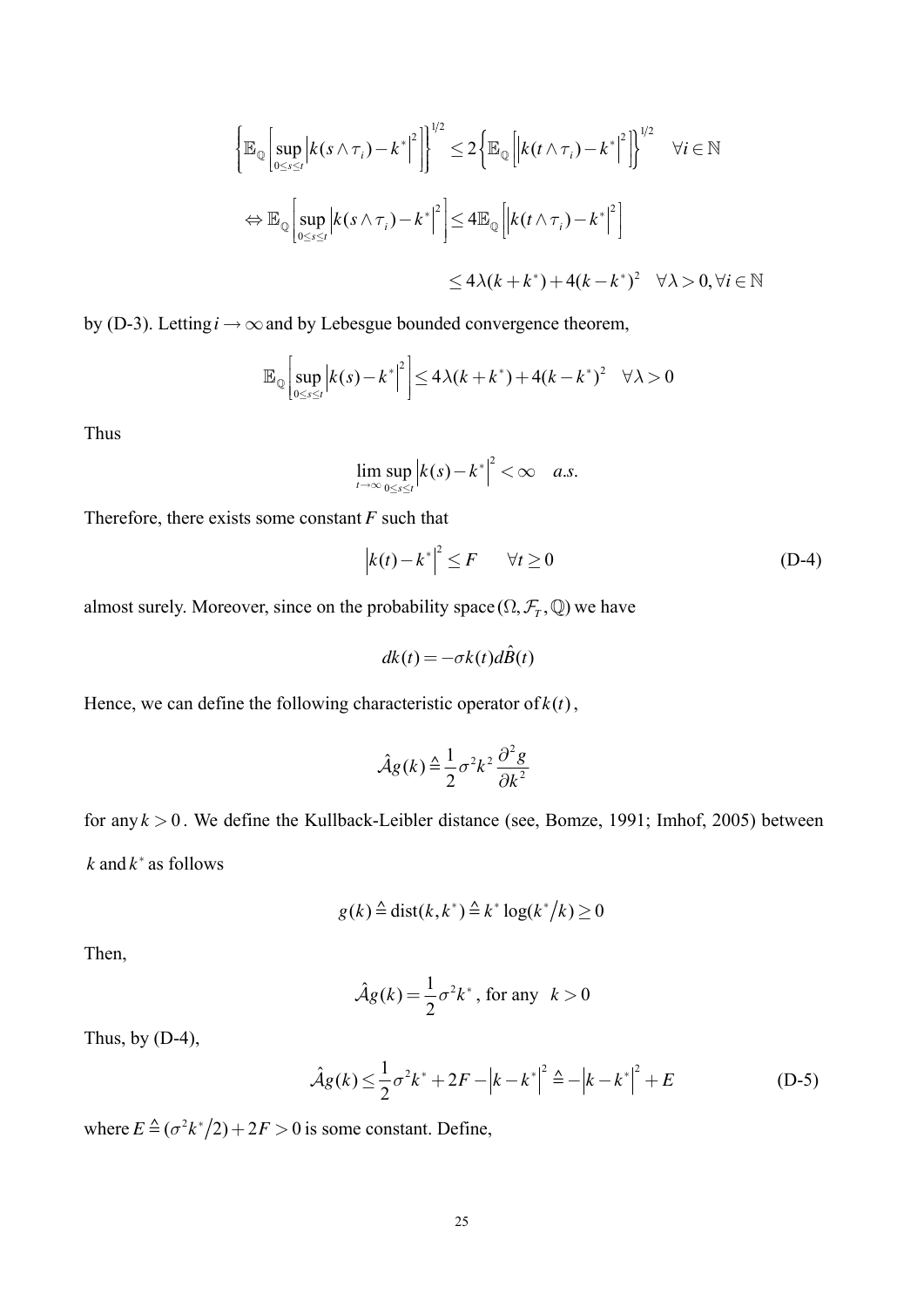$$
\left\{\mathbb{E}_{\mathbb{Q}}\left[\sup_{0\leq s\leq t}\left|k(s\wedge\tau_{i})-k^{*}\right|^{2}\right]\right\}^{1/2}\leq2\left\{\mathbb{E}_{\mathbb{Q}}\left[\left|k(t\wedge\tau_{i})-k^{*}\right|^{2}\right]\right\}^{1/2}\quad\forall i\in\mathbb{N}
$$
\n
$$
\Leftrightarrow\mathbb{E}_{\mathbb{Q}}\left[\sup_{0\leq s\leq t}\left|k(s\wedge\tau_{i})-k^{*}\right|^{2}\right]\leq4\mathbb{E}_{\mathbb{Q}}\left[\left|k(t\wedge\tau_{i})-k^{*}\right|^{2}\right]\right\}^{1/2}\leq4\lambda(k+k^{*})+4(k-k^{*})^{2}\quad\forall\lambda>0,\forall i\in\mathbb{N}
$$

by (D-3). Letting  $i \rightarrow \infty$  and by Lebesgue bounded convergence theorem,

$$
\mathbb{E}_{\mathbb{Q}}\left[\sup_{0\leq s\leq t}\left|k(s)-k^*\right|^2\right]\leq 4\lambda(k+k^*)+4(k-k^*)^2\quad \forall \lambda>0
$$

Thus

$$
\lim_{t\to\infty}\sup_{0\leq s\leq t}\Big|k(s)-k^*\Big|^2<\infty \quad a.s
$$

Therefore, there exists some constant  $F$  such that

$$
|k(t) - k^*|^2 \le F \qquad \forall t \ge 0 \tag{D-4}
$$

almost surely. Moreover, since on the probability space  $(\Omega, \mathcal{F}_T, \mathbb{Q})$  we have

$$
dk(t) = -\sigma k(t) d\hat{B}(t)
$$

Hence, we can define the following characteristic operator of  $k(t)$ ,

$$
\hat{\mathcal{A}}g(k) \triangleq \frac{1}{2} \sigma^2 k^2 \frac{\partial^2 g}{\partial k^2}
$$

for any  $k > 0$ . We define the Kullback-Leibler distance (see, Bomze, 1991; Imhof, 2005) between  $k$  and  $k^*$  as follows

$$
g(k) \triangleq \text{dist}(k, k^*) \triangleq k^* \log(k^*/k) \ge 0
$$

Then,

$$
\hat{\mathcal{A}}g(k) = \frac{1}{2}\sigma^2 k^*, \text{ for any } k > 0
$$

Thus, by  $(D-4)$ ,

$$
\hat{\mathcal{A}}g(k) \le \frac{1}{2}\sigma^2 k^* + 2F - |k - k^*|^2 \triangleq -|k - k^*|^2 + E
$$
 (D-5)

where  $E \triangleq (\sigma^2 k^*/2) + 2F > 0$  is some constant. Define,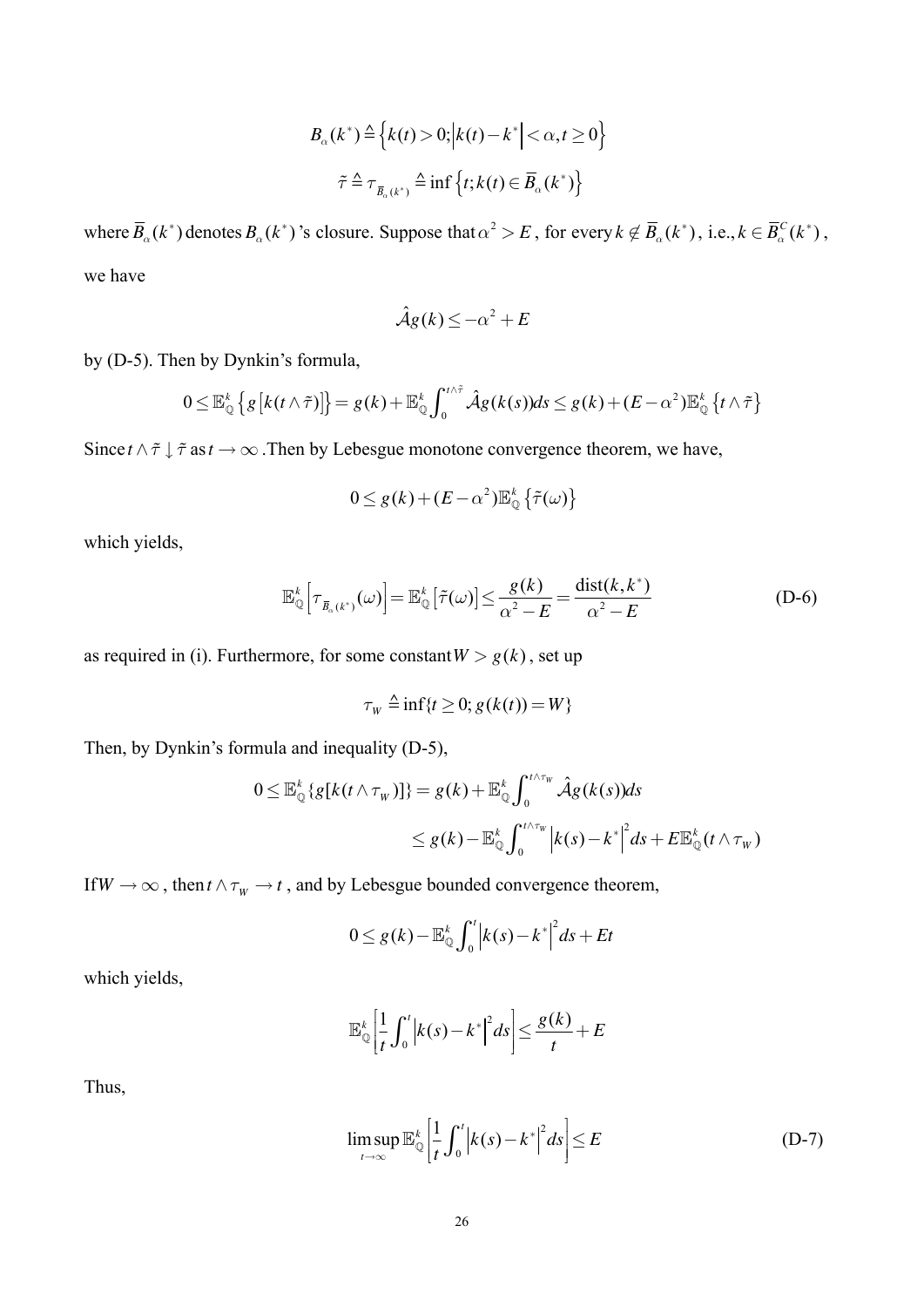$$
B_{\alpha}(k^*) \stackrel{\Delta}{=} \left\{ k(t) > 0; \left| k(t) - k^* \right| < \alpha, t \ge 0 \right\}
$$
\n
$$
\tilde{\tau} \stackrel{\Delta}{=} \tau_{\bar{B}_{\alpha}(k^*)} \stackrel{\Delta}{=} \inf \left\{ t; k(t) \in \bar{B}_{\alpha}(k^*) \right\}
$$

where  $\overline{B}_{\alpha}(k^*)$  denotes  $B_{\alpha}(k^*)$ 's closure. Suppose that  $\alpha^2 > E$ , for every  $k \notin \overline{B}_{\alpha}(k^*)$ , i.e.,  $k \in \overline{B}_{\alpha}^C(k^*)$ , we have

$$
\hat{\mathcal{A}}g(k) \le -\alpha^2 + E
$$

by (D-5). Then by Dynkin's formula,

$$
0 \leq \mathbb{E}_{\mathbb{Q}}^{k} \left\{ g \left[ k(t \wedge \tilde{\tau}) \right] \right\} = g(k) + \mathbb{E}_{\mathbb{Q}}^{k} \int_{0}^{t \wedge \tilde{\tau}} \hat{\mathcal{A}} g(k(s)) ds \leq g(k) + (E - \alpha^{2}) \mathbb{E}_{\mathbb{Q}}^{k} \left\{ t \wedge \tilde{\tau} \right\}
$$

Since  $t \wedge \tilde{\tau} \downarrow \tilde{\tau}$  as  $t \to \infty$ . Then by Lebesgue monotone convergence theorem, we have,

$$
0 \le g(k) + (E - \alpha^2) \mathbb{E}_{\mathbb{Q}}^k \left\{ \tilde{\tau}(\omega) \right\}
$$

which yields,

$$
\mathbb{E}_{\mathbb{Q}}^{k}\Big[\tau_{\bar{B}_{\alpha}(k^{*})}(\omega)\Big]=\mathbb{E}_{\mathbb{Q}}^{k}\big[\tilde{\tau}(\omega)\big]\le\frac{g(k)}{\alpha^{2}-E}=\frac{\text{dist}(k,k^{*})}{\alpha^{2}-E}
$$
\n(D-6)

as required in (i). Furthermore, for some constant  $W > g(k)$ , set up

$$
\tau_w \triangleq \inf\{t \ge 0; g(k(t)) = W\}
$$

Then, by Dynkin's formula and inequality (D-5),

$$
0 \leq \mathbb{E}_{\mathbb{Q}}^{k} \left\{ g[k(t \wedge \tau_{w})] \right\} = g(k) + \mathbb{E}_{\mathbb{Q}}^{k} \int_{0}^{t \wedge \tau_{w}} \hat{\mathcal{A}}g(k(s))ds
$$
  

$$
\leq g(k) - \mathbb{E}_{\mathbb{Q}}^{k} \int_{0}^{t \wedge \tau_{w}} \left| k(s) - k^{*} \right|^{2} ds + E \mathbb{E}_{\mathbb{Q}}^{k}(t \wedge \tau_{w})
$$

If  $W \to \infty$ , then  $t \wedge \tau_w \to t$ , and by Lebesgue bounded convergence theorem,

$$
0 \leq g(k) - \mathbb{E}_{\mathbb{Q}}^k \int_0^t \left| k(s) - k^* \right|^2 ds + Et
$$

which yields,

$$
\mathbb{E}_{\mathbb{Q}}^{k}\left[\frac{1}{t}\int_{0}^{t}\left|k(s)-k^{*}\right|^{2}ds\right]\leq\frac{g(k)}{t}+E
$$

Thus,

$$
\limsup_{t \to \infty} \mathbb{E}_{\mathbb{Q}}^k \left[ \frac{1}{t} \int_0^t \left| k(s) - k^* \right|^2 ds \right] \le E \tag{D-7}
$$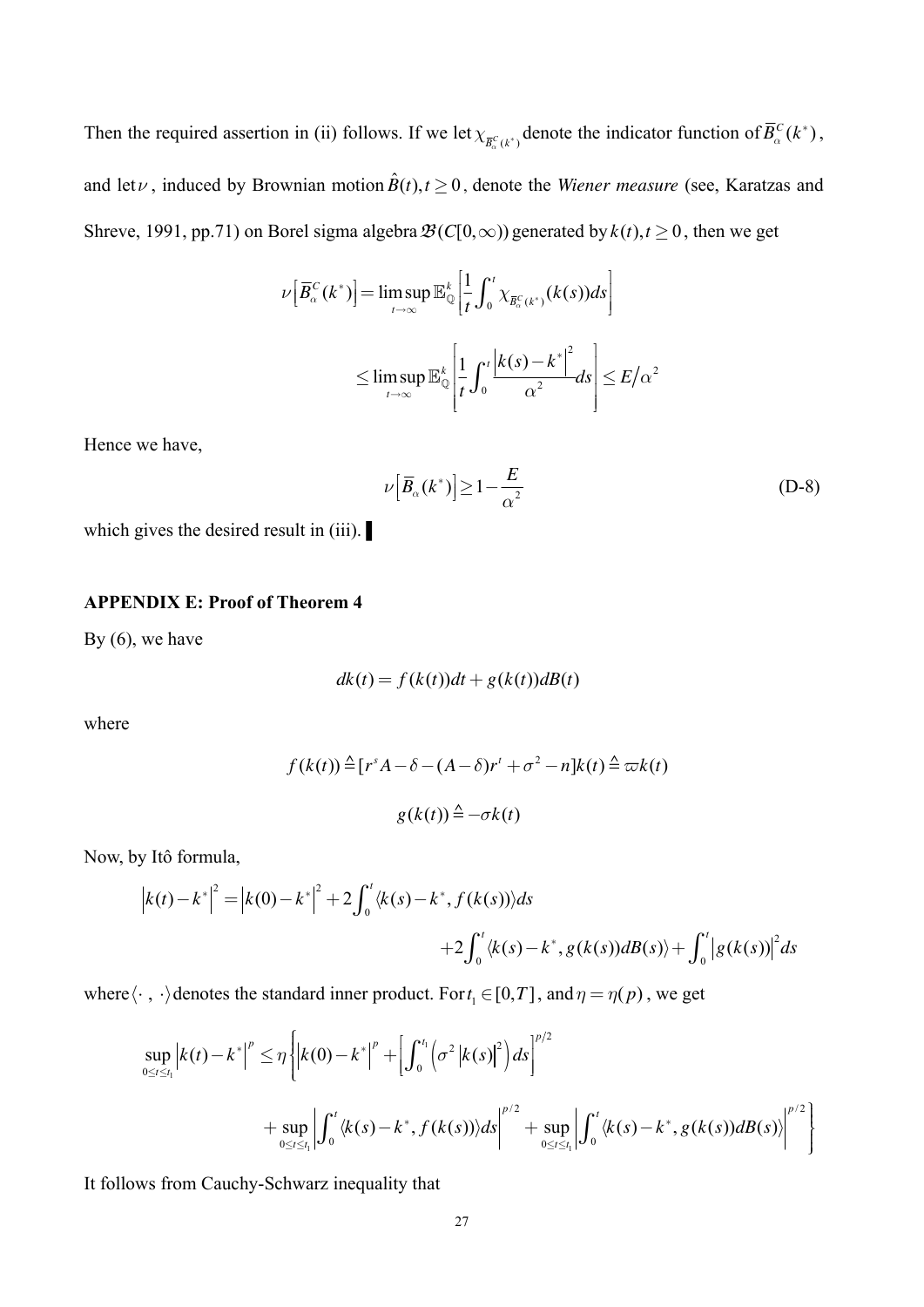Then the required assertion in (ii) follows. If we let  $\chi_{\bar{B}_{\alpha}^C(k^*)}$  denote the indicator function of  $\bar{B}_{\alpha}^C(k^*)$ , and let  $\nu$ , induced by Brownian motion  $\hat{B}(t), t \ge 0$ , denote the *Wiener measure* (see, Karatzas and Shreve, 1991, pp.71) on Borel sigma algebra  $\mathcal{B}(C[0,\infty))$  generated by  $k(t)$ ,  $t \ge 0$ , then we get

$$
\nu\left[\overline{B}_{\alpha}^{C}(k^{*})\right] = \limsup_{t \to \infty} \mathbb{E}_{\mathbb{Q}}^{k}\left[\frac{1}{t}\int_{0}^{t} \chi_{\overline{B}_{\alpha}^{C}(k^{*})}(k(s))ds\right]
$$
  

$$
\leq \limsup_{t \to \infty} \mathbb{E}_{\mathbb{Q}}^{k}\left[\frac{1}{t}\int_{0}^{t} \frac{\left|k(s)-k^{*}\right|^{2}}{\alpha^{2}}ds\right] \leq E/\alpha^{2}
$$

Hence we have,

$$
\nu\left[\overline{B}_{\alpha}(k^{*})\right] \geq 1 - \frac{E}{\alpha^{2}}\tag{D-8}
$$

which gives the desired result in (iii). ■

#### **APPENDIX E: Proof of Theorem 4**

By (6), we have

$$
dk(t) = f(k(t))dt + g(k(t))dB(t)
$$

where

$$
f(k(t)) \triangleq [r^{s} A - \delta - (A - \delta)r^{t} + \sigma^{2} - n]k(t) \triangleq \varpi k(t)
$$

$$
g(k(t)) \triangleq -\sigma k(t)
$$

Now, by Itô formula,

$$
|k(t) - k^*|^2 = |k(0) - k^*|^2 + 2 \int_0^t \langle k(s) - k^*, f(k(s)) \rangle ds
$$
  
+2\int\_0^t \langle k(s) - k^\*, g(k(s))dB(s) \rangle + \int\_0^t |g(k(s))|^2 ds

where  $\langle \cdot, \cdot \rangle$  denotes the standard inner product. For  $t_1 \in [0, T]$ , and  $\eta = \eta(p)$ , we get

$$
\sup_{0 \leq t \leq t_1} \left| k(t) - k^* \right|^p \leq \eta \left\{ \left| k(0) - k^* \right|^p + \left[ \int_0^{t_1} \left( \sigma^2 \left| k(s) \right|^2 \right) ds \right]^{p/2} + \sup_{0 \leq t \leq t_1} \left| \int_0^t \langle k(s) - k^*, f(k(s)) \rangle ds \right|^{p/2} + \sup_{0 \leq t \leq t_1} \left| \int_0^t \langle k(s) - k^*, g(k(s)) dB(s) \rangle \right|^{p/2} \right\}
$$

It follows from Cauchy-Schwarz inequality that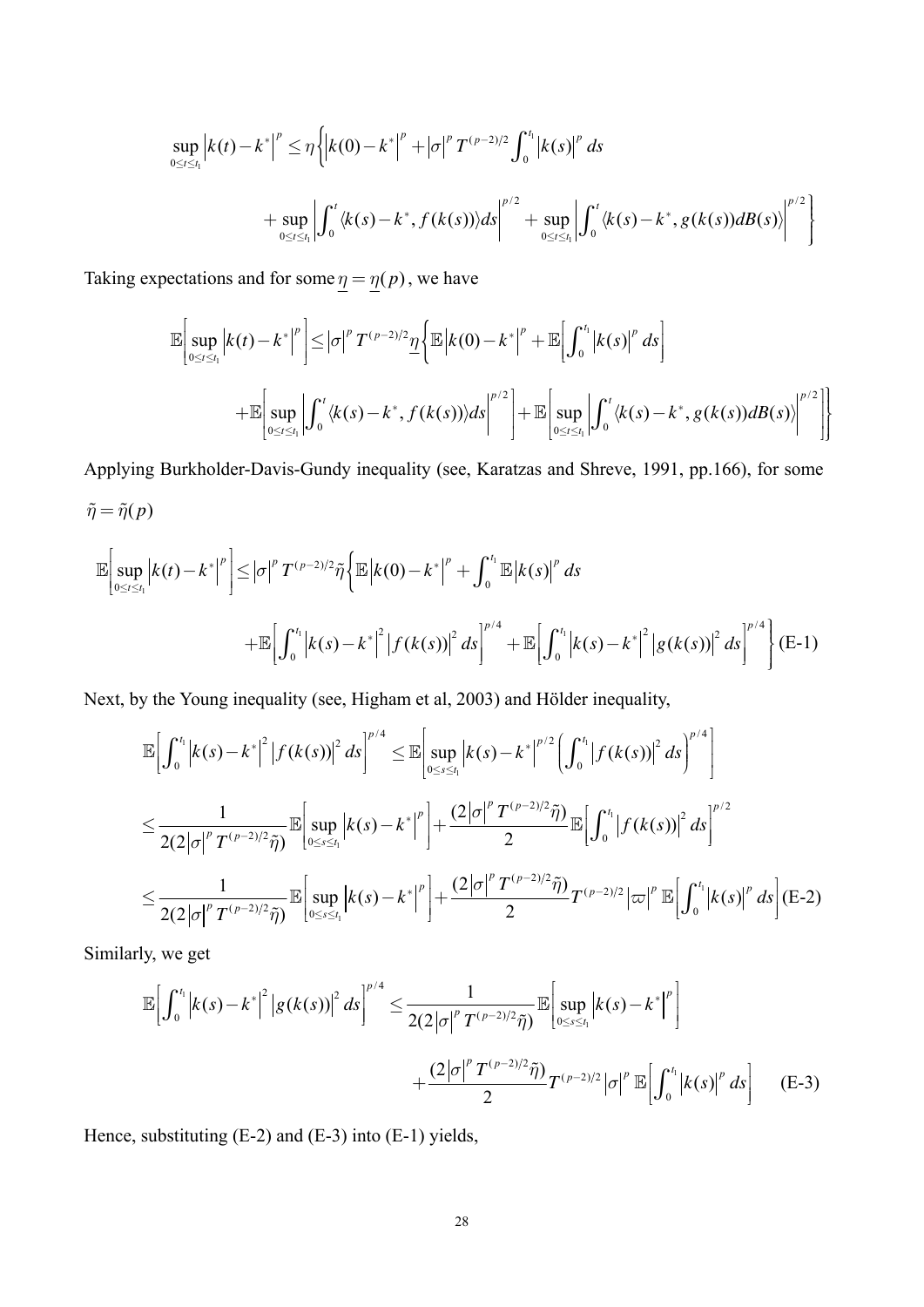$$
\sup_{0 \leq t \leq t_1} \left| k(t) - k^* \right|^p \leq \eta \left\{ \left| k(0) - k^* \right|^p + \left| \sigma \right|^p T^{(p-2)/2} \int_0^{t_1} \left| k(s) \right|^p ds \right\}
$$
  
+ 
$$
\sup_{0 \leq t \leq t_1} \left| \int_0^t \langle k(s) - k^*, f(k(s)) \rangle ds \right|^{p/2} + \sup_{0 \leq t \leq t_1} \left| \int_0^t \langle k(s) - k^*, g(k(s)) dB(s) \rangle \right|^{p/2} \right\}
$$

Taking expectations and for some  $\underline{\eta} = \underline{\eta}(p)$ , we have

$$
\mathbb{E}\Big[\sup_{0\leq t\leq t_1}\Big|k(t)-k^*\Big|^p\Big]\leq |\sigma|^p\,T^{(p-2)/2}\frac{\eta}{2}\Big\{\mathbb{E}\Big|k(0)-k^*\Big|^p+\mathbb{E}\Big[\int_0^{t_1}\big|k(s)\big|^p\,ds\Big] \n+\mathbb{E}\Big[\sup_{0\leq t\leq t_1}\Big|\int_0^t\langle k(s)-k^*,f(k(s))\rangle ds\Big|^{p/2}\Big|+\mathbb{E}\Big[\sup_{0\leq t\leq t_1}\Big|\int_0^t\langle k(s)-k^*,g(k(s))dB(s)\rangle\Big|^{p/2}\Big]\Big\}
$$

Applying Burkholder-Davis-Gundy inequality (see, Karatzas and Shreve, 1991, pp.166), for some  $\tilde{\eta} = \tilde{\eta}(p)$ 

$$
\mathbb{E}\Big[\sup_{0\leq t\leq t_{1}}\Big|k(t)-k^{*}\Big|^{p}\Big]\leq\Big|\sigma\Big|^{p}T^{(p-2)/2}\tilde{\eta}\Big\{\mathbb{E}\Big|k(0)-k^{*}\Big|^{p}+\int_{0}^{t_{1}}\mathbb{E}\Big|k(s)\Big|^{p}ds\\+\mathbb{E}\Big[\int_{0}^{t_{1}}\Big|k(s)-k^{*}\Big|^{2}\Big|f(k(s))\Big|^{2}ds\Big|^{p/4}+\mathbb{E}\Big[\int_{0}^{t_{1}}\Big|k(s)-k^{*}\Big|^{2}\Big|g(k(s))\Big|^{2}ds\Big|^{p/4}\Big\}\Big|\text{ (E-1)}
$$

Next, by the Young inequality (see, Higham et al, 2003) and Hölder inequality,

$$
\mathbb{E}\Big[\int_0^{t_1} \Big|k(s)-k^*\Big|^2 \Big|f(k(s))\Big|^2 \, ds\Big|^{p/4} \leq \mathbb{E}\Big[\sup_{0\leq s\leq t_1} \Big|k(s)-k^*\Big|^{p/2} \Big(\int_0^{t_1} \Big|f(k(s))\Big|^2 \, ds\Big)^{p/4}\Big]
$$
  
\n
$$
\leq \frac{1}{2(2|\sigma|^p T^{(p-2)/2}\tilde{\eta})}\mathbb{E}\Big[\sup_{0\leq s\leq t_1} \Big|k(s)-k^*\Big|^p\Big] + \frac{(2|\sigma|^p T^{(p-2)/2}\tilde{\eta})}{2}\mathbb{E}\Big[\int_0^{t_1} \Big|f(k(s))\Big|^2 \, ds\Big]^{p/2}
$$
  
\n
$$
\leq \frac{1}{2(2|\sigma|^p T^{(p-2)/2}\tilde{\eta})}\mathbb{E}\Big[\sup_{0\leq s\leq t_1} \Big|k(s)-k^*\Big|^p\Big] + \frac{(2|\sigma|^p T^{(p-2)/2}\tilde{\eta})}{2}T^{(p-2)/2}\Big|\varpi\Big|^p \mathbb{E}\Big[\int_0^{t_1} \Big|k(s)\Big|^p \, ds\Big](E-2)
$$

Similarly, we get

$$
\mathbb{E}\Big[\int_0^{t_1} \Big|k(s) - k^*\Big|^2 \Big|g(k(s))\Big|^2 \, ds\Big]^{p/4} \leq \frac{1}{2(2|\sigma|^p T^{(p-2)/2}\tilde{\eta})} \mathbb{E}\Big[\sup_{0 \leq s \leq t_1} \Big|k(s) - k^*\Big|^p\Big] + \frac{(2|\sigma|^p T^{(p-2)/2}\tilde{\eta})}{2} T^{(p-2)/2} |\sigma|^p \, \mathbb{E}\Big[\int_0^{t_1} \Big|k(s)\Big|^p \, ds\Big] \qquad \text{(E-3)}
$$

Hence, substituting (E-2) and (E-3) into (E-1) yields,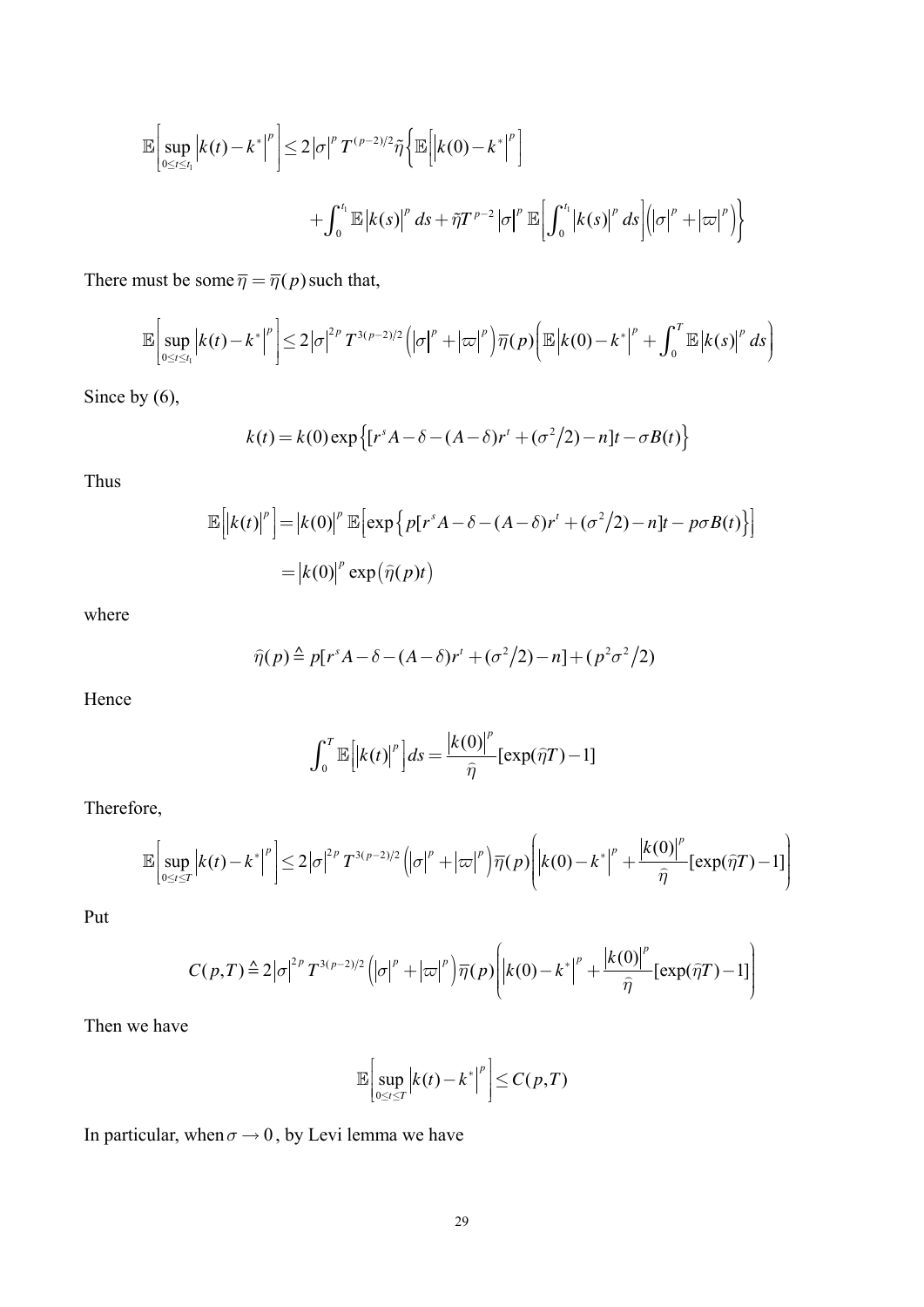$$
\mathbb{E}\bigg[\sup_{0\leq t\leq t_1}\big|k(t)-k^*\big|^p\bigg]\leq 2\big|\sigma\big|^p T^{(p-2)/2}\tilde{\eta}\bigg\{\mathbb{E}\bigg[\big|k(0)-k^*\big|^p\bigg]\bigg|\\+\int_0^{t_1}\mathbb{E}\big|k(s)\big|^p\,ds+\tilde{\eta}T^{p-2}\big|\sigma\big|^p\,\mathbb{E}\bigg[\int_0^{t_1}\big|k(s)\big|^p\,ds\bigg]\big(\big|\sigma\big|^p+\big|\varpi\big|^p\big)\bigg\}
$$

There must be some  $\overline{\eta} = \overline{\eta}(p)$  such that,

$$
\mathbb{E}\bigg[\sup_{0\leq t\leq t_1}\big|k(t)-k^*\big|^p\bigg]\leq 2\big|\sigma\big|^{2p}T^{3(p-2)/2}\big(\big|\sigma\big|^p+\big|\varpi\big|^p\big)\overline{\eta}(p)\bigg(\mathbb{E}\big|k(0)-k^*\big|^p+\int_0^T\mathbb{E}\big|k(s)\big|^p\,ds\bigg)
$$

Since by  $(6)$ ,

$$
k(t) = k(0) \exp \left\{ \left[ r^s A - \delta - (A - \delta) r^t + (\sigma^2/2) - n \right] t - \sigma B(t) \right\}
$$

Thus

$$
\mathbb{E}\left[\left|k(t)\right|^p\right] = \left|k(0)\right|^p \mathbb{E}\left[\exp\left\{p[r^s A - \delta - (A - \delta)r^t + (\sigma^2/2) - n]t - p\sigma B(t)\right\}\right]
$$

$$
= \left|k(0)\right|^p \exp(\widehat{\eta}(p)t)
$$

where

$$
\widehat{\eta}(p) \stackrel{\Delta}{=} p[r^s A - \delta - (A - \delta)r' + (\sigma^2/2) - n] + (p^2 \sigma^2/2)
$$

Hence

$$
\int_0^T \mathbb{E}\Big[ \big| k(t) \big|^p \Big] ds = \frac{\big| k(0) \big|^p}{\widehat{\eta}} \big[ \exp(\widehat{\eta}T) - 1 \big]
$$

Therefore,

$$
\mathbb{E}\left[\sup_{0\leq t\leq T}\left|k(t)-k^*\right|^p\right]\leq 2\left|\sigma\right|^{2p}T^{3(p-2)/2}\left(\left|\sigma\right|^p+\left|\varpi\right|^p\right)\overline{\eta}(p)\left(\left|k(0)-k^*\right|^p+\frac{\left|k(0)\right|^p}{\widehat{\eta}}\left[\exp(\widehat{\eta}T)-1\right]\right)
$$

Put

$$
C(p,T) \triangleq 2|\sigma|^{2p} T^{3(p-2)/2} \left( |\sigma|^p + |\varpi|^p \right) \overline{\eta}(p) \left( |k(0) - k^*|^p + \frac{|k(0)|^p}{\widehat{\eta}} [\exp(\widehat{\eta}T) - 1] \right)
$$

Then we have

$$
\mathbb{E}\bigg[\sup_{0\leq t\leq T}\bigg|k(t)-k^*\bigg|^p\bigg]\leq C(p,T)
$$

In particular, when  $\sigma \rightarrow 0$ , by Levi lemma we have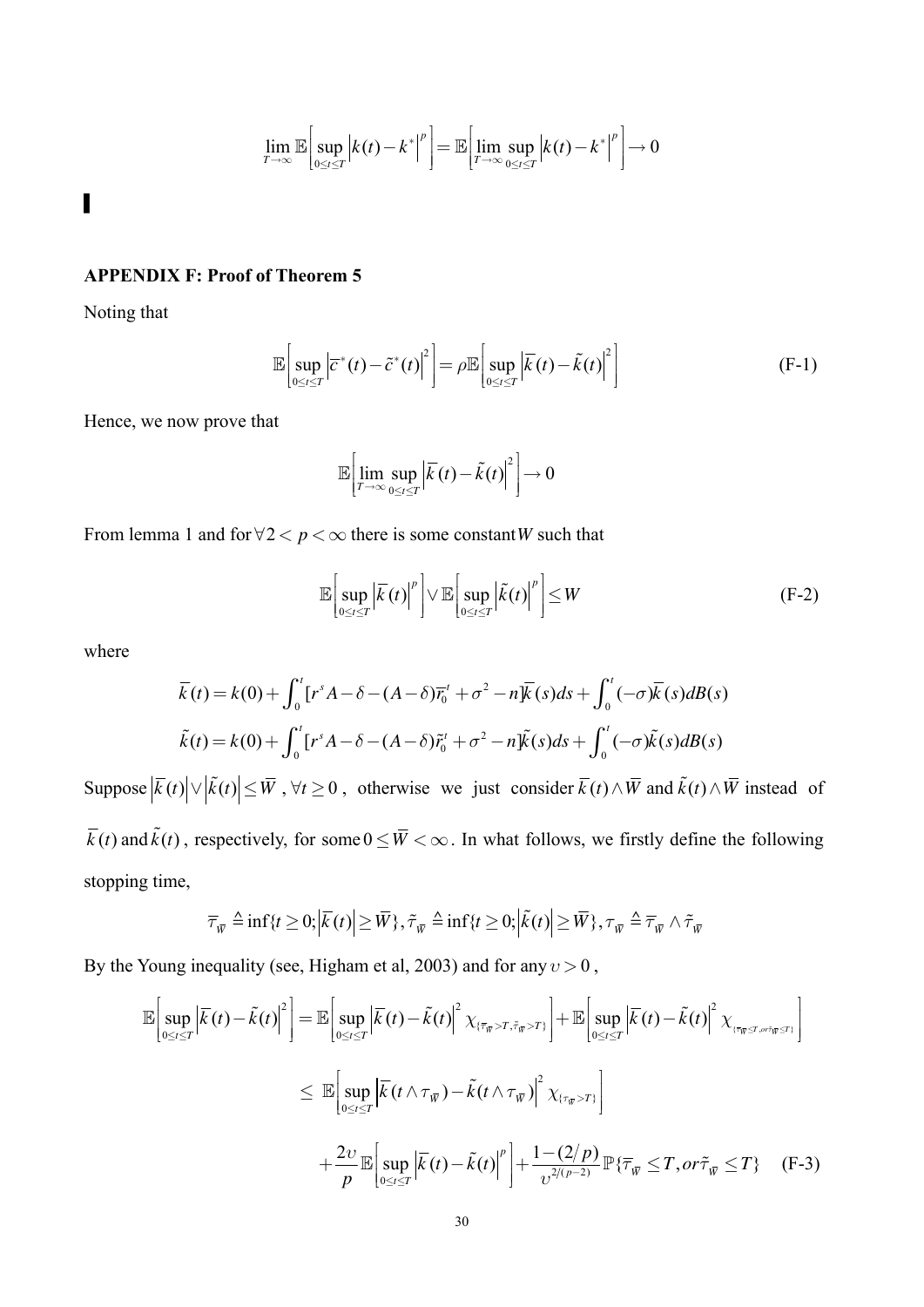$$
\lim_{T\to\infty}\mathbb{E}\bigg[\sup_{0\leq t\leq T}\bigg|k(t)-k^*\bigg|^p\bigg]=\mathbb{E}\bigg[\lim_{T\to\infty}\sup_{0\leq t\leq T}\bigg|k(t)-k^*\bigg|^p\bigg]\to 0
$$

 $\blacksquare$ 

#### **APPENDIX F: Proof of Theorem 5**

Noting that

$$
\mathbb{E}\left[\sup_{0\leq t\leq T}\left|\overline{c}^*(t)-\tilde{c}^*(t)\right|^2\right]=\rho\mathbb{E}\left[\sup_{0\leq t\leq T}\left|\overline{k}(t)-\tilde{k}(t)\right|^2\right]
$$
(F-1)

Hence, we now prove that

$$
\mathbb{E}\left[\lim_{T\to\infty}\sup_{0\leq t\leq T}\left|\overline{k}(t)-\tilde{k}(t)\right|^2\right]\to 0
$$

From lemma 1 and for  $\forall 2 < p < \infty$  there is some constant W such that

$$
\mathbb{E}\bigg[\sup_{0\leq t\leq T}\left|\overline{\mathcal{K}}(t)\right|^{p}\bigg]\vee\mathbb{E}\bigg[\sup_{0\leq t\leq T}\left|\widetilde{\mathcal{K}}(t)\right|^{p}\bigg]\leq W\tag{F-2}
$$

where

$$
\overline{k}(t) = k(0) + \int_0^t [r^s A - \delta - (A - \delta)\overline{r}_0^t + \sigma^2 - n]\overline{k}(s)ds + \int_0^t (-\sigma)\overline{k}(s)dB(s)
$$
  

$$
\tilde{k}(t) = k(0) + \int_0^t [r^s A - \delta - (A - \delta)\tilde{r}_0^t + \sigma^2 - n]\tilde{k}(s)ds + \int_0^t (-\sigma)\tilde{k}(s)dB(s)
$$

Suppose  $|\overline{k}(t)| \vee |\overline{k}(t)| \leq \overline{W}$ ,  $\forall t \geq 0$ , otherwise we just consider  $\overline{k}(t) \wedge \overline{W}$  and  $\overline{k}(t) \wedge \overline{W}$  instead of  $\overline{k}(t)$  and  $\tilde{k}(t)$ , respectively, for some  $0 \leq \overline{W} < \infty$ . In what follows, we firstly define the following stopping time,

$$
\overline{\tau}_{\overline{w}} \triangleq \inf\{t \ge 0; \left|\overline{k}(t)\right| \ge \overline{W}\}, \tilde{\tau}_{\overline{w}} \triangleq \inf\{t \ge 0; \left|\tilde{k}(t)\right| \ge \overline{W}\}, \tau_{\overline{w}} \triangleq \overline{\tau}_{\overline{w}} \wedge \tilde{\tau}_{\overline{w}}
$$

By the Young inequality (see, Higham et al, 2003) and for any  $v > 0$ ,

$$
\mathbb{E}\left[\sup_{0\leq t\leq T}\left|\overline{k}(t)-\tilde{k}(t)\right|^{2}\right] = \mathbb{E}\left[\sup_{0\leq t\leq T}\left|\overline{k}(t)-\tilde{k}(t)\right|^{2}\chi_{\{\overline{\tau}_{\overline{W}}>T,\tilde{\tau}_{\overline{W}}>T\}}\right] + \mathbb{E}\left[\sup_{0\leq t\leq T}\left|\overline{k}(t)-\tilde{k}(t)\right|^{2}\chi_{\{\overline{\tau}_{\overline{W}}>T,\tilde{\tau}_{\overline{W}}>T\}}\right]
$$
\n
$$
\leq \mathbb{E}\left[\sup_{0\leq t\leq T}\left|\overline{k}(t\wedge\tau_{\overline{W}})-\tilde{k}(t\wedge\tau_{\overline{W}})\right|^{2}\chi_{\{\tau_{\overline{W}}>T\}}\right]
$$
\n
$$
+\frac{2\upsilon}{p}\mathbb{E}\left[\sup_{0\leq t\leq T}\left|\overline{k}(t)-\tilde{k}(t)\right|^{p}\right]+\frac{1-(2/p)}{\upsilon^{2/(p-2)}}\mathbb{P}\{\overline{\tau}_{\overline{W}}\leq T, or\tilde{\tau}_{\overline{W}}\leq T\} \quad \text{(F-3)}
$$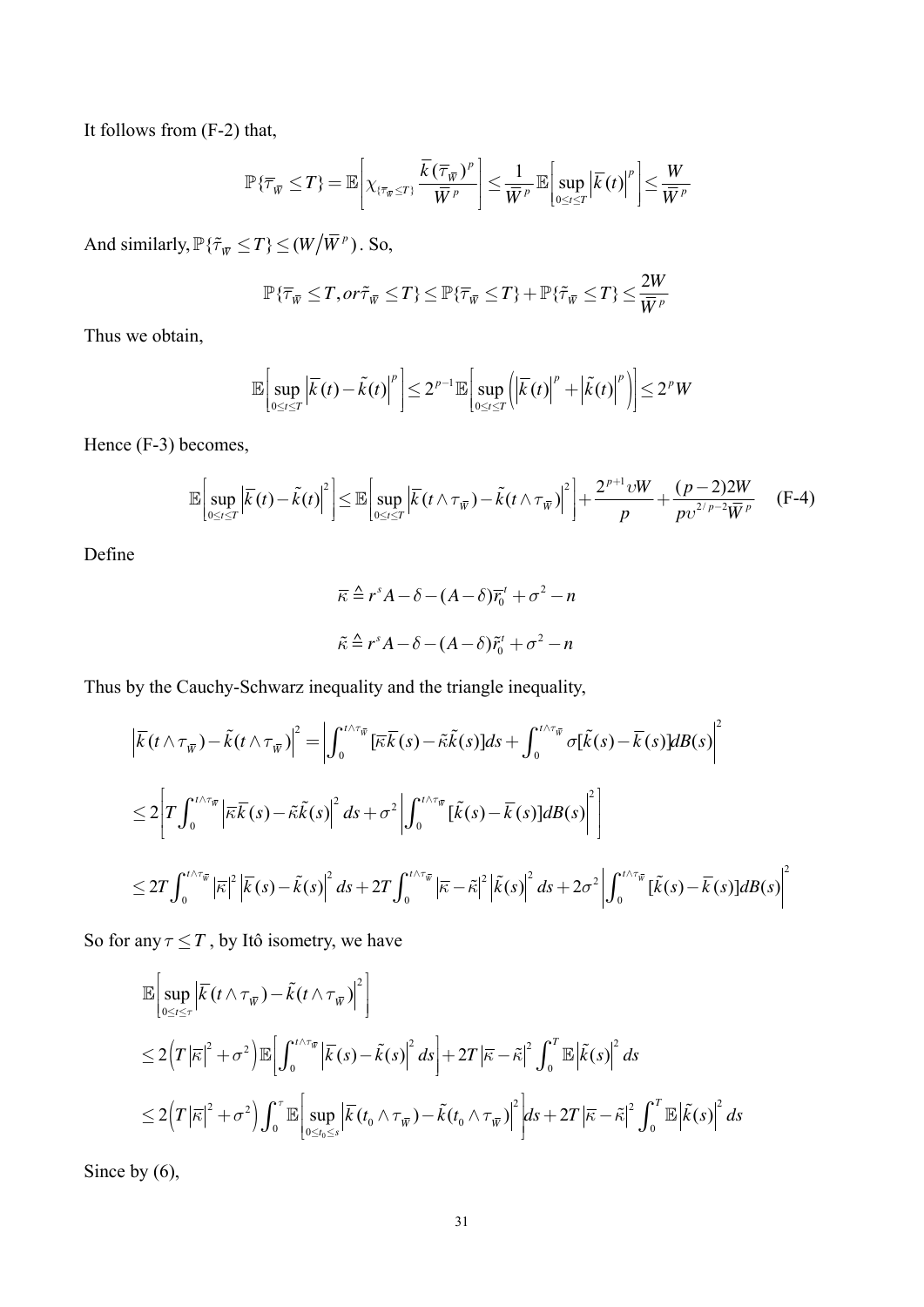It follows from (F-2) that,

$$
\mathbb{P}\left\{\overline{\tau}_{\overline{w}}\leq T\right\}=\mathbb{E}\left[\chi_{\{\overline{\tau}_{\overline{w}}\leq T\}}\frac{\overline{k}\left(\overline{\tau}_{\overline{w}}\right)^p}{\overline{w}^p}\right]\leq \frac{1}{\overline{w}^p}\mathbb{E}\left[\sup_{0\leq t\leq T}\left|\overline{k}(t)\right|^p\right]\leq \frac{W}{\overline{w}^p}
$$

And similarly,  $\mathbb{P}\{\tilde{\tau}_{\bar{W}} \leq T\} \leq (W/\bar{W}^p)$ . So,

$$
\mathbb{P}\{\overline{\tau}_{\overline{w}}\leq T, or\tilde{\tau}_{\overline{w}}\leq T\} \leq \mathbb{P}\{\overline{\tau}_{\overline{w}}\leq T\} + \mathbb{P}\{\tilde{\tau}_{\overline{w}}\leq T\} \leq \frac{2W}{\overline{W}^p}
$$

Thus we obtain,

$$
\mathbb{E}\bigg[\sup_{0\leq t\leq T}\left|\overline{\mathcal{K}}(t)-\tilde{\mathcal{K}}(t)\right|^{p}\bigg]\leq 2^{p-1}\mathbb{E}\bigg[\sup_{0\leq t\leq T}\bigg(\left|\overline{\mathcal{K}}(t)\right|^{p}+\left|\tilde{\mathcal{K}}(t)\right|^{p}\bigg)\bigg]\leq 2^{p}W
$$

Hence (F-3) becomes,

$$
\mathbb{E}\bigg[\sup_{0\leq t\leq T}\left|\overline{k}(t)-\tilde{k}(t)\right|^{2}\bigg]\leq \mathbb{E}\bigg[\sup_{0\leq t\leq T}\left|\overline{k}(t\wedge\tau_{\overline{w}})-\tilde{k}(t\wedge\tau_{\overline{w}})\right|^{2}\bigg]+\frac{2^{p+1}vW}{p}+\frac{(p-2)2W}{pv^{2/p-2}\overline{W}^{p}}\qquad(F-4)
$$

Define

$$
\overline{\kappa} \stackrel{\Delta}{=} r^s A - \delta - (A - \delta)\overline{r}_0^t + \sigma^2 - n
$$
  

$$
\tilde{\kappa} \stackrel{\Delta}{=} r^s A - \delta - (A - \delta)\tilde{r}_0^t + \sigma^2 - n
$$

Thus by the Cauchy-Schwarz inequality and the triangle inequality,

$$
\begin{split}\n\left| \overline{\tilde{k}}(t \wedge \tau_{\overline{w}}) - \tilde{k}(t \wedge \tau_{\overline{w}})\right|^2 &= \left| \int_0^{t \wedge \tau_{\overline{w}}} [\overline{\kappa} \overline{k}(s) - \tilde{\kappa} \tilde{k}(s)] ds + \int_0^{t \wedge \tau_{\overline{w}}} \sigma[\tilde{k}(s) - \overline{k}(s)] dB(s) \right|^2 \\
&\leq 2 \left| T \int_0^{t \wedge \tau_{\overline{w}}} \left| \overline{\kappa} \overline{k}(s) - \tilde{\kappa} \tilde{k}(s) \right|^2 ds + \sigma^2 \left| \int_0^{t \wedge \tau_{\overline{w}}} [\tilde{k}(s) - \overline{k}(s)] dB(s) \right|^2 \right| \\
&\leq 2 T \int_0^{t \wedge \tau_{\overline{w}}} |\overline{\kappa}|^2 \left| \overline{k}(s) - \tilde{k}(s) \right|^2 ds + 2T \int_0^{t \wedge \tau_{\overline{w}}} |\overline{\kappa} - \tilde{\kappa}|^2 \left| \tilde{k}(s) \right|^2 ds + 2\sigma^2 \left| \int_0^{t \wedge \tau_{\overline{w}}} [\tilde{k}(s) - \overline{k}(s)] dB(s) \right|^2\n\end{split}
$$

So for any  $\tau \leq T$ , by Itô isometry, we have

$$
\mathbb{E}\Big[\sup_{0\leq t\leq\tau}\Big|\overline{\mathcal{K}}(t\wedge\tau_{\overline{W}})-\tilde{k}(t\wedge\tau_{\overline{W}})\Big|^2\Big]
$$
\n
$$
\leq 2\Big(T\big|\overline{\kappa}\big|^2+\sigma^2\Big)\mathbb{E}\Big[\int_0^{t\wedge\tau_{\overline{W}}}\Big|\overline{k}(s)-\tilde{k}(s)\Big|^2\,ds\Big]+2T\big|\overline{\kappa}-\tilde{\kappa}\big|^2\int_0^T\mathbb{E}\Big|\tilde{k}(s)\Big|^2\,ds
$$
\n
$$
\leq 2\Big(T\big|\overline{\kappa}\big|^2+\sigma^2\Big)\int_0^T\mathbb{E}\Big[\sup_{0\leq t_0\leq s}\Big|\overline{k}(t_0\wedge\tau_{\overline{W}})-\tilde{k}(t_0\wedge\tau_{\overline{W}})\Big|^2\Big]ds+2T\big|\overline{\kappa}-\tilde{\kappa}\big|^2\int_0^T\mathbb{E}\Big|\tilde{k}(s)\Big|^2\,ds
$$

Since by  $(6)$ ,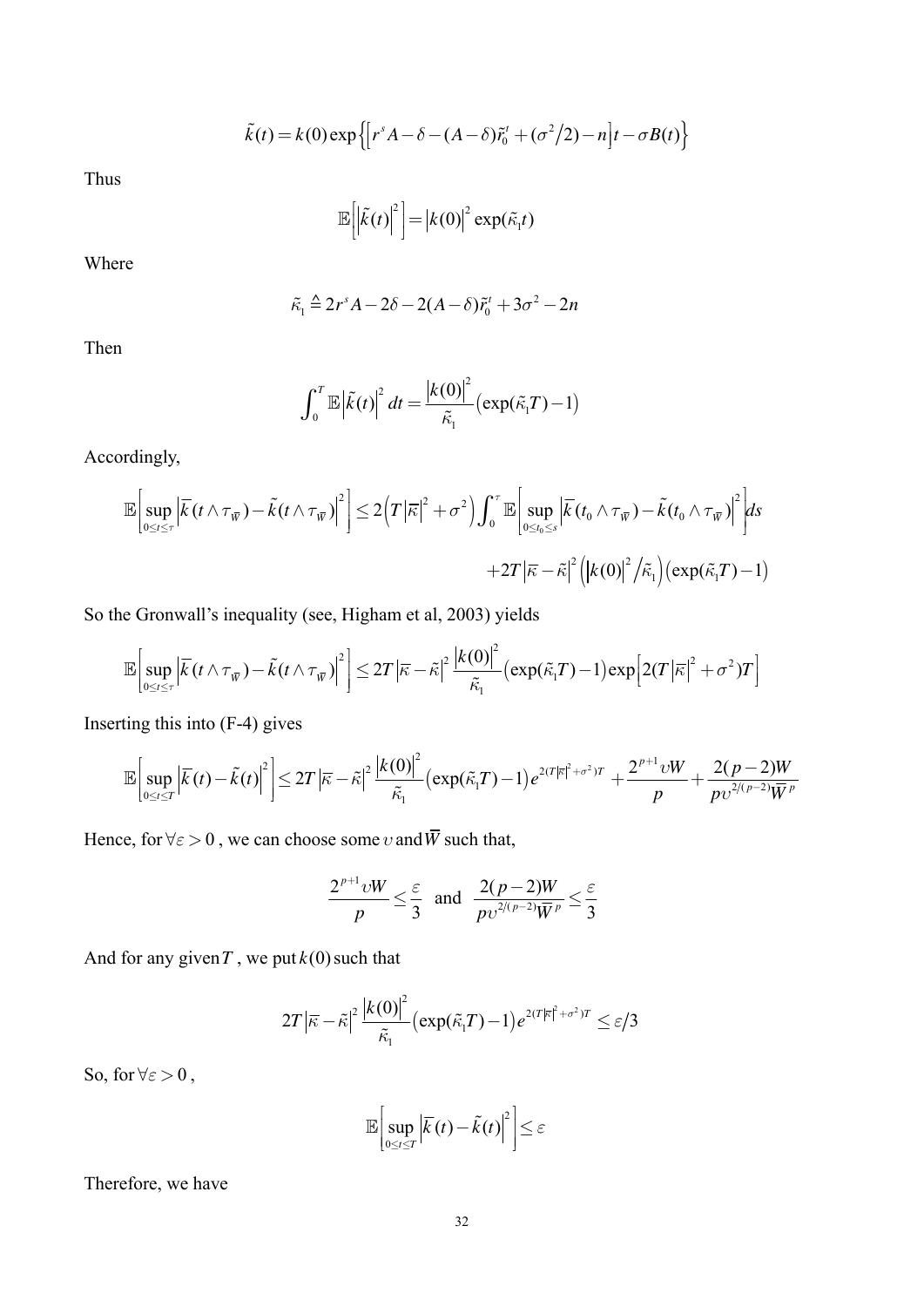$$
\tilde{k}(t) = k(0) \exp \left\{ \left[ r^s A - \delta - (A - \delta) \tilde{r}_0^t + (\sigma^2/2) - n \right] t - \sigma B(t) \right\}
$$

Thus

$$
\mathbb{E}\left[\left|\tilde{k}(t)\right|^2\right] = \left|k(0)\right|^2 \exp(\tilde{\kappa}_1 t)
$$

Where

$$
\tilde{\kappa}_1 \stackrel{\Delta}{=} 2r^s A - 2\delta - 2(A - \delta)\tilde{r}_0^t + 3\sigma^2 - 2n
$$

Then

$$
\int_0^T \mathbb{E} \left| \tilde{k}(t) \right|^2 dt = \frac{\left| k(0) \right|^2}{\tilde{\kappa}_1} \left( \exp(\tilde{\kappa}_1 T) - 1 \right)
$$

Accordingly,

$$
\mathbb{E}\bigg[\sup_{0\leq t\leq\tau}\left|\overline{k}(t\wedge\tau_{\overline{w}})-\tilde{k}(t\wedge\tau_{\overline{w}})\right|^2\bigg]\leq 2\Big(T\left|\overline{\kappa}\right|^2+\sigma^2\Big)\int_0^{\tau}\mathbb{E}\bigg[\sup_{0\leq t_0\leq s}\left|\overline{k}(t_0\wedge\tau_{\overline{w}})-\tilde{k}(t_0\wedge\tau_{\overline{w}})\right|^2\bigg]ds\\+2T\left|\overline{\kappa}-\tilde{\kappa}\right|^2\Big(\big|k(0)\big|^2\big/\tilde{\kappa}_1\Big)\big(\exp(\tilde{\kappa}_1T)-1\big)
$$

So the Gronwall's inequality (see, Higham et al, 2003) yields

$$
\mathbb{E}\bigg[\sup_{0\leq t\leq\tau}\left|\overline{k}(t\wedge\tau_{\overline{w}})-\tilde{k}(t\wedge\tau_{\overline{w}})\right|^2\bigg]\leq 2T\left|\overline{\kappa}-\tilde{\kappa}\right|^2\frac{\left|k(0)\right|^2}{\tilde{\kappa}_1}\big(\exp(\tilde{\kappa}_1T)-1\big)\exp\big[2(T\left|\overline{\kappa}\right|^2+\sigma^2)T\big]
$$

Inserting this into  $(F-4)$  gives

$$
\mathbb{E}\bigg[\sup_{0\leq t\leq T}\left|\overline{\mathcal{K}}(t)-\tilde{\mathcal{K}}(t)\right|^2\bigg]\leq 2T\left|\overline{\mathcal{K}}-\tilde{\mathcal{K}}\right|^2\frac{\left|k(0)\right|^2}{\tilde{\mathcal{K}}_1}\big(\exp(\tilde{\mathcal{K}}_1T)-1\big)e^{2(T|\overline{\mathcal{K}}|^2+\sigma^2)T}+\frac{2^{p+1}vW}{p}+\frac{2(p-2)W}{pv^{2/(p-2)}\overline{W}^p}
$$

Hence, for  $\forall \varepsilon > 0$ , we can choose some v and  $\overline{W}$  such that,

$$
\frac{2^{p+1}vW}{p} \leq \frac{\varepsilon}{3} \text{ and } \frac{2(p-2)W}{pv^{2/(p-2)}\overline{W}^p} \leq \frac{\varepsilon}{3}
$$

And for any given T, we put  $k(0)$  such that

$$
2T|\bar{\kappa}-\tilde{\kappa}|^2\frac{\big|\kappa(0)\big|^2}{\tilde{\kappa}_1}\big(\exp(\tilde{\kappa}_1T)-1\big)e^{2(T|\bar{\kappa}|^2+\sigma^2)T}\leq \varepsilon/3
$$

So, for  $\forall \varepsilon > 0$ ,

$$
\mathbb{E}\bigg[\sup_{0\leq t\leq T}\left|\overline{k}(t)-\tilde{k}(t)\right|^2\bigg]\leq \varepsilon
$$

Therefore, we have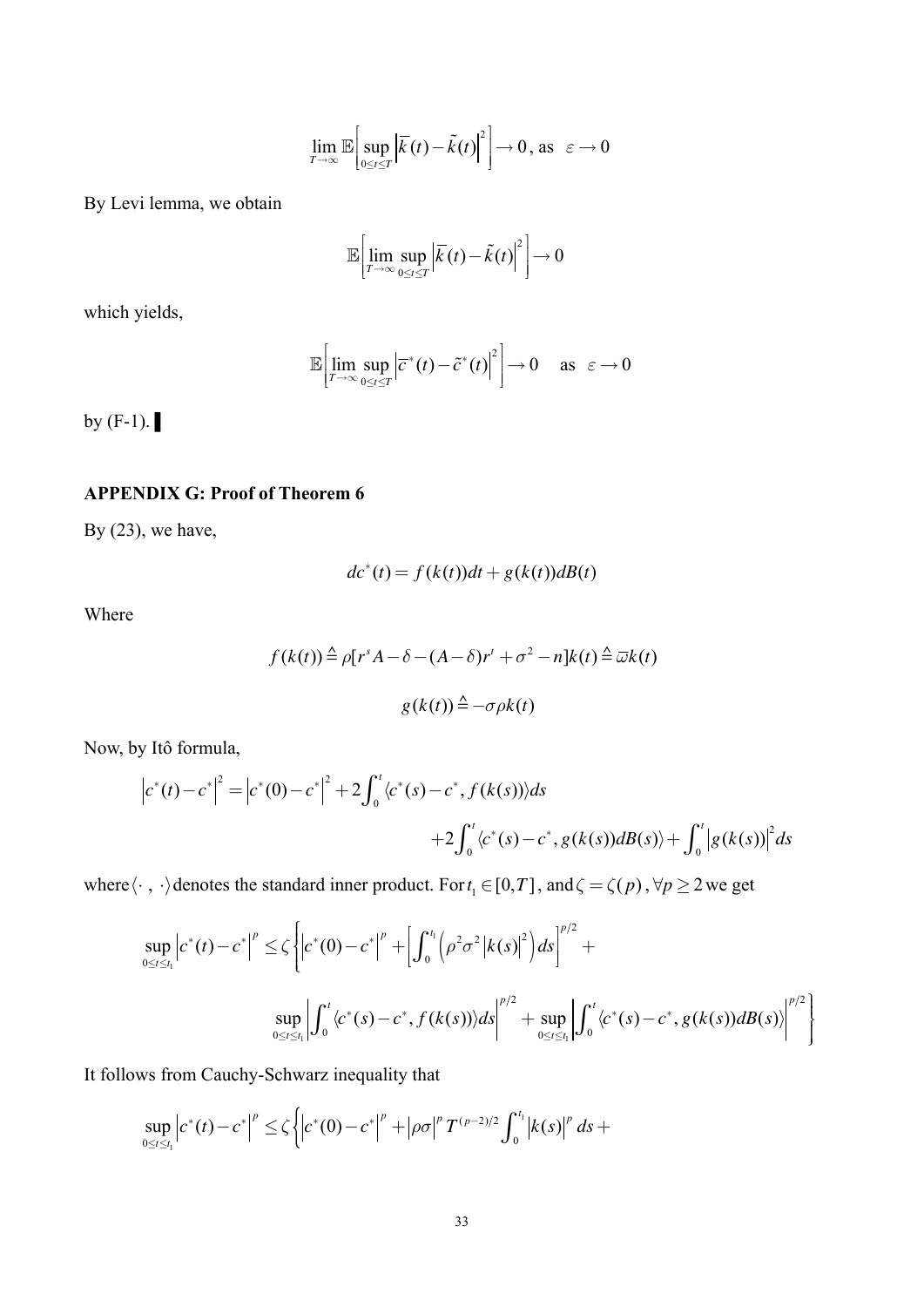$$
\lim_{T\to\infty}\mathbb{E}\bigg[\sup_{0\leq t\leq T}\bigg|\overline{\mathcal{K}}(t)-\tilde{\mathcal{K}}(t)\bigg|^2\bigg]\to 0, \text{ as } \varepsilon\to 0
$$

By Levi lemma, we obtain

$$
\mathbb{E}\bigg[\lim_{T\to\infty}\sup_{0\leq t\leq T}\big|\overline{k}(t)-\tilde{k}(t)\big|^2\bigg]\to 0
$$

which yields,

$$
\mathbb{E}\left[\lim_{T\to\infty}\sup_{0\leq t\leq T}\left|\overline{c}^*(t)-\tilde{c}^*(t)\right|^2\right]\to 0 \quad \text{as} \quad \varepsilon\to 0
$$

by  $(F-1)$ .

### **APPENDIX G: Proof of Theorem 6**

By  $(23)$ , we have,

$$
dc^*(t) = f(k(t))dt + g(k(t))dB(t)
$$

Where

$$
f(k(t)) \triangleq \rho[r^s A - \delta - (A - \delta)r^t + \sigma^2 - n]k(t) \triangleq \overline{\omega}k(t)
$$

$$
g(k(t)) \triangleq -\sigma \rho k(t)
$$

Now, by Itô formula,

$$
|c^*(t) - c^*|^2 = |c^*(0) - c^*|^2 + 2 \int_0^t \langle c^*(s) - c^*, f(k(s)) \rangle ds
$$
  
+2 $\int_0^t \langle c^*(s) - c^*, g(k(s))dB(s) \rangle + \int_0^t |g(k(s))|^2 ds$ 

where  $\langle \cdot, \cdot \rangle$  denotes the standard inner product. For  $t_1 \in [0,T]$ , and  $\zeta = \zeta(p)$ ,  $\forall p \ge 2$  we get

$$
\sup_{0 \le t \le t_1} \left| c^*(t) - c^* \right|^p \le \zeta \left\{ \left| c^*(0) - c^* \right|^p + \left[ \int_0^{t_1} \left( \rho^2 \sigma^2 \left| k(s) \right|^2 \right) ds \right]^{p/2} + \sup_{0 \le t \le t_1} \left| \int_0^t \left( c^*(s) - c^*, f(k(s)) \right) ds \right|^{p/2} + \sup_{0 \le t \le t_1} \left| \int_0^t \left( c^*(s) - c^*, g(k(s)) dB(s) \right) \right|^{p/2} \right\}
$$

It follows from Cauchy-Schwarz inequality that

$$
\sup_{0\leq t\leq t_1}\left|c^*(t)-c^*\right|^p\leq\zeta\left\{\left|c^*(0)-c^*\right|^p+\left|\rho\sigma\right|^pT^{(p-2)/2}\int_0^{t_1}\left|k(s)\right|^p ds+\right\}
$$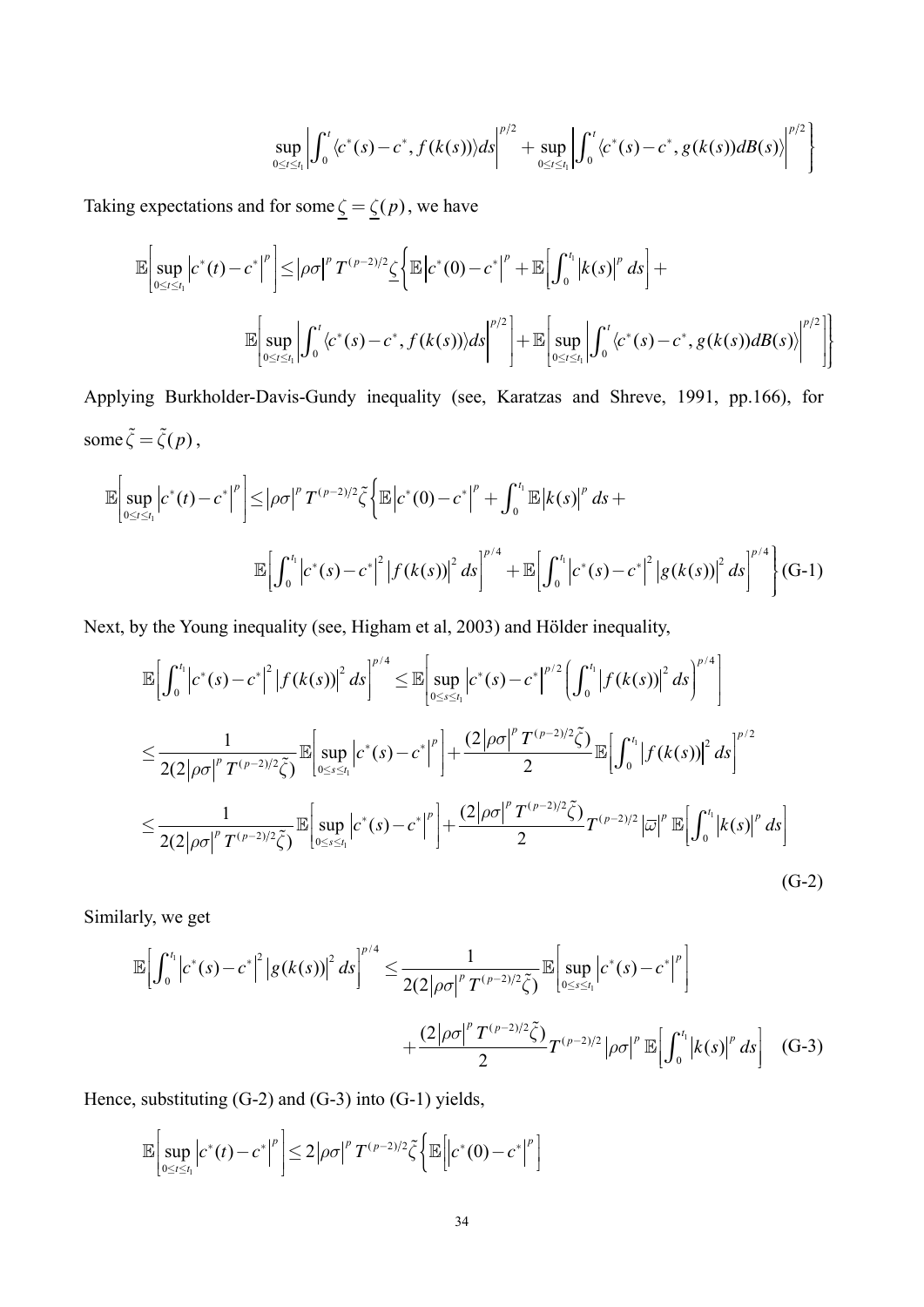$$
\sup_{0\leq t\leq t_1}\left|\int_0^t \langle c^*(s)-c^*, f(k(s))\rangle ds\right|^{p/2}+\sup_{0\leq t\leq t_1}\left|\int_0^t \langle c^*(s)-c^*, g(k(s))dB(s)\rangle\right|^{p/2}\right\}
$$

Taking expectations and for some  $\underline{\zeta} = \underline{\zeta}(p)$ , we have

$$
\mathbb{E}\Bigg[\sup_{0\leq t\leq t_1}\Big|c^*(t)-c^*\Big|^p\Bigg]\leq \Big|\rho\sigma\Big|^p T^{(p-2)/2}\underline{\zeta}\Bigg\{\mathbb{E}\Big|c^*(0)-c^*\Big|^p+\mathbb{E}\Big[\int_0^{t_1}\big|k(s)\big|^p\,ds\Big]+\\ \mathbb{E}\Bigg[\sup_{0\leq t\leq t_1}\Big|\int_0^{t_1}\langle c^*(s)-c^*,f(k(s))\rangle ds\Big|^{p/2}\Bigg]+\mathbb{E}\Bigg[\sup_{0\leq t\leq t_1}\Big|\int_0^{t_1}\langle c^*(s)-c^*,g(k(s))dB(s)\rangle\Big|^{p/2}\Bigg]\Bigg\}
$$

Applying Burkholder-Davis-Gundy inequality (see, Karatzas and Shreve, 1991, pp.166), for some  $\tilde{\zeta} = \tilde{\zeta}(p)$ ,

$$
\mathbb{E}\Big[\sup_{0\leq t\leq t_{1}}\Big|c^{*}(t)-c^{*}\Big|^{p}\Big]\leq\Big|\rho\sigma\Big|^{p}T^{(p-2)/2}\tilde{\zeta}\Big\{\mathbb{E}\Big|c^{*}(0)-c^{*}\Big|^{p}+\int_{0}^{t_{1}}\mathbb{E}\Big|k(s)\Big|^{p}ds+\mathbb{E}\Big[\int_{0}^{t_{1}}\Big|c^{*}(s)-c^{*}\Big|^{2}\Big|f(k(s))\Big|^{2}ds\Big|^{p/4}+\mathbb{E}\Big[\int_{0}^{t_{1}}\Big|c^{*}(s)-c^{*}\Big|^{2}\Big|g(k(s))\Big|^{2}ds\Big|^{p/4}\Big\}\Big|\text{G-1}\Big|
$$

Next, by the Young inequality (see, Higham et al, 2003) and Hölder inequality,

$$
\mathbb{E}\Big[\int_{0}^{t_{1}}\big|c^{*}(s)-c^{*}\big|^{2}\big|f(k(s))\big|^{2}ds\Big|^{p/4}\leq\mathbb{E}\Big[\sup_{0\leq s\leq t_{1}}\big|c^{*}(s)-c^{*}\big|^{p/2}\Big(\int_{0}^{t_{1}}\big|f(k(s))\big|^{2}ds\Big)^{p/4}\Big]
$$
\n
$$
\leq\frac{1}{2(2|\rho\sigma|^{p}T^{(p-2)/2}\tilde{\zeta})}\mathbb{E}\Big[\sup_{0\leq s\leq t_{1}}\big|c^{*}(s)-c^{*}\big|^{p}\Big|+\frac{(2|\rho\sigma|^{p}T^{(p-2)/2}\tilde{\zeta})}{2}\mathbb{E}\Big[\int_{0}^{t_{1}}\big|f(k(s))\big|^{2}ds\Big|^{p/2}
$$
\n
$$
\leq\frac{1}{2(2|\rho\sigma|^{p}T^{(p-2)/2}\tilde{\zeta})}\mathbb{E}\Big[\sup_{0\leq s\leq t_{1}}\big|c^{*}(s)-c^{*}\big|^{p}\Big|+\frac{(2|\rho\sigma|^{p}T^{(p-2)/2}\tilde{\zeta})}{2}T^{(p-2)/2}\big|\overline{\omega}\big|^{p}\mathbb{E}\Big[\int_{0}^{t_{1}}\big|k(s)\big|^{p}ds\Big]
$$
\n(G-2)

Similarly, we get

$$
\mathbb{E}\Big[\int_0^{t_1} \Big|c^*(s) - c^*\Big|^2 \Big|g(k(s))\Big|^2 ds\Big|^{p/4} \leq \frac{1}{2(2|\rho\sigma|^p T^{(p-2)/2}\tilde{\zeta})} \mathbb{E}\Big[\sup_{0 \leq s \leq t_1} \Big|c^*(s) - c^*\Big|^p\Big] + \frac{(2|\rho\sigma|^p T^{(p-2)/2}\tilde{\zeta})}{2} T^{(p-2)/2} |\rho\sigma|^p \mathbb{E}\Big[\int_0^{t_1} \Big|k(s)\Big|^p ds\Big] \quad \text{(G-3)}
$$

Hence, substituting  $(G-2)$  and  $(G-3)$  into  $(G-1)$  yields,

$$
\mathbb{E}\left[\sup_{0\leq t\leq t_1}\left|c^*(t)-c^*\right|^p\right]\leq 2\left|\rho\sigma\right|^pT^{(p-2)/2}\tilde{\zeta}\left\{\mathbb{E}\left[\left|c^*(0)-c^*\right|^p\right]\right\}
$$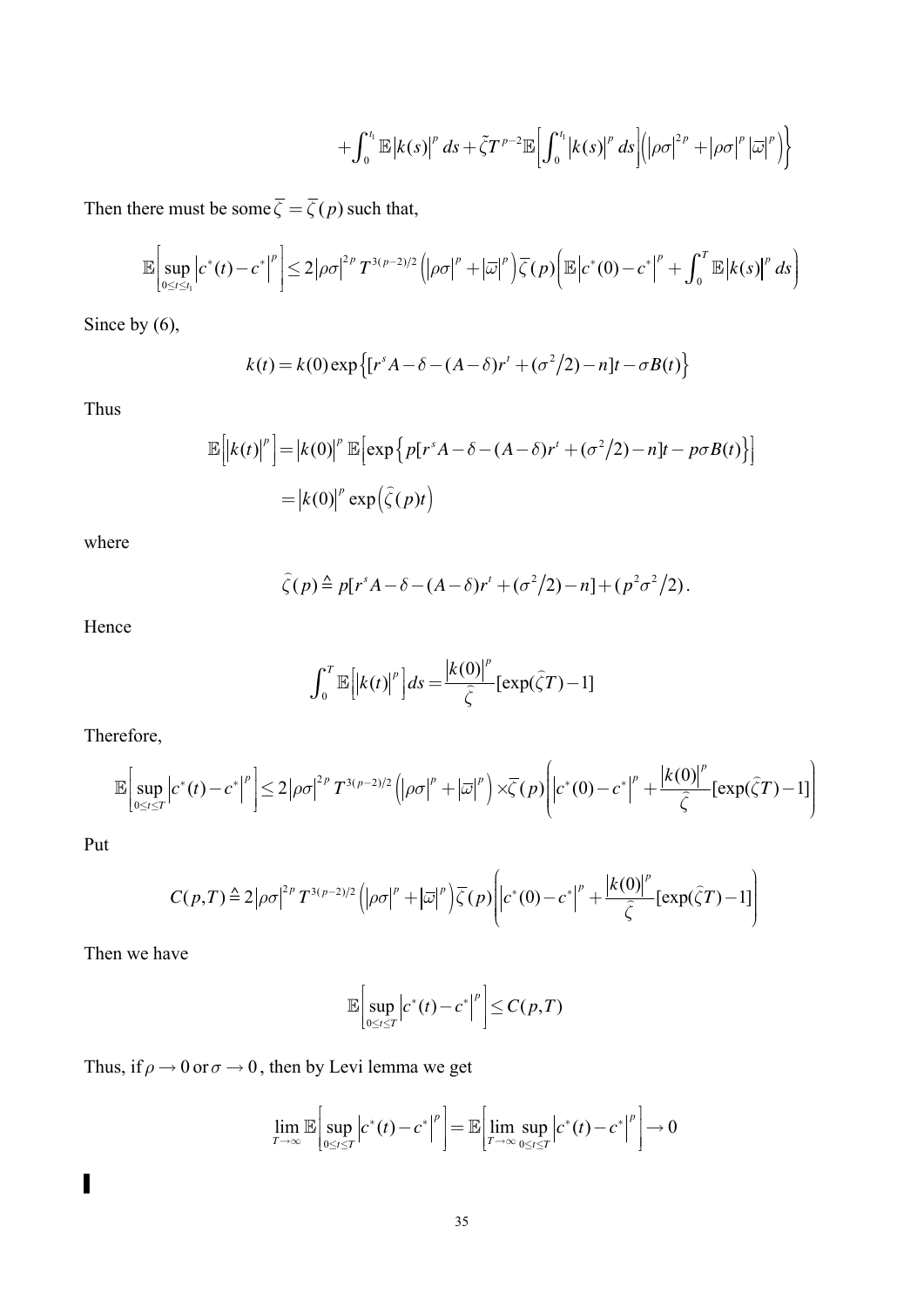$$
+\int_0^{t_1} {\mathbb E} \left|k(s)\right|^p ds + \tilde{\zeta} T^{p-2} {\mathbb E} \left[\int_0^{t_1} \left|k(s)\right|^p ds\right] \left(\left|\rho\sigma\right|^{2p} + \left|\rho\sigma\right|^p \left|\overline{\omega}\right|^p \right) \right]
$$

Then there must be some  $\overline{\zeta} = \overline{\zeta}(p)$  such that,

$$
\mathbb{E}\bigg[\sup_{0\leq t\leq t_1}\bigg|c^*(t)-c^*\bigg|^p\bigg]\leq 2\big|\rho\sigma\big|^{2p}T^{3(p-2)/2}\bigg(\big|\rho\sigma\big|^p+\big|\overline{\omega}\big|^p\bigg)\overline{\zeta}(p)\bigg(\mathbb{E}\big|c^*(0)-c^*\big|^p+\int_0^T\mathbb{E}\big|k(s)\big|^p\,ds\bigg)
$$

Since by  $(6)$ ,

$$
k(t) = k(0) \exp \left\{ \left[ r^s A - \delta - (A - \delta) r^t + (\sigma^2/2) - n \right] t - \sigma B(t) \right\}
$$

Thus

$$
\mathbb{E}\left[\left|k(t)\right|^p\right] = \left|k(0)\right|^p \mathbb{E}\left[\exp\left\{p[r^s A - \delta - (A - \delta)r^t + (\sigma^2/2) - n]t - p\sigma B(t)\right\}\right]
$$

$$
= \left|k(0)\right|^p \exp\left(\hat{\zeta}(p)t\right)
$$

where

$$
\widehat{\zeta}(p) \triangleq p[r^s A - \delta - (A - \delta)r^t + (\sigma^2/2) - n] + (p^2 \sigma^2/2).
$$

Hence

$$
\int_0^T \mathbb{E}\left[\left|k(t)\right|^p\right]ds = \frac{\left|k(0)\right|^p}{\widehat{\zeta}}\left[\exp(\widehat{\zeta}T) - 1\right]
$$

Therefore,

$$
\mathbb{E}\bigg[\sup_{0\leq t\leq T}\bigg|c^*(t)-c^*\bigg|^p\bigg]\leq 2\big|\rho\sigma\big|^{2p}T^{3(p-2)/2}\bigg(\big|\rho\sigma\big|^p+\big|\overline{\omega}\big|^p\bigg)\times\overline{\zeta}(p)\bigg|\bigg|c^*(0)-c^*\big|^p+\frac{\big|k(0)\big|^p}{\widehat{\zeta}}\big[\exp(\widehat{\zeta}T)-1\big]\bigg)
$$

Put

$$
C(p,T) \triangleq 2|\rho\sigma|^{2p}T^{3(p-2)/2}\left(|\rho\sigma|^{p}+|\overline{\omega}|^{p}\right)\overline{\zeta}(p)\left(|c^{*}(0)-c^{*}|^{p}+ \frac{|k(0)|^{p}}{\widehat{\zeta}}[\exp(\widehat{\zeta}T)-1]\right)
$$

Then we have

$$
\mathbb{E}\left|\sup_{0\leq t\leq T}\left|c^*(t)-c^*\right|^p\right|\leq C(p,T)
$$

Thus, if  $\rho \to 0$  or  $\sigma \to 0$ , then by Levi lemma we get

$$
\lim_{T\to\infty}\mathbb{E}\bigg[\sup_{0\leq t\leq T}\bigg|c^*(t)-c^*\bigg|^p\bigg]=\mathbb{E}\bigg[\lim_{T\to\infty}\sup_{0\leq t\leq T}\bigg|c^*(t)-c^*\bigg|^p\bigg]\to 0
$$

 $\overline{\phantom{a}}$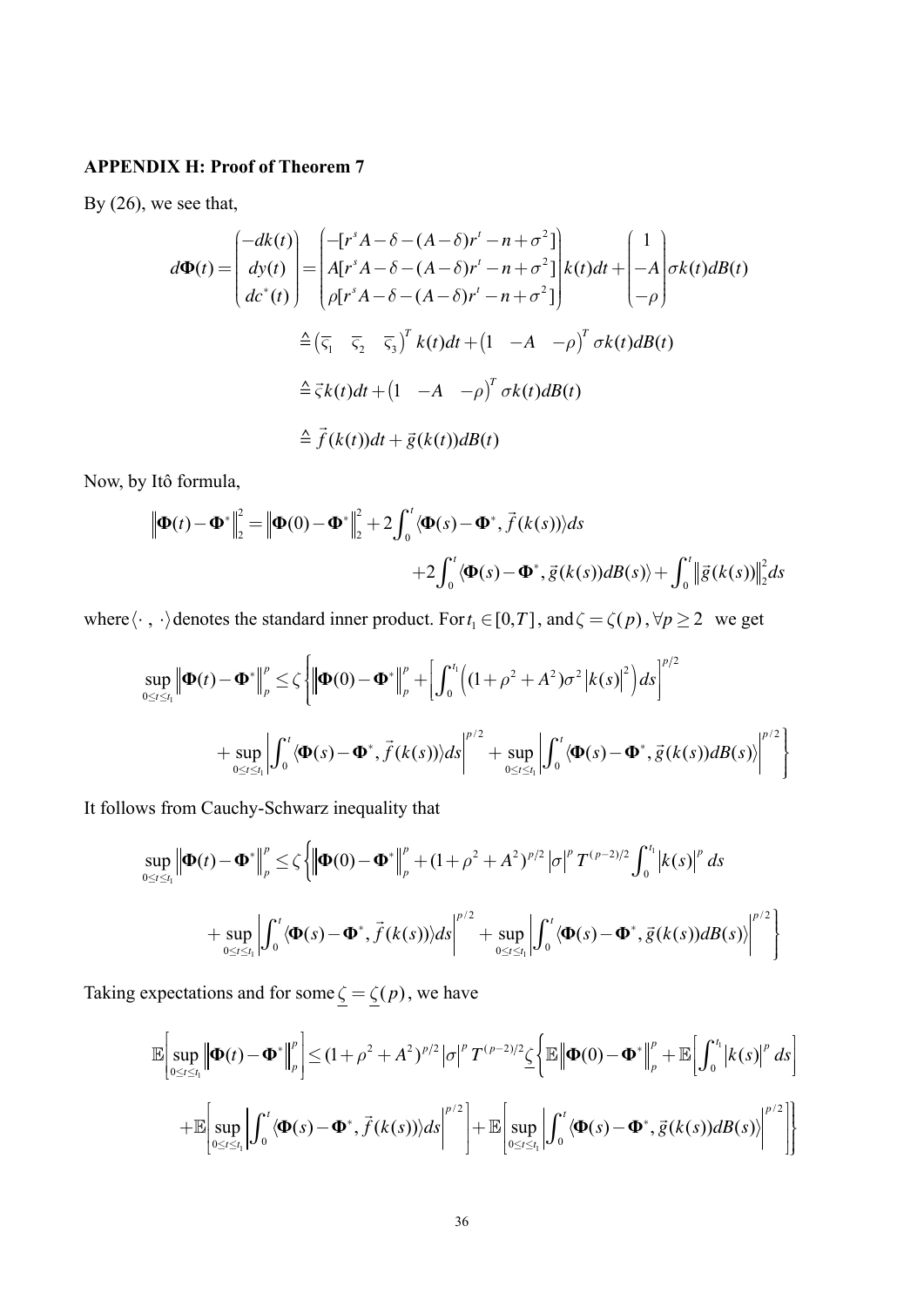## **APPENDIX H: Proof of Theorem 7**

By  $(26)$ , we see that,

$$
d\Phi(t) = \begin{pmatrix} -dk(t) \\ dy(t) \\ dz^*(t) \end{pmatrix} = \begin{pmatrix} -[r^s A - \delta - (A - \delta)r' - n + \sigma^2] \\ A[r^s A - \delta - (A - \delta)r' - n + \sigma^2] \\ \rho[r^s A - \delta - (A - \delta)r' - n + \sigma^2] \end{pmatrix} k(t)dt + \begin{pmatrix} 1 \\ -A \\ -\rho \end{pmatrix} \sigma k(t)dB(t)
$$
  
\n
$$
\hat{=} (\overline{\varsigma}_1 \quad \overline{\varsigma}_2 \quad \overline{\varsigma}_3)^T k(t)dt + (1 - A - \rho)^T \sigma k(t)dB(t)
$$
  
\n
$$
\hat{=} \vec{\varsigma} k(t)dt + (1 - A - \rho)^T \sigma k(t)dB(t)
$$
  
\n
$$
\hat{=} \vec{f}(k(t))dt + \vec{g}(k(t))dB(t)
$$

Now, by Itô formula,

$$
\|\mathbf{\Phi}(t) - \mathbf{\Phi}^*\|_2^2 = \|\mathbf{\Phi}(0) - \mathbf{\Phi}^*\|_2^2 + 2\int_0^t \langle \mathbf{\Phi}(s) - \mathbf{\Phi}^*, \vec{f}(k(s)) \rangle ds
$$
  
+2\int\_0^t \langle \mathbf{\Phi}(s) - \mathbf{\Phi}^\*, \vec{g}(k(s))dB(s) \rangle + \int\_0^t \|\vec{g}(k(s))\|\_2^2 ds

where  $\langle \cdot, \cdot \rangle$  denotes the standard inner product. For  $t_1 \in [0, T]$ , and  $\zeta = \zeta(p)$ ,  $\forall p \ge 2$  we get

$$
\sup_{0\leq t\leq t_1} \left\| \boldsymbol{\Phi}(t) - \boldsymbol{\Phi}^* \right\|_p^p \leq \zeta \left\{ \left\| \boldsymbol{\Phi}(0) - \boldsymbol{\Phi}^* \right\|_p^p + \left[ \int_0^{t_1} \left( (1+\rho^2 + A^2) \sigma^2 \left| k(s) \right|^2 \right) ds \right]^{p/2} + \sup_{0\leq t \leq t_1} \left| \int_0^t \langle \boldsymbol{\Phi}(s) - \boldsymbol{\Phi}^*, \vec{f}(k(s)) \rangle ds \right|^{p/2} + \sup_{0\leq t \leq t_1} \left| \int_0^t \langle \boldsymbol{\Phi}(s) - \boldsymbol{\Phi}^*, \vec{g}(k(s)) dB(s) \rangle \right|^{p/2} \right\}
$$

It follows from Cauchy-Schwarz inequality that

$$
\sup_{0 \leq t \leq t_1} \left\| \boldsymbol{\Phi}(t) - \boldsymbol{\Phi}^* \right\|_p^p \leq \zeta \left\{ \left\| \boldsymbol{\Phi}(0) - \boldsymbol{\Phi}^* \right\|_p^p + (1 + \rho^2 + A^2)^{p/2} |\sigma|^p T^{(p-2)/2} \int_0^{t_1} \left| k(s) \right|^p ds \right\}
$$
  
+ 
$$
\sup_{0 \leq t \leq t_1} \left| \int_0^t \langle \boldsymbol{\Phi}(s) - \boldsymbol{\Phi}^*, \vec{f}(k(s)) \rangle ds \right|^{p/2} + \sup_{0 \leq t \leq t_1} \left| \int_0^t \langle \boldsymbol{\Phi}(s) - \boldsymbol{\Phi}^*, \vec{g}(k(s)) dB(s) \rangle \right|^{p/2} \right\}
$$

Taking expectations and for some  $\underline{\zeta} = \underline{\zeta}(p)$ , we have

$$
\mathbb{E}\Big[\sup_{0\leq t\leq t_1}\Big|\vert \boldsymbol{\Phi}(t)-\boldsymbol{\Phi}^*\Big|\vert_{p}^{p}\Big]\leq (1+\rho^2+A^2)^{p/2}\left|\sigma\right|^{p}T^{(p-2)/2}\leq \Big\{\mathbb{E}\Big|\vert \boldsymbol{\Phi}(0)-\boldsymbol{\Phi}^*\Big|\vert_{p}^{p}+\mathbb{E}\Big[\int_{0}^{t_1}\big|k(s)\big|^{p}ds\Big]
$$

$$
+\mathbb{E}\Big[\sup_{0\leq t\leq t_1}\Big|\int_{0}^{t}\langle \boldsymbol{\Phi}(s)-\boldsymbol{\Phi}^*,\vec{f}(k(s))\rangle ds\Big|^{p/2}\Big]+ \mathbb{E}\Big[\sup_{0\leq t\leq t_1}\Big|\int_{0}^{t}\langle \boldsymbol{\Phi}(s)-\boldsymbol{\Phi}^*,\vec{g}(k(s))dB(s)\rangle\Big|^{p/2}\Big]\Big\}
$$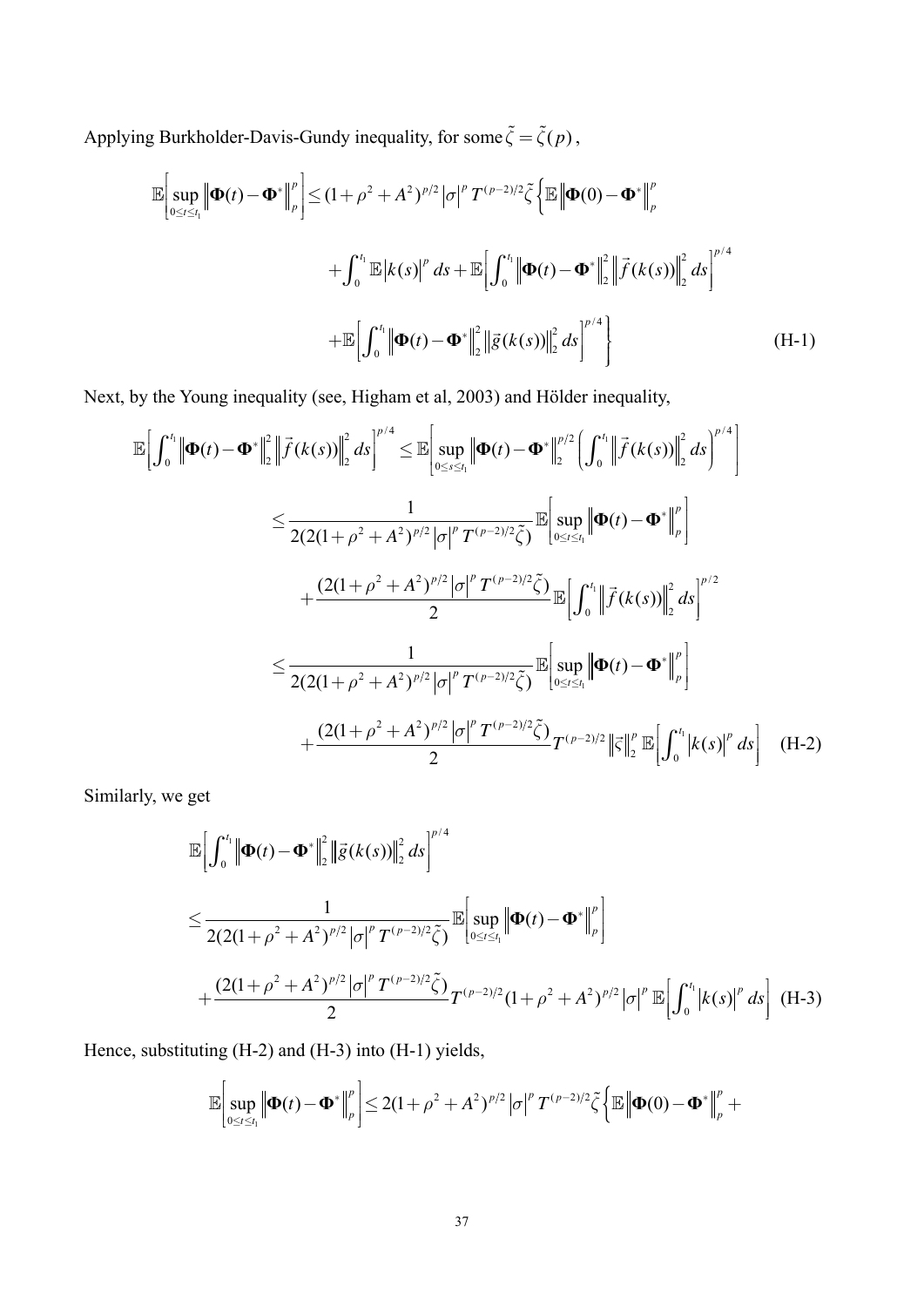Applying Burkholder-Davis-Gundy inequality, for some  $\tilde{\zeta} = \tilde{\zeta}(p)$ ,

$$
\mathbb{E}\Big[\sup_{0\leq t\leq t_1}\Big|\Big|\mathbf{\Phi}(t)-\mathbf{\Phi}^*\Big|\Big|_{p}^{p}\Big]\leq (1+\rho^2+A^2)^{p/2}\big|\sigma\big|^p T^{(p-2)/2}\tilde{\zeta}\Big\{\mathbb{E}\Big|\Big|\mathbf{\Phi}(0)-\mathbf{\Phi}^*\Big|\Big|_{p}^{p}
$$
  
+
$$
\int_{0}^{t_1}\mathbb{E}\big|k(s)\big|^p\,ds+\mathbb{E}\Big[\int_{0}^{t_1}\Big|\Big|\mathbf{\Phi}(t)-\mathbf{\Phi}^*\Big|\Big|_{2}^{2}\Big|\overrightarrow{f}(k(s))\Big|\Big|_{2}^{2}\,ds\Big|^{p/4}
$$
  
+
$$
\mathbb{E}\Big[\int_{0}^{t_1}\Big|\Big|\mathbf{\Phi}(t)-\mathbf{\Phi}^*\Big|\Big|_{2}^{2}\Big|\overrightarrow{g}(k(s))\Big|\Big|_{2}^{2}\,ds\Big|^{p/4}\Big\}\Big]
$$
(H-1)

Next, by the Young inequality (see, Higham et al, 2003) and Hölder inequality,

$$
\mathbb{E}\Big[\int_{0}^{t_{1}}\left\|\mathbf{\Phi}(t)-\mathbf{\Phi}^{*}\right\|_{2}^{2}\left\|\vec{f}(k(s))\right\|_{2}^{2}ds\Big]^{p/4}\leq\mathbb{E}\Big[\sup_{0\leq s\leq t_{1}}\left\|\mathbf{\Phi}(t)-\mathbf{\Phi}^{*}\right\|_{2}^{p/2}\Big(\int_{0}^{t_{1}}\left\|\vec{f}(k(s))\right\|_{2}^{2}ds\Big)^{p/4}\Big]
$$
\n
$$
\leq\frac{1}{2(2(1+\rho^{2}+A^{2})^{p/2}|\sigma|^{p}T^{(p-2)/2}\tilde{\zeta})}\mathbb{E}\Big[\sup_{0\leq t\leq t_{1}}\left\|\mathbf{\Phi}(t)-\mathbf{\Phi}^{*}\right\|_{p}^{p}\Big]
$$
\n
$$
+\frac{(2(1+\rho^{2}+A^{2})^{p/2}|\sigma|^{p}T^{(p-2)/2}\tilde{\zeta})}{2}\mathbb{E}\Big[\int_{0}^{t_{1}}\left\|\vec{f}(k(s))\right\|_{2}^{2}ds\Big]^{p/2}
$$
\n
$$
\leq\frac{1}{2(2(1+\rho^{2}+A^{2})^{p/2}|\sigma|^{p}T^{(p-2)/2}\tilde{\zeta})}\mathbb{E}\Big[\sup_{0\leq t\leq t_{1}}\left\|\mathbf{\Phi}(t)-\mathbf{\Phi}^{*}\right\|_{p}^{p}\Big]
$$
\n
$$
+\frac{(2(1+\rho^{2}+A^{2})^{p/2}|\sigma|^{p}T^{(p-2)/2}\tilde{\zeta})}{2}T^{(p-2)/2}\left\|\vec{\zeta}\right\|_{2}^{p}\mathbb{E}\Big[\int_{0}^{t_{1}}|k(s)|^{p}ds\Big] \quad \text{(H-2)}
$$

Similarly, we get

$$
\mathbb{E}\Big[\int_0^{t_1} \Big|\Phi(t) - \Phi^*\Big|^2_{2} \Big|\tilde{g}(k(s))\Big|^2_{2} ds\Big|^{p/4}\n\n
$$
\leq \frac{1}{2(2(1+\rho^2 + A^2)^{p/2}|\sigma|^p T^{(p-2)/2}\tilde{\zeta})} \mathbb{E}\Big[\sup_{0 \leq t \leq t_1} \Big|\Phi(t) - \Phi^*\Big|^p_{p}\Big]
$$
\n
$$
+ \frac{(2(1+\rho^2 + A^2)^{p/2}|\sigma|^p T^{(p-2)/2}\tilde{\zeta})}{2} T^{(p-2)/2} (1+\rho^2 + A^2)^{p/2} |\sigma|^p \mathbb{E}\Big[\int_0^{t_1} \Big|k(s)\Big|^p ds\Big] (H-3)
$$
$$

Hence, substituting (H-2) and (H-3) into (H-1) yields,

$$
\mathbb{E}\bigg[\sup_{0\leq t\leq t_1}\bigg|\bigg|\Phi(t)-\Phi^*\bigg|^p\bigg]\leq 2(1+\rho^2+A^2)^{p/2}\big|\sigma\big|^p\,T^{(p-2)/2}\tilde{\zeta}\bigg\{\mathbb{E}\bigg|\big|\Phi(0)-\Phi^*\big|^p\bigg|_{p}^p+\\
$$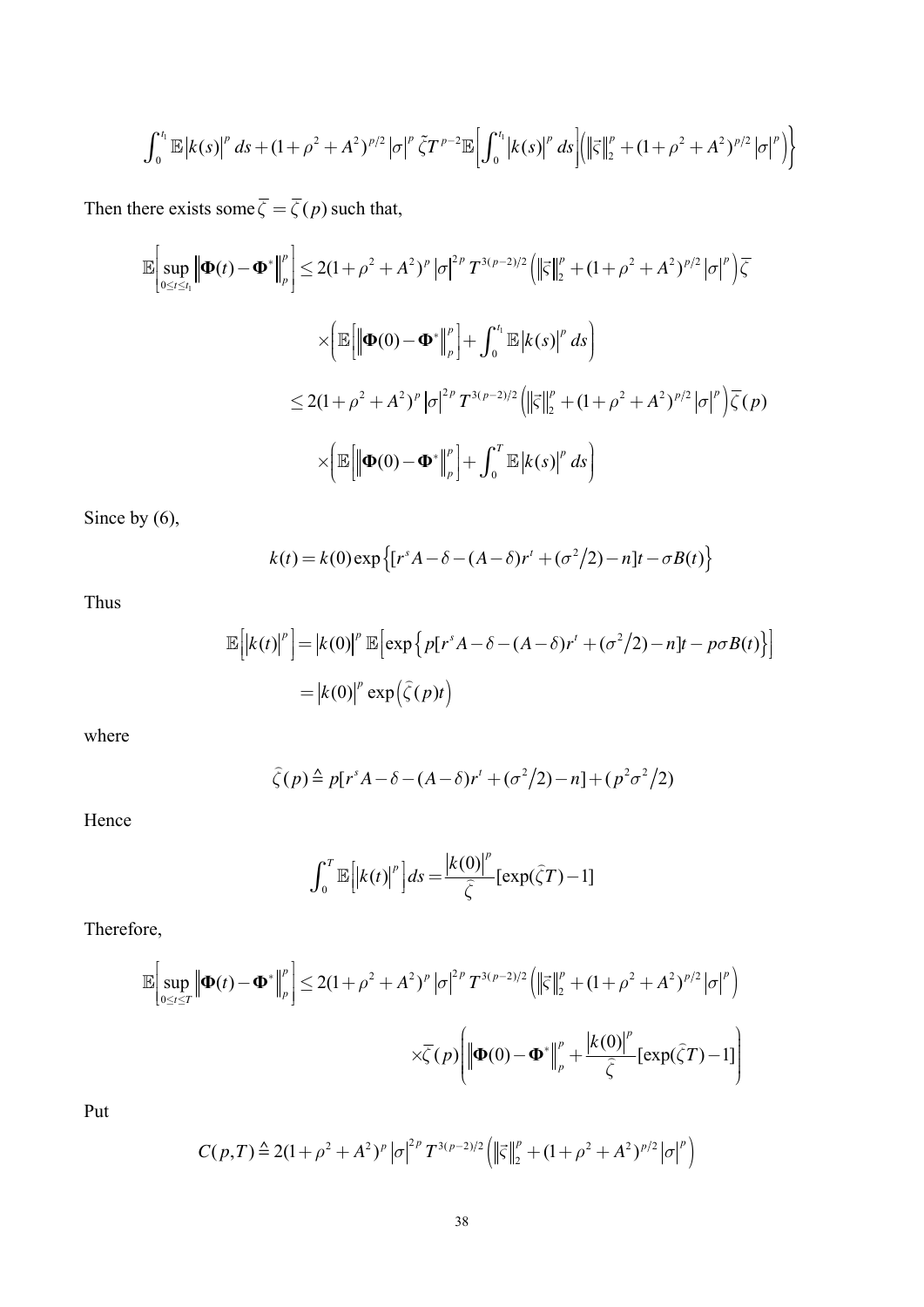$$
\int_0^{t_1} {\mathbb{E}} \left| k(s) \right|^p ds + (1+\rho^2+A^2)^{p/2} |\sigma|^p \, \tilde{\zeta} T^{p-2} {\mathbb{E}} \bigg[ \int_0^{t_1} \left| k(s) \right|^p ds \bigg] \bigg( \left\| \vec{\zeta} \right\|_2^p + (1+\rho^2+A^2)^{p/2} |\sigma|^p \bigg) \bigg\}
$$

Then there exists some  $\overline{\zeta} = \overline{\zeta}(p)$  such that,

$$
\mathbb{E}\Big[\sup_{0\leq t\leq t_{1}}\Big|\mathbf{\Phi}(t)-\mathbf{\Phi}^{*}\Big|_{p}^{p}\Big]\leq 2(1+\rho^{2}+A^{2})^{p}\big|\sigma\big|^{2p}T^{3(p-2)/2}\Big(\Big|\big|\vec{z}\big|\big|_{2}^{p}+(1+\rho^{2}+A^{2})^{p/2}\big|\sigma\big|^{p}\Big)\overline{\zeta}
$$
\n
$$
\times\Big(\mathbb{E}\Big[\Big|\mathbf{\Phi}(0)-\mathbf{\Phi}^{*}\Big|_{p}^{p}\Big]+\int_{0}^{t_{1}}\mathbb{E}\big|k(s)\big|^{p}ds\Big)
$$
\n
$$
\leq 2(1+\rho^{2}+A^{2})^{p}\big|\sigma\big|^{2p}T^{3(p-2)/2}\Big(\Big|\big|\vec{z}\big|\big|_{2}^{p}+(1+\rho^{2}+A^{2})^{p/2}\big|\sigma\big|^{p}\Big)\overline{\zeta}(p)
$$
\n
$$
\times\Big(\mathbb{E}\Big[\Big|\mathbf{\Phi}(0)-\mathbf{\Phi}^{*}\Big|_{p}^{p}\Big]+\int_{0}^{T}\mathbb{E}\big|k(s)\big|^{p}ds\Big)
$$

Since by  $(6)$ ,

$$
k(t) = k(0) \exp \left\{ \left[ r^s A - \delta - (A - \delta) r^t + (\sigma^2/2) - n \right] t - \sigma B(t) \right\}
$$

Thus

$$
\mathbb{E}\left[\left|k(t)\right|^p\right] = \left|k(0)\right|^p \mathbb{E}\left[\exp\left\{p[r^s A - \delta - (A - \delta)r^t + (\sigma^2/2) - n]t - p\sigma B(t)\right\}\right]
$$

$$
= \left|k(0)\right|^p \exp\left(\hat{\zeta}(p)t\right)
$$

where

$$
\widehat{\zeta}(p) \stackrel{\Delta}{=} p[r^s A - \delta - (A - \delta)r^t + (\sigma^2/2) - n] + (p^2 \sigma^2/2)
$$

Hence

$$
\int_0^T \mathbb{E}\Big[ \Big|k(t)\Big|^p \Big] ds = \frac{\Big|k(0)\Big|^p}{\widehat{\zeta}} \Big[ \exp(\widehat{\zeta}T) - 1 \Big]
$$

Therefore,

$$
\mathbb{E}\Big[\sup_{0\leq t\leq T}\Big\|\mathbf{\Phi}(t)-\mathbf{\Phi}^*\Big\|_{p}^{p}\Big]\leq 2(1+\rho^2+A^2)^{p}\big|\sigma\big|^{2p}T^{3(p-2)/2}\Big(\Big\|\vec{\varsigma}\Big\|_{2}^{p}+(1+\rho^2+A^2)^{p/2}\big|\sigma\big|^{p}\Big)\\ \times\overline{\zeta}(p)\Bigg(\Big\|\mathbf{\Phi}(0)-\mathbf{\Phi}^*\Big\|_{p}^{p}+\frac{\big|k(0)\big|^{p}}{\widehat{\zeta}}\big[\exp(\widehat{\zeta}T)-1\big]\Bigg)
$$

Put

$$
C(p,T) \triangleq 2(1+\rho^2+A^2)^p |\sigma|^{2p} T^{3(p-2)/2} \left( \left\| \vec{\varsigma} \right\|_2^p + (1+\rho^2+A^2)^{p/2} |\sigma|^p \right)
$$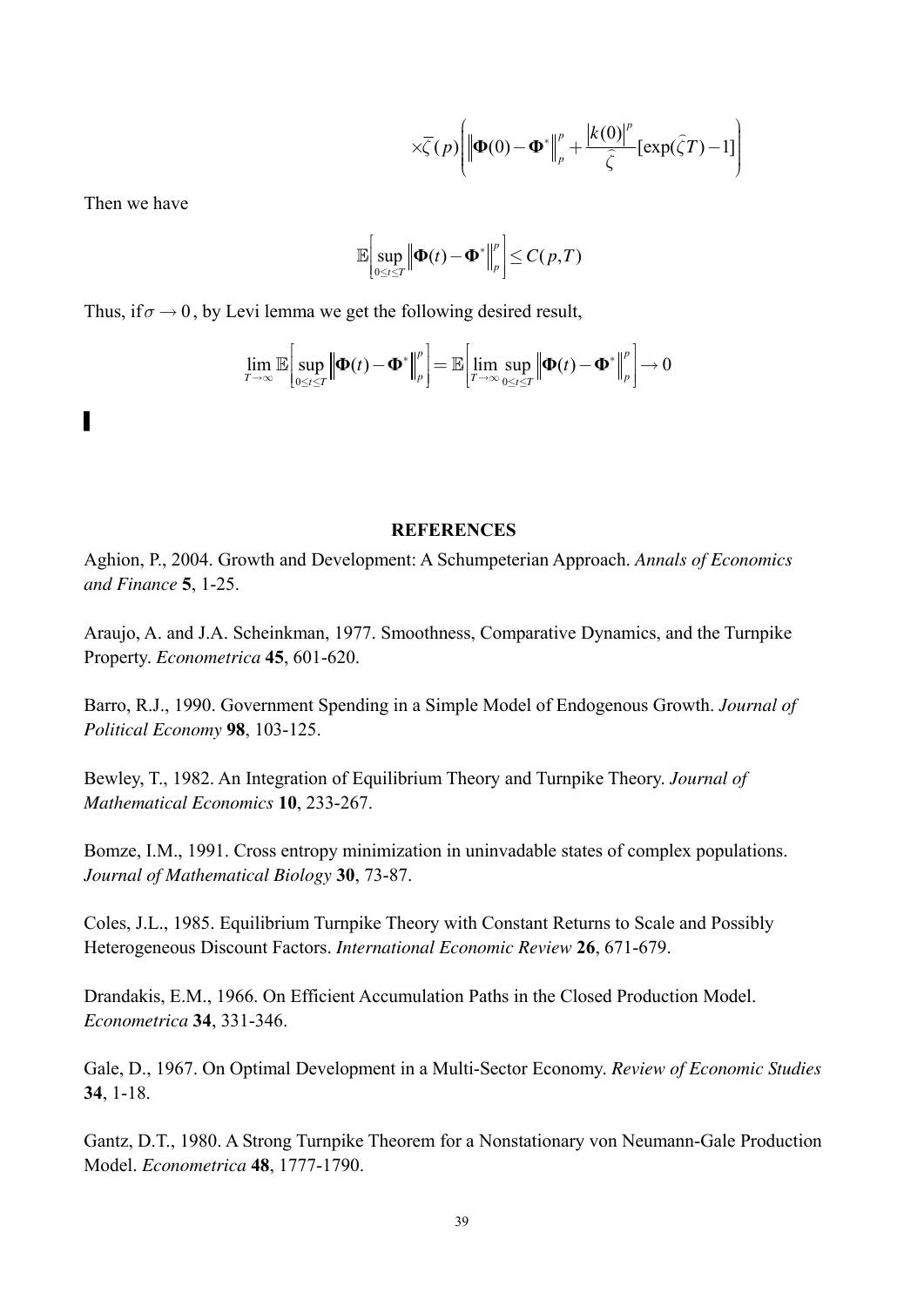$$
\times \overline{\zeta}(p) \Bigg( \Big\| \boldsymbol{\Phi}(0) - \boldsymbol{\Phi}^* \Big\|_p^p + \frac{\big| k(0) \big|^p}{\widehat{\zeta}} \big[ \exp(\widehat{\zeta}T) - 1 \big] \Bigg)
$$

Then we have

$$
\mathbb{E}\bigg[\sup_{0\leq t\leq T}\big\|\boldsymbol{\Phi}(t)-\boldsymbol{\Phi}^*\big\|_p^p\bigg]\leq C(p,T)
$$

Thus, if  $\sigma \rightarrow 0$ , by Levi lemma we get the following desired result,

$$
\lim_{T\to\infty}\mathbb{E}\bigg[\sup_{0\leq t\leq T}\bigg|\bigg|\boldsymbol{\Phi}(t)-\boldsymbol{\Phi}^*\bigg|_p^p\bigg]=\mathbb{E}\bigg[\lim_{T\to\infty}\sup_{0\leq t\leq T}\bigg|\bigg|\boldsymbol{\Phi}(t)-\boldsymbol{\Phi}^*\bigg|_p^p\bigg]\to 0
$$

 $\overline{\phantom{a}}$ 

#### **REFERENCES**

Aghion, P., 2004. Growth and Development: A Schumpeterian Approach. Annals of Economics and Finance 5, 1-25.

Araujo, A. and J.A. Scheinkman, 1977. Smoothness, Comparative Dynamics, and the Turnpike Property. Econometrica 45, 601-620.

Barro, R.J., 1990. Government Spending in a Simple Model of Endogenous Growth. *Journal of* Political Economy 98, 103-125.

Bewley, T., 1982. An Integration of Equilibrium Theory and Turnpike Theory. Journal of Mathematical Economics 10, 233-267.

Bomze, I.M., 1991. Cross entropy minimization in uninvadable states of complex populations. Journal of Mathematical Biology 30, 73-87.

Coles, J.L., 1985. Equilibrium Turnpike Theory with Constant Returns to Scale and Possibly Heterogeneous Discount Factors. International Economic Review 26, 671-679.

Drandakis, E.M., 1966. On Efficient Accumulation Paths in the Closed Production Model. Econometrica 34, 331-346.

Gale, D., 1967. On Optimal Development in a Multi-Sector Economy. Review of Economic Studies  $34, 1-18.$ 

Gantz, D.T., 1980. A Strong Turnpike Theorem for a Nonstationary von Neumann-Gale Production Model. Econometrica 48, 1777-1790.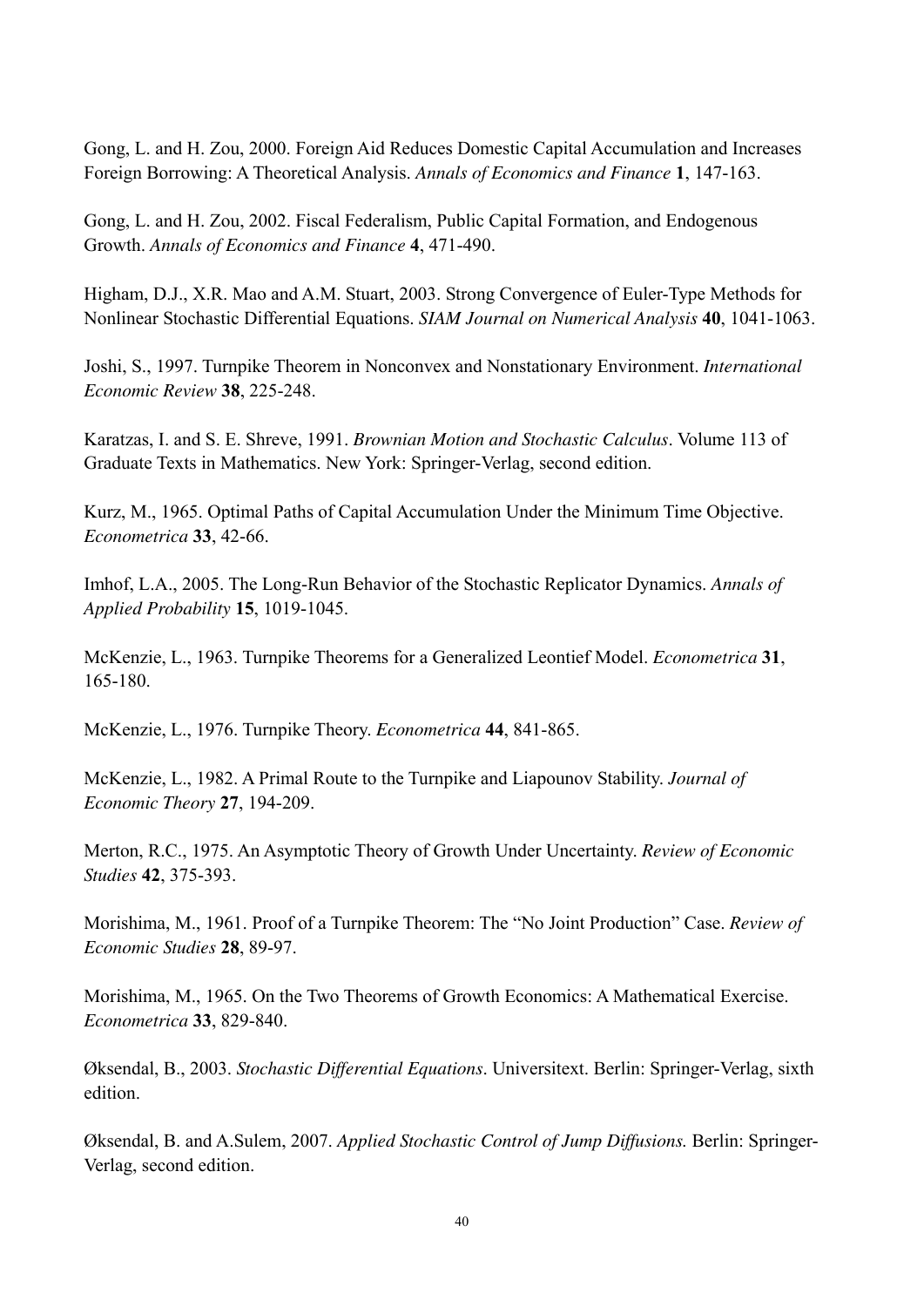Gong, L. and H. Zou, 2000. Foreign Aid Reduces Domestic Capital Accumulation and Increases Foreign Borrowing: A Theoretical Analysis. *Annals of Economics and Finance* **1**, 147-163.

Gong, L. and H. Zou, 2002. Fiscal Federalism, Public Capital Formation, and Endogenous Growth. *Annals of Economics and Finance* **4**, 471-490.

Higham, D.J., X.R. Mao and A.M. Stuart, 2003. Strong Convergence of Euler-Type Methods for Nonlinear Stochastic Differential Equations. *SIAM Journal on Numerical Analysis* **40**, 1041-1063.

Joshi, S., 1997. Turnpike Theorem in Nonconvex and Nonstationary Environment. *International Economic Review* **38**, 225-248.

Karatzas, I. and S. E. Shreve, 1991. *Brownian Motion and Stochastic Calculus*. Volume 113 of Graduate Texts in Mathematics. New York: Springer-Verlag, second edition.

Kurz, M., 1965. Optimal Paths of Capital Accumulation Under the Minimum Time Objective. *Econometrica* **33**, 42-66.

Imhof, L.A., 2005. The Long-Run Behavior of the Stochastic Replicator Dynamics. *Annals of Applied Probability* **15**, 1019-1045.

McKenzie, L., 1963. Turnpike Theorems for a Generalized Leontief Model. *Econometrica* **31**, 165-180.

McKenzie, L., 1976. Turnpike Theory. *Econometrica* **44**, 841-865.

McKenzie, L., 1982. A Primal Route to the Turnpike and Liapounov Stability. *Journal of Economic Theory* **27**, 194-209.

Merton, R.C., 1975. An Asymptotic Theory of Growth Under Uncertainty. *Review of Economic Studies* **42**, 375-393.

Morishima, M., 1961. Proof of a Turnpike Theorem: The "No Joint Production" Case. *Review of Economic Studies* **28**, 89-97.

Morishima, M., 1965. On the Two Theorems of Growth Economics: A Mathematical Exercise. *Econometrica* **33**, 829-840.

Øksendal, B., 2003. *Stochastic Differential Equations*. Universitext. Berlin: Springer-Verlag, sixth edition.

Øksendal, B. and A.Sulem, 2007. *Applied Stochastic Control of Jump Diffusions.* Berlin: Springer-Verlag, second edition.